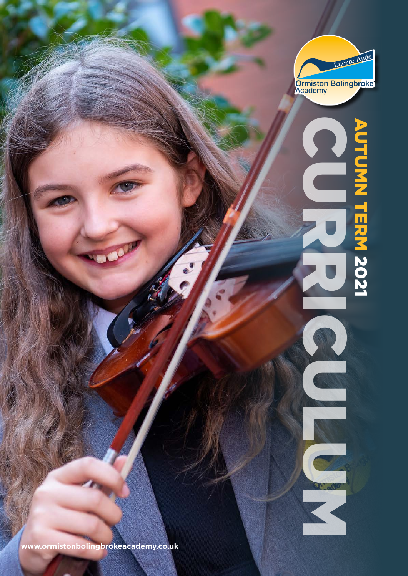

**www.ormistonbolingbrokeacademy.co.uk**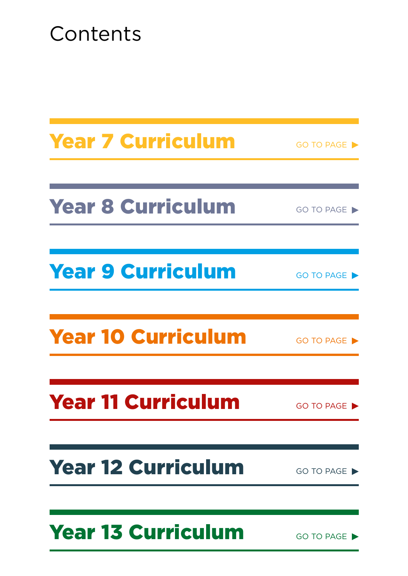# Contents

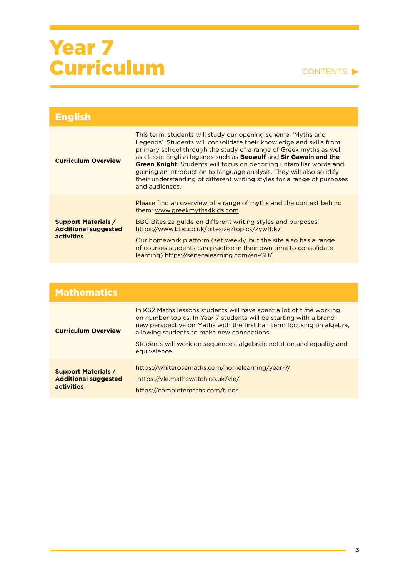| <b>English</b>                                                          |                                                                                                                                                                                                                                                                                                                                                                                                                                                                                                                                                   |
|-------------------------------------------------------------------------|---------------------------------------------------------------------------------------------------------------------------------------------------------------------------------------------------------------------------------------------------------------------------------------------------------------------------------------------------------------------------------------------------------------------------------------------------------------------------------------------------------------------------------------------------|
| <b>Curriculum Overview</b>                                              | This term, students will study our opening scheme, 'Myths and<br>Legends'. Students will consolidate their knowledge and skills from<br>primary school through the study of a range of Greek myths as well<br>as classic English legends such as <b>Beowulf</b> and <b>Sir Gawain and the</b><br><b>Green Knight</b> . Students will focus on decoding unfamiliar words and<br>gaining an introduction to language analysis. They will also solidify<br>their understanding of different writing styles for a range of purposes<br>and audiences. |
| <b>Support Materials /</b><br><b>Additional suggested</b><br>activities | Please find an overview of a range of myths and the context behind<br>them: www.greekmyths4kids.com<br>BBC Bitesize guide on different writing styles and purposes:<br>https://www.bbc.co.uk/bitesize/topics/zywfbk7<br>Our homework platform (set weekly, but the site also has a range<br>of courses students can practise in their own time to consolidate<br>learning) https://senecalearning.com/en-GB/                                                                                                                                      |

| <b>Mathematics</b>                                                             |                                                                                                                                                                                                                                                                                                                                                            |
|--------------------------------------------------------------------------------|------------------------------------------------------------------------------------------------------------------------------------------------------------------------------------------------------------------------------------------------------------------------------------------------------------------------------------------------------------|
| <b>Curriculum Overview</b>                                                     | In KS2 Maths lessons students will have spent a lot of time working<br>on number topics. In Year 7 students will be starting with a brand-<br>new perspective on Maths with the first half term focusing on algebra.<br>allowing students to make new connections.<br>Students will work on sequences, algebraic notation and equality and<br>equivalence. |
| <b>Support Materials /</b><br><b>Additional suggested</b><br><b>activities</b> | https://whiterosemaths.com/homelearning/year-7/<br>https://vle.mathswatch.co.uk/vle/<br>https://completemaths.com/tutor                                                                                                                                                                                                                                    |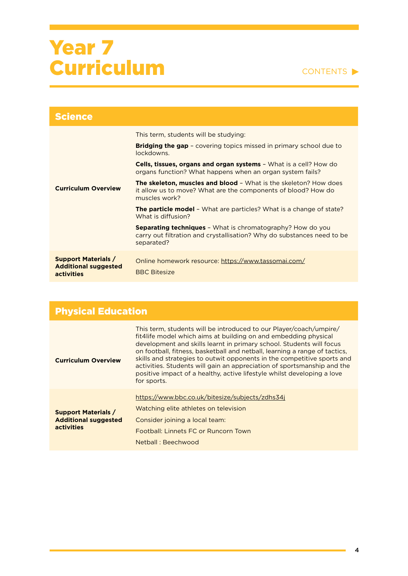| <b>Science</b>                                                          |                                                                                                                                                           |
|-------------------------------------------------------------------------|-----------------------------------------------------------------------------------------------------------------------------------------------------------|
| <b>Curriculum Overview</b>                                              | This term, students will be studying:                                                                                                                     |
|                                                                         | <b>Bridging the gap -</b> covering topics missed in primary school due to<br>lockdowns.                                                                   |
|                                                                         | Cells, tissues, organs and organ systems - What is a cell? How do<br>organs function? What happens when an organ system fails?                            |
|                                                                         | <b>The skeleton, muscles and blood -</b> What is the skeleton? How does<br>it allow us to move? What are the components of blood? How do<br>muscles work? |
|                                                                         | <b>The particle model -</b> What are particles? What is a change of state?<br>What is diffusion?                                                          |
|                                                                         | <b>Separating techniques -</b> What is chromatography? How do you<br>carry out filtration and crystallisation? Why do substances need to be<br>separated? |
| <b>Support Materials /</b><br><b>Additional suggested</b><br>activities | Online homework resource: https://www.tassomai.com/<br><b>BBC Bitesize</b>                                                                                |

| <b>Physical Education</b>                                               |                                                                                                                                                                                                                                                                                                                                                                                                                                                                                                                                             |
|-------------------------------------------------------------------------|---------------------------------------------------------------------------------------------------------------------------------------------------------------------------------------------------------------------------------------------------------------------------------------------------------------------------------------------------------------------------------------------------------------------------------------------------------------------------------------------------------------------------------------------|
| <b>Curriculum Overview</b>                                              | This term, students will be introduced to our Player/coach/umpire/<br>fit4life model which aims at building on and embedding physical<br>development and skills learnt in primary school. Students will focus<br>on football, fitness, basketball and netball, learning a range of tactics,<br>skills and strategies to outwit opponents in the competitive sports and<br>activities. Students will gain an appreciation of sportsmanship and the<br>positive impact of a healthy, active lifestyle whilst developing a love<br>for sports. |
| <b>Support Materials /</b><br><b>Additional suggested</b><br>activities | https://www.bbc.co.uk/bitesize/subjects/zdhs34j<br>Watching elite athletes on television<br>Consider joining a local team:<br>Football: Linnets FC or Runcorn Town<br>Netball: Beechwood                                                                                                                                                                                                                                                                                                                                                    |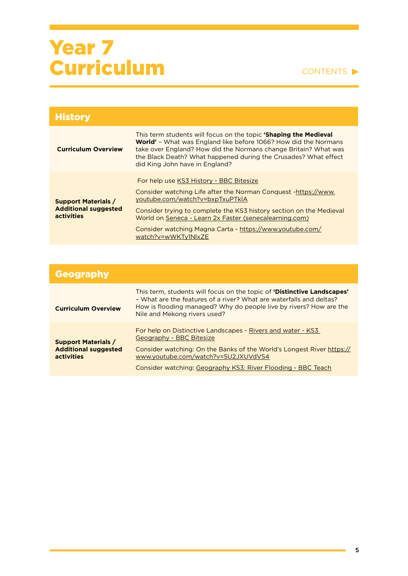| <b>History</b>                                                          |                                                                                                                                                                                                                                                                                                                                                                  |
|-------------------------------------------------------------------------|------------------------------------------------------------------------------------------------------------------------------------------------------------------------------------------------------------------------------------------------------------------------------------------------------------------------------------------------------------------|
| <b>Curriculum Overview</b>                                              | This term students will focus on the topic <b>'Shaping the Medieval</b><br><b>World'</b> - What was England like before 1066? How did the Normans<br>take over England? How did the Normans change Britain? What was<br>the Black Death? What happened during the Crusades? What effect<br>did King John have in England?                                        |
| <b>Support Materials /</b><br><b>Additional suggested</b><br>activities | For help use KS3 History - BBC Bitesize<br>Consider watching Life after the Norman Conquest -https://www.<br>youtube.com/watch?v=bxpTxuPTkIA<br>Consider trying to complete the KS3 history section on the Medieval<br>World on Seneca - Learn 2x Faster (senecalearning.com)<br>Consider watching Magna Carta - https://www.youtube.com/<br>watch?v=wWKTy1NlxZE |

| <b>Geography</b>                          |                                                                                                                                                                                                                                                             |
|-------------------------------------------|-------------------------------------------------------------------------------------------------------------------------------------------------------------------------------------------------------------------------------------------------------------|
| <b>Curriculum Overview</b>                | This term, students will focus on the topic of <b>'Distinctive Landscapes'</b><br>- What are the features of a river? What are waterfalls and deltas?<br>How is flooding managed? Why do people live by rivers? How are the<br>Nile and Mekong rivers used? |
| <b>Support Materials /</b>                | For help on Distinctive Landscapes - Rivers and water - KS3<br>Geography - BBC Bitesize                                                                                                                                                                     |
| <b>Additional suggested</b><br>activities | Consider watching: On the Banks of the World's Longest River https://<br>www.youtube.com/watch?v=5U2JXUVdVS4                                                                                                                                                |
|                                           | Consider watching: Geography KS3: River Flooding - BBC Teach                                                                                                                                                                                                |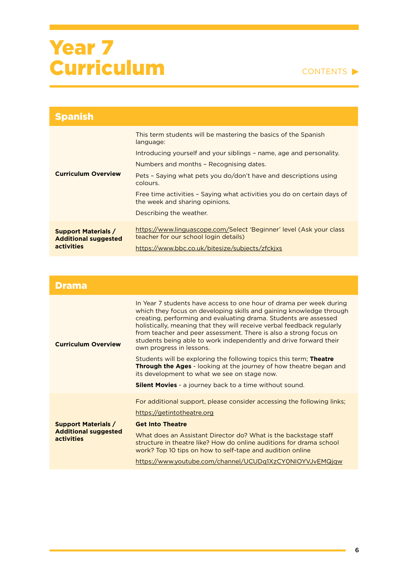#### CONTENTS  $\blacktriangleright$

| <b>Spanish</b>                                                          |                                                                                                              |
|-------------------------------------------------------------------------|--------------------------------------------------------------------------------------------------------------|
|                                                                         | This term students will be mastering the basics of the Spanish<br>language:                                  |
|                                                                         | Introducing yourself and your siblings - name, age and personality.                                          |
| <b>Curriculum Overview</b>                                              | Numbers and months - Recognising dates.                                                                      |
|                                                                         | Pets - Saying what pets you do/don't have and descriptions using<br>colours.                                 |
|                                                                         | Free time activities - Saying what activities you do on certain days of<br>the week and sharing opinions.    |
|                                                                         | Describing the weather.                                                                                      |
| <b>Support Materials /</b><br><b>Additional suggested</b><br>activities | https://www.linguascope.com/Select 'Beginner' level (Ask your class<br>teacher for our school login details) |
|                                                                         | https://www.bbc.co.uk/bitesize/subjects/zfckixs                                                              |

#### Drama **Curriculum Overview**  In Year 7 students have access to one hour of drama per week during which they focus on developing skills and gaining knowledge through creating, performing and evaluating drama. Students are assessed holistically, meaning that they will receive verbal feedback regularly from teacher and peer assessment. There is also a strong focus on students being able to work independently and drive forward their own progress in lessons. Students will be exploring the following topics this term; **Theatre Through the Ages** - looking at the journey of how theatre began and its development to what we see on stage now. **Silent Movies** - a journey back to a time without sound. **Support Materials / Additional suggested activities**  For additional support, please consider accessing the following links; <https://getintotheatre.org> **[Get Into Theatre](https://getintotheatre.org/)** What does an Assistant Director do? What is the backstage staff structure in theatre like? How do online auditions for drama school work? Top 10 tips on how to self-tape and audition online <https://www.youtube.com/channel/UCUDq1XzCY0NIOYVJvEMQjqw>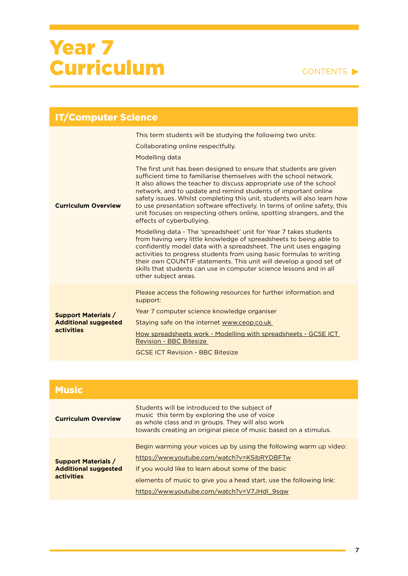| <b>IT/Computer Science</b>                                              |                                                                                                                                                                                                                                                                                                                                                                                                                                                                                                                                                                                                                                                                                                                                                                                                                                                                                                                                                                                                                                                                                                                                              |
|-------------------------------------------------------------------------|----------------------------------------------------------------------------------------------------------------------------------------------------------------------------------------------------------------------------------------------------------------------------------------------------------------------------------------------------------------------------------------------------------------------------------------------------------------------------------------------------------------------------------------------------------------------------------------------------------------------------------------------------------------------------------------------------------------------------------------------------------------------------------------------------------------------------------------------------------------------------------------------------------------------------------------------------------------------------------------------------------------------------------------------------------------------------------------------------------------------------------------------|
| <b>Curriculum Overview</b>                                              | This term students will be studying the following two units:<br>Collaborating online respectfully.<br><b>Modelling data</b><br>The first unit has been designed to ensure that students are given<br>sufficient time to familiarise themselves with the school network.<br>It also allows the teacher to discuss appropriate use of the school<br>network, and to update and remind students of important online<br>safety issues. Whilst completing this unit, students will also learn how<br>to use presentation software effectively. In terms of online safety, this<br>unit focuses on respecting others online, spotting strangers, and the<br>effects of cyberbullying.<br>Modelling data - The 'spreadsheet' unit for Year 7 takes students<br>from having very little knowledge of spreadsheets to being able to<br>confidently model data with a spreadsheet. The unit uses engaging<br>activities to progress students from using basic formulas to writing<br>their own COUNTIF statements. This unit will develop a good set of<br>skills that students can use in computer science lessons and in all<br>other subject areas. |
| <b>Support Materials /</b><br><b>Additional suggested</b><br>activities | Please access the following resources for further information and<br>support:<br>Year 7 computer science knowledge organiser<br>Staying safe on the internet www.ceop.co.uk<br>How spreadsheets work - Modelling with spreadsheets - GCSE ICT<br><b>Revision - BBC Bitesize</b><br><b>GCSE ICT Revision - BBC Bitesize</b>                                                                                                                                                                                                                                                                                                                                                                                                                                                                                                                                                                                                                                                                                                                                                                                                                   |

| <b>Music</b>                                                            |                                                                                                                                                                                                                                                                                               |
|-------------------------------------------------------------------------|-----------------------------------------------------------------------------------------------------------------------------------------------------------------------------------------------------------------------------------------------------------------------------------------------|
| <b>Curriculum Overview</b>                                              | Students will be introduced to the subject of<br>music this term by exploring the use of voice<br>as whole class and in groups. They will also work<br>towards creating an original piece of music based on a stimulus.                                                                       |
| <b>Support Materials /</b><br><b>Additional suggested</b><br>activities | Begin warming your voices up by using the following warm up video:<br>https://www.youtube.com/watch?v=K5ibRYDBFTw<br>If you would like to learn about some of the basic<br>elements of music to give you a head start, use the following link:<br>https://www.youtube.com/watch?v=V7JHdl_9sqw |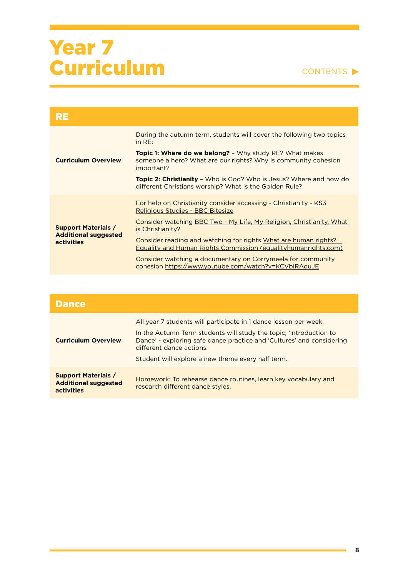| RE                                                                             |                                                                                                                                          |
|--------------------------------------------------------------------------------|------------------------------------------------------------------------------------------------------------------------------------------|
| <b>Curriculum Overview</b>                                                     | During the autumn term, students will cover the following two topics<br>in $RE:$                                                         |
|                                                                                | Topic 1: Where do we belong? - Why study RE? What makes<br>someone a hero? What are our rights? Why is community cohesion<br>important?  |
|                                                                                | <b>Topic 2: Christianity</b> - Who is God? Who is Jesus? Where and how do<br>different Christians worship? What is the Golden Rule?      |
| <b>Support Materials /</b><br><b>Additional suggested</b><br><b>activities</b> | For help on Christianity consider accessing - Christianity - KS3<br>Religious Studies - BBC Bitesize                                     |
|                                                                                | Consider watching BBC Two - My Life, My Religion, Christianity, What<br>is Christianity?                                                 |
|                                                                                | Consider reading and watching for rights What are human rights?<br><b>Equality and Human Rights Commission (equalityhumanrights.com)</b> |
|                                                                                | Consider watching a documentary on Corrymeela for community<br>cohesion https://www.youtube.com/watch?v=KCVbiRAouJE                      |

| <b>Dance</b>                                                            |                                                                                                                                                                                                                                                                                                  |
|-------------------------------------------------------------------------|--------------------------------------------------------------------------------------------------------------------------------------------------------------------------------------------------------------------------------------------------------------------------------------------------|
| <b>Curriculum Overview</b>                                              | All year 7 students will participate in 1 dance lesson per week.<br>In the Autumn Term students will study the topic; 'Introduction to<br>Dance' - exploring safe dance practice and 'Cultures' and considering<br>different dance actions.<br>Student will explore a new theme every half term. |
| <b>Support Materials /</b><br><b>Additional suggested</b><br>activities | Homework: To rehearse dance routines, learn key vocabulary and<br>research different dance styles.                                                                                                                                                                                               |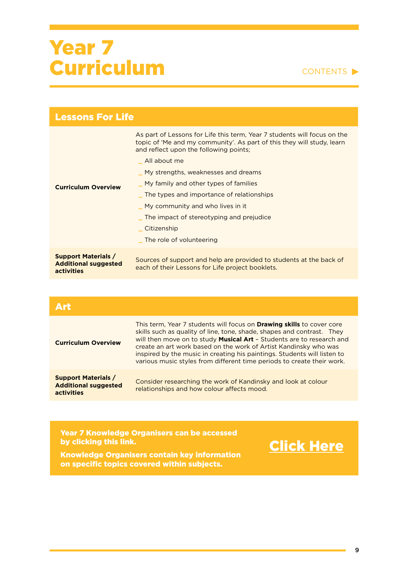#### CONTENTS

| <b>Lessons For Life</b>                                                 |                                                                                                                                                                                                                                                                                                                                                                                                                                                                      |
|-------------------------------------------------------------------------|----------------------------------------------------------------------------------------------------------------------------------------------------------------------------------------------------------------------------------------------------------------------------------------------------------------------------------------------------------------------------------------------------------------------------------------------------------------------|
| <b>Curriculum Overview</b>                                              | As part of Lessons for Life this term, Year 7 students will focus on the<br>topic of 'Me and my community'. As part of this they will study, learn<br>and reflect upon the following points;<br>All about me<br>My strengths, weaknesses and dreams<br>My family and other types of families<br>The types and importance of relationships<br>My community and who lives in it<br>The impact of stereotyping and prejudice<br>Citizenship<br>The role of volunteering |
| <b>Support Materials /</b><br><b>Additional suggested</b><br>activities | Sources of support and help are provided to students at the back of<br>each of their Lessons for Life project booklets.                                                                                                                                                                                                                                                                                                                                              |

| Art                                                                            |                                                                                                                                                                                                                                                                                                                                                                                                                                                    |
|--------------------------------------------------------------------------------|----------------------------------------------------------------------------------------------------------------------------------------------------------------------------------------------------------------------------------------------------------------------------------------------------------------------------------------------------------------------------------------------------------------------------------------------------|
| <b>Curriculum Overview</b>                                                     | This term, Year 7 students will focus on Drawing skills to cover core<br>skills such as quality of line, tone, shade, shapes and contrast. They<br>will then move on to study Musical Art - Students are to research and<br>create an art work based on the work of Artist Kandinsky who was<br>inspired by the music in creating his paintings. Students will listen to<br>various music styles from different time periods to create their work. |
| <b>Support Materials /</b><br><b>Additional suggested</b><br><b>activities</b> | Consider researching the work of Kandinsky and look at colour<br>relationships and how colour affects mood.                                                                                                                                                                                                                                                                                                                                        |

#### Year 7 Knowledge Organisers can be accessed by clicking this link.



Knowledge Organisers contain key information on specific topics covered within subjects.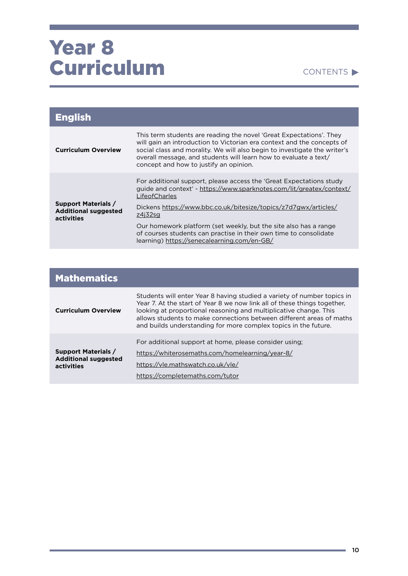| <b>English</b>                                                          |                                                                                                                                                                                                                                                                                                                                          |
|-------------------------------------------------------------------------|------------------------------------------------------------------------------------------------------------------------------------------------------------------------------------------------------------------------------------------------------------------------------------------------------------------------------------------|
| <b>Curriculum Overview</b>                                              | This term students are reading the novel 'Great Expectations'. They<br>will gain an introduction to Victorian era context and the concepts of<br>social class and morality. We will also begin to investigate the writer's<br>overall message, and students will learn how to evaluate a text/<br>concept and how to justify an opinion. |
| <b>Support Materials /</b><br><b>Additional suggested</b><br>activities | For additional support, please access the 'Great Expectations study<br>guide and context' - https://www.sparknotes.com/lit/greatex/context/<br>LifeofCharles                                                                                                                                                                             |
|                                                                         | Dickens https://www.bbc.co.uk/bitesize/topics/z7d7gwx/articles/<br>z4i32sg                                                                                                                                                                                                                                                               |
|                                                                         | Our homework platform (set weekly, but the site also has a range<br>of courses students can practise in their own time to consolidate<br>learning) https://senecalearning.com/en-GB/                                                                                                                                                     |

| <b>Mathematics</b>                                                      |                                                                                                                                                                                                                                                                                                                                                                     |
|-------------------------------------------------------------------------|---------------------------------------------------------------------------------------------------------------------------------------------------------------------------------------------------------------------------------------------------------------------------------------------------------------------------------------------------------------------|
| <b>Curriculum Overview</b>                                              | Students will enter Year 8 having studied a variety of number topics in<br>Year 7. At the start of Year 8 we now link all of these things together,<br>looking at proportional reasoning and multiplicative change. This<br>allows students to make connections between different areas of maths<br>and builds understanding for more complex topics in the future. |
| <b>Support Materials /</b><br><b>Additional suggested</b><br>activities | For additional support at home, please consider using;<br>https://whiterosemaths.com/homelearning/year-8/<br>https://vle.mathswatch.co.uk/vle/<br>https://completemaths.com/tutor                                                                                                                                                                                   |

٠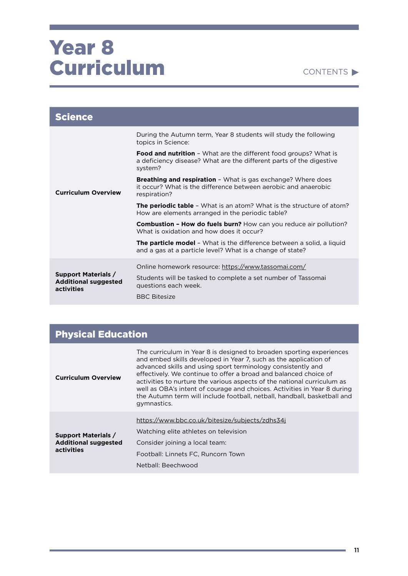| <b>Science</b>                                                          |                                                                                                                                                           |
|-------------------------------------------------------------------------|-----------------------------------------------------------------------------------------------------------------------------------------------------------|
| <b>Curriculum Overview</b>                                              | During the Autumn term, Year 8 students will study the following<br>topics in Science:                                                                    |
|                                                                         | <b>Food and nutrition</b> - What are the different food groups? What is<br>a deficiency disease? What are the different parts of the digestive<br>system? |
|                                                                         | Breathing and respiration - What is gas exchange? Where does<br>it occur? What is the difference between aerobic and anaerobic<br>respiration?            |
|                                                                         | <b>The periodic table -</b> What is an atom? What is the structure of atom?<br>How are elements arranged in the periodic table?                           |
|                                                                         | <b>Combustion - How do fuels burn?</b> How can you reduce air pollution?<br>What is oxidation and how does it occur?                                      |
|                                                                         | <b>The particle model</b> – What is the difference between a solid, a liquid<br>and a gas at a particle level? What is a change of state?                 |
| <b>Support Materials /</b><br><b>Additional suggested</b><br>activities | Online homework resource: https://www.tassomai.com/                                                                                                       |
|                                                                         | Students will be tasked to complete a set number of Tassomai<br>questions each week.                                                                      |
|                                                                         | <b>BBC Bitesize</b>                                                                                                                                       |

### Physical Education

| <b>Curriculum Overview</b>                                              | The curriculum in Year 8 is designed to broaden sporting experiences<br>and embed skills developed in Year 7, such as the application of<br>advanced skills and using sport terminology consistently and<br>effectively. We continue to offer a broad and balanced choice of<br>activities to nurture the various aspects of the national curriculum as<br>well as OBA's intent of courage and choices. Activities in Year 8 during<br>the Autumn term will include football, netball, handball, basketball and<br>gymnastics. |
|-------------------------------------------------------------------------|--------------------------------------------------------------------------------------------------------------------------------------------------------------------------------------------------------------------------------------------------------------------------------------------------------------------------------------------------------------------------------------------------------------------------------------------------------------------------------------------------------------------------------|
| <b>Support Materials /</b><br><b>Additional suggested</b><br>activities | https://www.bbc.co.uk/bitesize/subjects/zdhs34j<br>Watching elite athletes on television<br>Consider joining a local team:<br>Football: Linnets FC, Runcorn Town<br>Netball: Beechwood                                                                                                                                                                                                                                                                                                                                         |

and the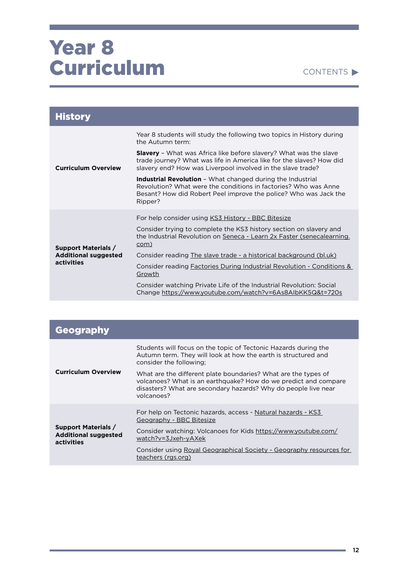| <b>History</b>                                                          |                                                                                                                                                                                                                     |
|-------------------------------------------------------------------------|---------------------------------------------------------------------------------------------------------------------------------------------------------------------------------------------------------------------|
| <b>Curriculum Overview</b>                                              | Year 8 students will study the following two topics in History during<br>the Autumn term:                                                                                                                           |
|                                                                         | <b>Slavery</b> - What was Africa like before slavery? What was the slave<br>trade journey? What was life in America like for the slaves? How did<br>slavery end? How was Liverpool involved in the slave trade?     |
|                                                                         | <b>Industrial Revolution</b> - What changed during the Industrial<br>Revolution? What were the conditions in factories? Who was Anne<br>Besant? How did Robert Peel improve the police? Who was Jack the<br>Ripper? |
|                                                                         | For help consider using KS3 History - BBC Bitesize                                                                                                                                                                  |
| <b>Support Materials /</b><br><b>Additional suggested</b><br>activities | Consider trying to complete the KS3 history section on slavery and<br>the Industrial Revolution on Seneca - Learn 2x Faster (senecalearning.<br>com)                                                                |
|                                                                         | Consider reading The slave trade - a historical background (bl.uk)                                                                                                                                                  |
|                                                                         | Consider reading Factories During Industrial Revolution - Conditions &<br>Growth                                                                                                                                    |
|                                                                         | Consider watching Private Life of the Industrial Revolution: Social<br>Change https://www.youtube.com/watch?v=6As8AlbKK5Q&t=720s                                                                                    |

| <b>Geography</b>                                                        |                                                                                                                                                                                                                   |
|-------------------------------------------------------------------------|-------------------------------------------------------------------------------------------------------------------------------------------------------------------------------------------------------------------|
| <b>Curriculum Overview</b>                                              | Students will focus on the topic of Tectonic Hazards during the<br>Autumn term. They will look at how the earth is structured and<br>consider the following;                                                      |
|                                                                         | What are the different plate boundaries? What are the types of<br>volcanoes? What is an earthquake? How do we predict and compare<br>disasters? What are secondary hazards? Why do people live near<br>volcanoes? |
| <b>Support Materials /</b><br><b>Additional suggested</b><br>activities | For help on Tectonic hazards, access - Natural hazards - KS3<br>Geography - BBC Bitesize                                                                                                                          |
|                                                                         | Consider watching: Volcanoes for Kids https://www.youtube.com/<br>watch?v=3Jxeh-yAXek                                                                                                                             |
|                                                                         | Consider using Royal Geographical Society - Geography resources for<br>teachers (rgs.org)                                                                                                                         |

**State State**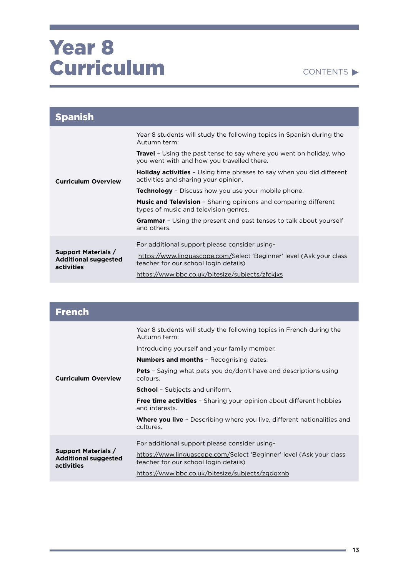| <b>Spanish</b>                                                          |                                                                                                                          |
|-------------------------------------------------------------------------|--------------------------------------------------------------------------------------------------------------------------|
| <b>Curriculum Overview</b>                                              | Year 8 students will study the following topics in Spanish during the<br>Autumn term:                                    |
|                                                                         | <b>Travel</b> - Using the past tense to say where you went on holiday, who<br>you went with and how you travelled there. |
|                                                                         | <b>Holiday activities</b> - Using time phrases to say when you did different<br>activities and sharing your opinion.     |
|                                                                         | <b>Technology</b> - Discuss how you use your mobile phone.                                                               |
|                                                                         | <b>Music and Television</b> - Sharing opinions and comparing different<br>types of music and television genres.          |
|                                                                         | <b>Grammar</b> - Using the present and past tenses to talk about yourself<br>and others.                                 |
|                                                                         | For additional support please consider using-                                                                            |
| <b>Support Materials /</b><br><b>Additional suggested</b><br>activities | https://www.linguascope.com/Select 'Beginner' level (Ask your class<br>teacher for our school login details)             |
|                                                                         | https://www.bbc.co.uk/bitesize/subjects/zfckjxs                                                                          |

| <b>French</b>                                                           |                                                                                                              |
|-------------------------------------------------------------------------|--------------------------------------------------------------------------------------------------------------|
|                                                                         | Year 8 students will study the following topics in French during the<br>Autumn term:                         |
|                                                                         | Introducing yourself and your family member.                                                                 |
|                                                                         | <b>Numbers and months</b> - Recognising dates.                                                               |
| <b>Curriculum Overview</b>                                              | <b>Pets</b> - Saying what pets you do/don't have and descriptions using<br>colours.                          |
|                                                                         | <b>School</b> - Subjects and uniform.                                                                        |
|                                                                         | <b>Free time activities</b> - Sharing your opinion about different hobbies<br>and interests.                 |
|                                                                         | <b>Where you live</b> - Describing where you live, different nationalities and<br>cultures.                  |
|                                                                         | For additional support please consider using-                                                                |
| <b>Support Materials /</b><br><b>Additional suggested</b><br>activities | https://www.linguascope.com/Select 'Beginner' level (Ask your class<br>teacher for our school login details) |
|                                                                         | https://www.bbc.co.uk/bitesize/subjects/zgdqxnb                                                              |

**State**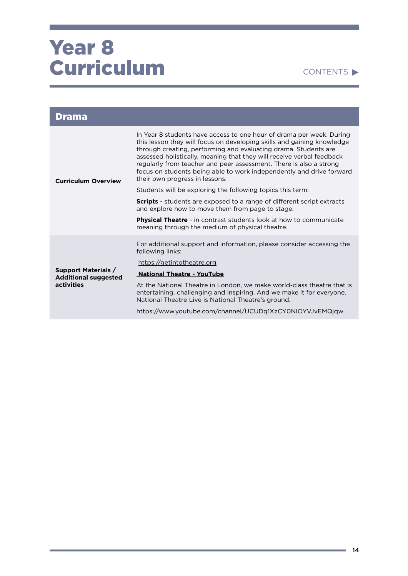| <b>Drama</b>                                                            |                                                                                                                                                                                                                                                                                                                                                                                                                                                                            |
|-------------------------------------------------------------------------|----------------------------------------------------------------------------------------------------------------------------------------------------------------------------------------------------------------------------------------------------------------------------------------------------------------------------------------------------------------------------------------------------------------------------------------------------------------------------|
| <b>Curriculum Overview</b>                                              | In Year 8 students have access to one hour of drama per week. During<br>this lesson they will focus on developing skills and gaining knowledge<br>through creating, performing and evaluating drama. Students are<br>assessed holistically, meaning that they will receive verbal feedback<br>regularly from teacher and peer assessment. There is also a strong<br>focus on students being able to work independently and drive forward<br>their own progress in lessons. |
|                                                                         | Students will be exploring the following topics this term:                                                                                                                                                                                                                                                                                                                                                                                                                 |
|                                                                         | <b>Scripts</b> - students are exposed to a range of different script extracts<br>and explore how to move them from page to stage.                                                                                                                                                                                                                                                                                                                                          |
|                                                                         | <b>Physical Theatre - in contrast students look at how to communicate</b><br>meaning through the medium of physical theatre.                                                                                                                                                                                                                                                                                                                                               |
|                                                                         | For additional support and information, please consider accessing the<br>following links:                                                                                                                                                                                                                                                                                                                                                                                  |
|                                                                         | https://getintotheatre.org                                                                                                                                                                                                                                                                                                                                                                                                                                                 |
| <b>Support Materials /</b><br><b>Additional suggested</b><br>activities | <b>National Theatre - YouTube</b>                                                                                                                                                                                                                                                                                                                                                                                                                                          |
|                                                                         | At the National Theatre in London, we make world-class theatre that is<br>entertaining, challenging and inspiring. And we make it for everyone.<br>National Theatre Live is National Theatre's ground.                                                                                                                                                                                                                                                                     |
|                                                                         | https://www.youtube.com/channel/UCUDq1XzCY0NIOYVJvEMQjqw                                                                                                                                                                                                                                                                                                                                                                                                                   |

**State State**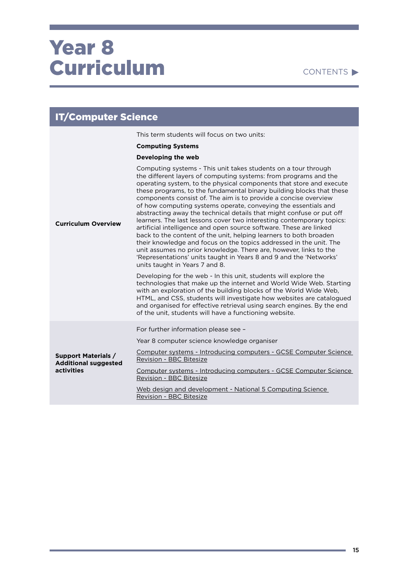|                                                                                | <b>IT/Computer Science</b>                                                                                                                                                                                                                                                                                                                                                                                                                                                                                                                                                                                                                                                                                                                                                                                                                                                                                                                                            |  |
|--------------------------------------------------------------------------------|-----------------------------------------------------------------------------------------------------------------------------------------------------------------------------------------------------------------------------------------------------------------------------------------------------------------------------------------------------------------------------------------------------------------------------------------------------------------------------------------------------------------------------------------------------------------------------------------------------------------------------------------------------------------------------------------------------------------------------------------------------------------------------------------------------------------------------------------------------------------------------------------------------------------------------------------------------------------------|--|
|                                                                                | This term students will focus on two units:                                                                                                                                                                                                                                                                                                                                                                                                                                                                                                                                                                                                                                                                                                                                                                                                                                                                                                                           |  |
|                                                                                | <b>Computing Systems</b>                                                                                                                                                                                                                                                                                                                                                                                                                                                                                                                                                                                                                                                                                                                                                                                                                                                                                                                                              |  |
|                                                                                | Developing the web                                                                                                                                                                                                                                                                                                                                                                                                                                                                                                                                                                                                                                                                                                                                                                                                                                                                                                                                                    |  |
| <b>Curriculum Overview</b>                                                     | Computing systems - This unit takes students on a tour through<br>the different layers of computing systems: from programs and the<br>operating system, to the physical components that store and execute<br>these programs, to the fundamental binary building blocks that these<br>components consist of. The aim is to provide a concise overview<br>of how computing systems operate, conveying the essentials and<br>abstracting away the technical details that might confuse or put off<br>learners. The last lessons cover two interesting contemporary topics:<br>artificial intelligence and open source software. These are linked<br>back to the content of the unit, helping learners to both broaden<br>their knowledge and focus on the topics addressed in the unit. The<br>unit assumes no prior knowledge. There are, however, links to the<br>'Representations' units taught in Years 8 and 9 and the 'Networks'<br>units taught in Years 7 and 8. |  |
|                                                                                | Developing for the web - In this unit, students will explore the<br>technologies that make up the internet and World Wide Web. Starting<br>with an exploration of the building blocks of the World Wide Web,<br>HTML, and CSS, students will investigate how websites are catalogued<br>and organised for effective retrieval using search engines. By the end<br>of the unit, students will have a functioning website.                                                                                                                                                                                                                                                                                                                                                                                                                                                                                                                                              |  |
|                                                                                | For further information please see -                                                                                                                                                                                                                                                                                                                                                                                                                                                                                                                                                                                                                                                                                                                                                                                                                                                                                                                                  |  |
|                                                                                | Year 8 computer science knowledge organiser                                                                                                                                                                                                                                                                                                                                                                                                                                                                                                                                                                                                                                                                                                                                                                                                                                                                                                                           |  |
| <b>Support Materials /</b><br><b>Additional suggested</b><br><b>activities</b> | Computer systems - Introducing computers - GCSE Computer Science<br>Revision - BBC Bitesize                                                                                                                                                                                                                                                                                                                                                                                                                                                                                                                                                                                                                                                                                                                                                                                                                                                                           |  |
|                                                                                | Computer systems - Introducing computers - GCSE Computer Science<br>Revision - BBC Bitesize                                                                                                                                                                                                                                                                                                                                                                                                                                                                                                                                                                                                                                                                                                                                                                                                                                                                           |  |
|                                                                                | Web design and development - National 5 Computing Science<br><b>Revision - BBC Bitesize</b>                                                                                                                                                                                                                                                                                                                                                                                                                                                                                                                                                                                                                                                                                                                                                                                                                                                                           |  |

٠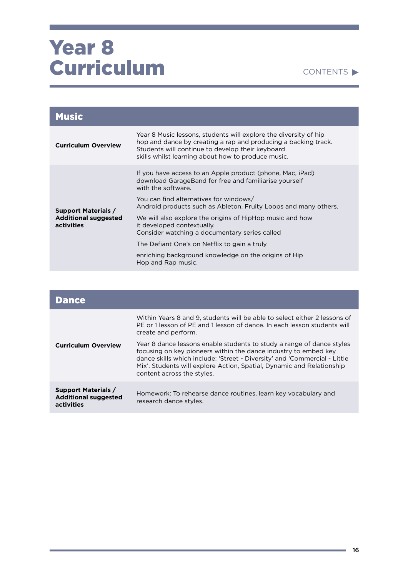#### CONTENTS

| <b>Music</b>                                                            |                                                                                                                                                                                                                                              |
|-------------------------------------------------------------------------|----------------------------------------------------------------------------------------------------------------------------------------------------------------------------------------------------------------------------------------------|
| <b>Curriculum Overview</b>                                              | Year 8 Music lessons, students will explore the diversity of hip<br>hop and dance by creating a rap and producing a backing track.<br>Students will continue to develop their keyboard<br>skills whilst learning about how to produce music. |
| <b>Support Materials /</b><br><b>Additional suggested</b><br>activities | If you have access to an Apple product (phone, Mac, iPad)<br>download GarageBand for free and familiarise yourself<br>with the software.                                                                                                     |
|                                                                         | You can find alternatives for windows/<br>Android products such as Ableton, Fruity Loops and many others.                                                                                                                                    |
|                                                                         | We will also explore the origins of HipHop music and how<br>it developed contextually.<br>Consider watching a documentary series called                                                                                                      |
|                                                                         | The Defiant One's on Netflix to gain a truly                                                                                                                                                                                                 |
|                                                                         | enriching background knowledge on the origins of Hip<br>Hop and Rap music.                                                                                                                                                                   |

| <b>Dance</b>                                                            |                                                                                                                                                                                                                                                                                                                              |
|-------------------------------------------------------------------------|------------------------------------------------------------------------------------------------------------------------------------------------------------------------------------------------------------------------------------------------------------------------------------------------------------------------------|
|                                                                         | Within Years 8 and 9, students will be able to select either 2 lessons of<br>PE or 1 lesson of PE and 1 lesson of dance. In each lesson students will<br>create and perform.                                                                                                                                                 |
| <b>Curriculum Overview</b>                                              | Year 8 dance lessons enable students to study a range of dance styles<br>focusing on key pioneers within the dance industry to embed key<br>dance skills which include: 'Street - Diversity' and 'Commercial - Little<br>Mix'. Students will explore Action, Spatial, Dynamic and Relationship<br>content across the styles. |
| <b>Support Materials /</b><br><b>Additional suggested</b><br>activities | Homework: To rehearse dance routines, learn key vocabulary and<br>research dance styles.                                                                                                                                                                                                                                     |

**STATISTICS**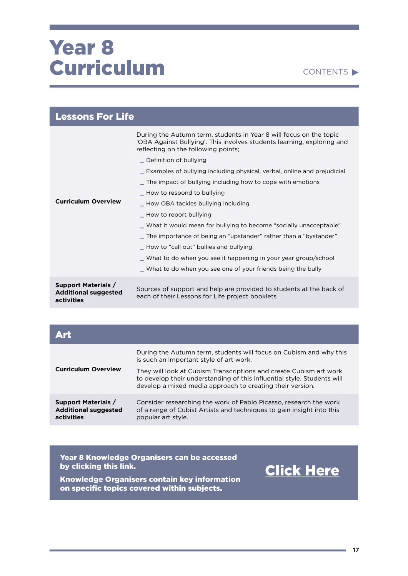#### CONTENTS

| <b>Lessons For Life</b>                                                 |                                                                                                                                                                                                                                                                                                                                                                                                                                                                                                                                                                                                                                                                                                                                |
|-------------------------------------------------------------------------|--------------------------------------------------------------------------------------------------------------------------------------------------------------------------------------------------------------------------------------------------------------------------------------------------------------------------------------------------------------------------------------------------------------------------------------------------------------------------------------------------------------------------------------------------------------------------------------------------------------------------------------------------------------------------------------------------------------------------------|
| <b>Curriculum Overview</b>                                              | During the Autumn term, students in Year 8 will focus on the topic<br>'OBA Against Bullying'. This involves students learning, exploring and<br>reflecting on the following points;<br>_ Definition of bullying<br>_ Examples of bullying including physical, verbal, online and prejudicial<br>$\_$ The impact of bullying including how to cope with emotions<br>_ How to respond to bullying<br>_ How OBA tackles bullying including<br>- How to report bullying<br>_ What it would mean for bullying to become "socially unacceptable"<br>_ The importance of being an "upstander" rather than a "bystander"<br>_ How to "call out" bullies and bullying<br>What to do when you see it happening in your year group/school |
|                                                                         | What to do when you see one of your friends being the bully                                                                                                                                                                                                                                                                                                                                                                                                                                                                                                                                                                                                                                                                    |
| <b>Support Materials /</b><br><b>Additional suggested</b><br>activities | Sources of support and help are provided to students at the back of<br>each of their Lessons for Life project booklets                                                                                                                                                                                                                                                                                                                                                                                                                                                                                                                                                                                                         |

| Art                                                                     |                                                                                                                                                                                                            |
|-------------------------------------------------------------------------|------------------------------------------------------------------------------------------------------------------------------------------------------------------------------------------------------------|
| <b>Curriculum Overview</b>                                              | During the Autumn term, students will focus on Cubism and why this<br>is such an important style of art work.                                                                                              |
|                                                                         | They will look at Cubism Transcriptions and create Cubism art work<br>to develop their understanding of this influential style. Students will<br>develop a mixed media approach to creating their version. |
| <b>Support Materials /</b><br><b>Additional suggested</b><br>activities | Consider researching the work of Pablo Picasso, research the work<br>of a range of Cubist Artists and techniques to gain insight into this<br>popular art style.                                           |

Year 8 Knowledge Organisers can be accessed by clicking this link.

Knowledge Organisers contain key information on specific topics covered within subjects.

[Click Here](https://drive.google.com/drive/folders/1J7cJwV8lxqspkHofgsrzSqFQSGR_TuSY?usp=sharing)

a.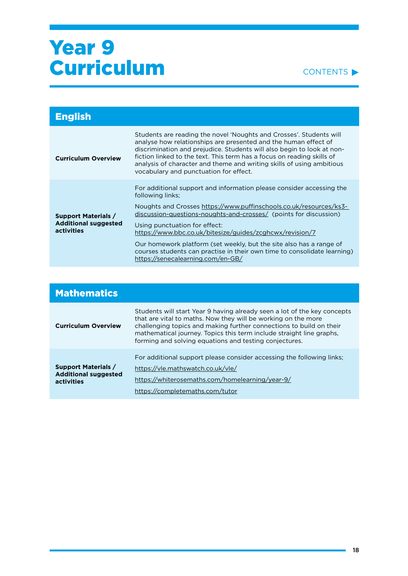#### CONTENTS<sup>></sup>

| <b>English</b>                                                          |                                                                                                                                                                                                                                                                                                                                                                                                               |
|-------------------------------------------------------------------------|---------------------------------------------------------------------------------------------------------------------------------------------------------------------------------------------------------------------------------------------------------------------------------------------------------------------------------------------------------------------------------------------------------------|
| <b>Curriculum Overview</b>                                              | Students are reading the novel 'Noughts and Crosses'. Students will<br>analyse how relationships are presented and the human effect of<br>discrimination and prejudice. Students will also begin to look at non-<br>fiction linked to the text. This term has a focus on reading skills of<br>analysis of character and theme and writing skills of using ambitious<br>vocabulary and punctuation for effect. |
| <b>Support Materials /</b><br><b>Additional suggested</b><br>activities | For additional support and information please consider accessing the<br>following links;                                                                                                                                                                                                                                                                                                                      |
|                                                                         | Noughts and Crosses https://www.puffinschools.co.uk/resources/ks3-<br>discussion-questions-noughts-and-crosses/ (points for discussion)                                                                                                                                                                                                                                                                       |
|                                                                         | Using punctuation for effect:<br>https://www.bbc.co.uk/bitesize/guides/zcghcwx/revision/7                                                                                                                                                                                                                                                                                                                     |
|                                                                         | Our homework platform (set weekly, but the site also has a range of<br>courses students can practise in their own time to consolidate learning)<br>https://senecalearning.com/en-GB/                                                                                                                                                                                                                          |

| <b>Mathematics</b>                                                      |                                                                                                                                                                                                                                                                                                                                                    |
|-------------------------------------------------------------------------|----------------------------------------------------------------------------------------------------------------------------------------------------------------------------------------------------------------------------------------------------------------------------------------------------------------------------------------------------|
| <b>Curriculum Overview</b>                                              | Students will start Year 9 having already seen a lot of the key concepts<br>that are vital to maths. Now they will be working on the more<br>challenging topics and making further connections to build on their<br>mathematical journey. Topics this term include straight line graphs,<br>forming and solving equations and testing conjectures. |
| <b>Support Materials /</b><br><b>Additional suggested</b><br>activities | For additional support please consider accessing the following links;<br>https://vle.mathswatch.co.uk/vle/<br>https://whiterosemaths.com/homelearning/year-9/<br>https://completemaths.com/tutor                                                                                                                                                   |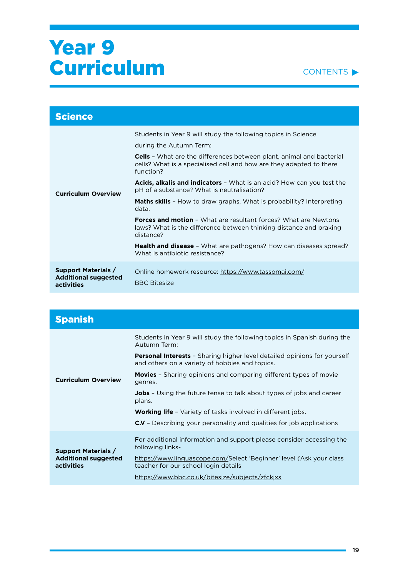

| <b>Science</b>                                                          |                                                                                                                                                                                                                                                                                                                                                                                                                                                                                                                                                                                                                                                                                                                                                              |
|-------------------------------------------------------------------------|--------------------------------------------------------------------------------------------------------------------------------------------------------------------------------------------------------------------------------------------------------------------------------------------------------------------------------------------------------------------------------------------------------------------------------------------------------------------------------------------------------------------------------------------------------------------------------------------------------------------------------------------------------------------------------------------------------------------------------------------------------------|
| <b>Curriculum Overview</b>                                              | Students in Year 9 will study the following topics in Science<br>during the Autumn Term:<br><b>Cells</b> - What are the differences between plant, animal and bacterial<br>cells? What is a specialised cell and how are they adapted to there<br>function?<br><b>Acids, alkalis and indicators</b> - What is an acid? How can you test the<br>pH of a substance? What is neutralisation?<br><b>Maths skills</b> - How to draw graphs. What is probability? Interpreting<br>data.<br><b>Forces and motion - What are resultant forces? What are Newtons</b><br>laws? What is the difference between thinking distance and braking<br>distance?<br><b>Health and disease</b> - What are pathogens? How can diseases spread?<br>What is antibiotic resistance? |
| <b>Support Materials /</b><br><b>Additional suggested</b><br>activities | Online homework resource: https://www.tassomai.com/<br><b>BBC Bitesize</b>                                                                                                                                                                                                                                                                                                                                                                                                                                                                                                                                                                                                                                                                                   |

| <b>Spanish</b>                                                          |                                                                                                                                   |
|-------------------------------------------------------------------------|-----------------------------------------------------------------------------------------------------------------------------------|
| <b>Curriculum Overview</b>                                              | Students in Year 9 will study the following topics in Spanish during the<br>Autumn Term:                                          |
|                                                                         | <b>Personal Interests</b> - Sharing higher level detailed opinions for yourself<br>and others on a variety of hobbies and topics. |
|                                                                         | <b>Movies</b> - Sharing opinions and comparing different types of movie<br>genres.                                                |
|                                                                         | <b>Jobs</b> - Using the future tense to talk about types of jobs and career<br>plans.                                             |
|                                                                         | <b>Working life</b> - Variety of tasks involved in different jobs.                                                                |
|                                                                         | C.V - Describing your personality and qualities for job applications                                                              |
| <b>Support Materials /</b><br><b>Additional suggested</b><br>activities | For additional information and support please consider accessing the<br>following links-                                          |
|                                                                         | https://www.linguascope.com/Select 'Beginner' level (Ask your class<br>teacher for our school login details                       |
|                                                                         | https://www.bbc.co.uk/bitesize/subjects/zfckjxs                                                                                   |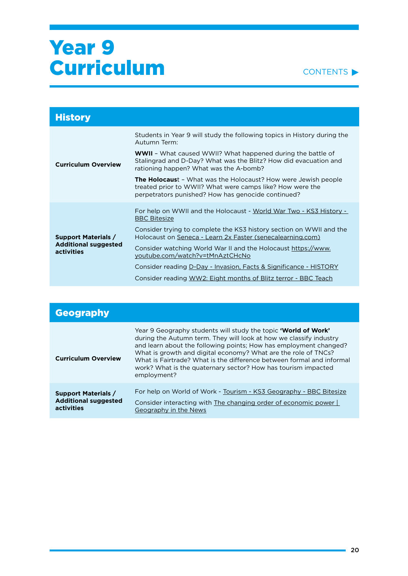

| <b>History</b>                                                          |                                                                                                                                                                                          |
|-------------------------------------------------------------------------|------------------------------------------------------------------------------------------------------------------------------------------------------------------------------------------|
| <b>Curriculum Overview</b>                                              | Students in Year 9 will study the following topics in History during the<br>Autumn Term:                                                                                                 |
|                                                                         | <b>WWII</b> - What caused WWII? What happened during the battle of<br>Stalingrad and D-Day? What was the Blitz? How did evacuation and<br>rationing happen? What was the A-bomb?         |
|                                                                         | <b>The Holocaust</b> - What was the Holocaust? How were Jewish people<br>treated prior to WWII? What were camps like? How were the<br>perpetrators punished? How has genocide continued? |
| <b>Support Materials /</b><br><b>Additional suggested</b><br>activities | For help on WWII and the Holocaust - World War Two - KS3 History -<br><b>BBC Bitesize</b>                                                                                                |
|                                                                         | Consider trying to complete the KS3 history section on WWII and the<br>Holocaust on Seneca - Learn 2x Faster (senecalearning.com)                                                        |
|                                                                         | Consider watching World War II and the Holocaust https://www.<br>youtube.com/watch?v=tMnAztCHcNo                                                                                         |
|                                                                         | Consider reading D-Day - Invasion, Facts & Significance - HISTORY<br>Consider reading WW2: Eight months of Blitz terror - BBC Teach                                                      |
|                                                                         |                                                                                                                                                                                          |

| <b>Geography</b>                                                        |                                                                                                                                                                                                                                                                                                                                                                                                                                             |
|-------------------------------------------------------------------------|---------------------------------------------------------------------------------------------------------------------------------------------------------------------------------------------------------------------------------------------------------------------------------------------------------------------------------------------------------------------------------------------------------------------------------------------|
| <b>Curriculum Overview</b>                                              | Year 9 Geography students will study the topic <b>'World of Work'</b><br>during the Autumn term. They will look at how we classify industry<br>and learn about the following points; How has employment changed?<br>What is growth and digital economy? What are the role of TNCs?<br>What is Fairtrade? What is the difference between formal and informal<br>work? What is the quaternary sector? How has tourism impacted<br>employment? |
| <b>Support Materials /</b><br><b>Additional suggested</b><br>activities | For help on World of Work - Tourism - KS3 Geography - BBC Bitesize<br>Consider interacting with The changing order of economic power  <br>Geography in the News                                                                                                                                                                                                                                                                             |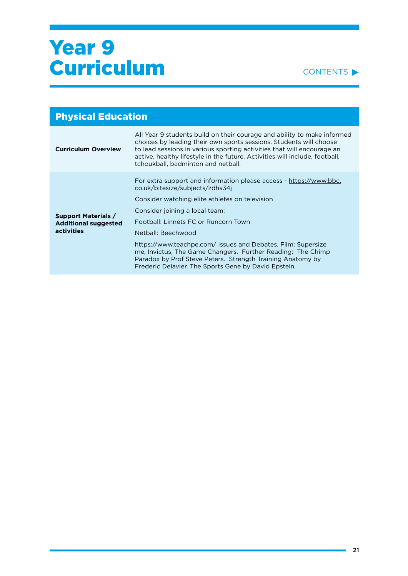#### CONTENTS<sup>></sup>

| <b>Physical Education</b>                                               |                                                                                                                                                                                                                                                                                                                                              |
|-------------------------------------------------------------------------|----------------------------------------------------------------------------------------------------------------------------------------------------------------------------------------------------------------------------------------------------------------------------------------------------------------------------------------------|
| <b>Curriculum Overview</b>                                              | All Year 9 students build on their courage and ability to make informed<br>choices by leading their own sports sessions. Students will choose<br>to lead sessions in various sporting activities that will encourage an<br>active, healthy lifestyle in the future. Activities will include, football,<br>tchoukball, badminton and netball. |
| <b>Support Materials /</b><br><b>Additional suggested</b><br>activities | For extra support and information please access - https://www.bbc.<br>co.uk/bitesize/subjects/zdhs34j<br>Consider watching elite athletes on television<br>Consider joining a local team:<br>Football: Linnets FC or Runcorn Town<br>Netball: Beechwood<br>https://www.teachpe.com/ Issues and Debates, Film: Supersize                      |
|                                                                         | me, Invictus, The Game Changers. Further Reading: The Chimp<br>Paradox by Prof Steve Peters. Strength Training Anatomy by<br>Frederic Delavier. The Sports Gene by David Epstein.                                                                                                                                                            |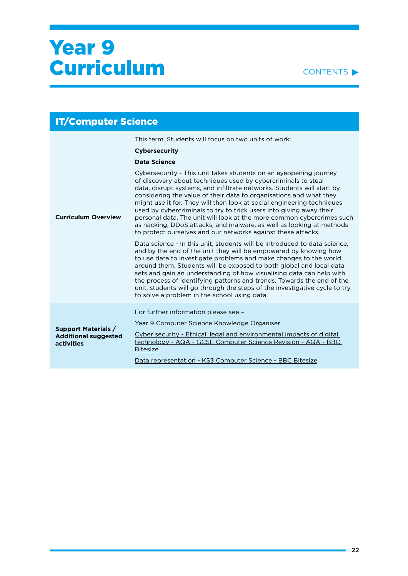

| <b>IT/Computer Science</b>                                              |                                                                                                                                                                                                                                                                                                                                                                                                                                                                                                                                                                                                                                                      |
|-------------------------------------------------------------------------|------------------------------------------------------------------------------------------------------------------------------------------------------------------------------------------------------------------------------------------------------------------------------------------------------------------------------------------------------------------------------------------------------------------------------------------------------------------------------------------------------------------------------------------------------------------------------------------------------------------------------------------------------|
|                                                                         | This term. Students will focus on two units of work:                                                                                                                                                                                                                                                                                                                                                                                                                                                                                                                                                                                                 |
|                                                                         | <b>Cybersecurity</b>                                                                                                                                                                                                                                                                                                                                                                                                                                                                                                                                                                                                                                 |
|                                                                         | <b>Data Science</b>                                                                                                                                                                                                                                                                                                                                                                                                                                                                                                                                                                                                                                  |
| <b>Curriculum Overview</b>                                              | Cybersecurity - This unit takes students on an eyeopening journey<br>of discovery about techniques used by cybercriminals to steal<br>data, disrupt systems, and infiltrate networks. Students will start by<br>considering the value of their data to organisations and what they<br>might use it for. They will then look at social engineering techniques<br>used by cybercriminals to try to trick users into giving away their<br>personal data. The unit will look at the more common cybercrimes such<br>as hacking, DDoS attacks, and malware, as well as looking at methods<br>to protect ourselves and our networks against these attacks. |
|                                                                         | Data science - In this unit, students will be introduced to data science,<br>and by the end of the unit they will be empowered by knowing how<br>to use data to investigate problems and make changes to the world<br>around them. Students will be exposed to both global and local data<br>sets and gain an understanding of how visualising data can help with<br>the process of identifying patterns and trends. Towards the end of the<br>unit, students will go through the steps of the investigative cycle to try<br>to solve a problem in the school using data.                                                                            |
|                                                                         | For further information please see -                                                                                                                                                                                                                                                                                                                                                                                                                                                                                                                                                                                                                 |
|                                                                         | Year 9 Computer Science Knowledge Organiser                                                                                                                                                                                                                                                                                                                                                                                                                                                                                                                                                                                                          |
| <b>Support Materials /</b><br><b>Additional suggested</b><br>activities | Cyber security - Ethical, legal and environmental impacts of digital<br>technology - AQA - GCSE Computer Science Revision - AQA - BBC<br><b>Bitesize</b>                                                                                                                                                                                                                                                                                                                                                                                                                                                                                             |
|                                                                         | Data representation - KS3 Computer Science - BBC Bitesize                                                                                                                                                                                                                                                                                                                                                                                                                                                                                                                                                                                            |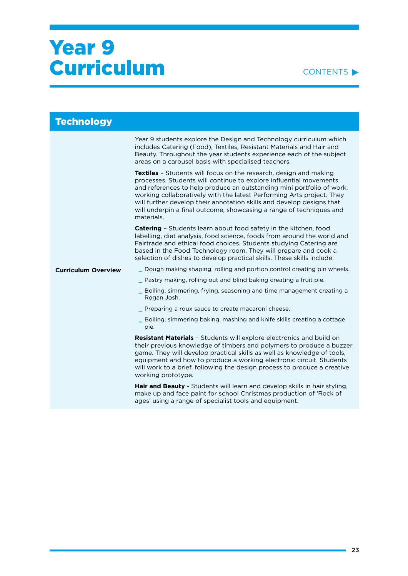#### CONTENTS<sup>></sup>

| <b>Technology</b>          |                                                                                                                                                                                                                                                                                                                                                                                                                                                         |
|----------------------------|---------------------------------------------------------------------------------------------------------------------------------------------------------------------------------------------------------------------------------------------------------------------------------------------------------------------------------------------------------------------------------------------------------------------------------------------------------|
|                            | Year 9 students explore the Design and Technology curriculum which<br>includes Catering (Food), Textiles, Resistant Materials and Hair and<br>Beauty. Throughout the year students experience each of the subject<br>areas on a carousel basis with specialised teachers.                                                                                                                                                                               |
|                            | Textiles - Students will focus on the research, design and making<br>processes. Students will continue to explore influential movements<br>and references to help produce an outstanding mini portfolio of work,<br>working collaboratively with the latest Performing Arts project. They<br>will further develop their annotation skills and develop designs that<br>will underpin a final outcome, showcasing a range of techniques and<br>materials. |
|                            | Catering - Students learn about food safety in the kitchen, food<br>labelling, diet analysis, food science, foods from around the world and<br>Fairtrade and ethical food choices. Students studying Catering are<br>based in the Food Technology room. They will prepare and cook a<br>selection of dishes to develop practical skills. These skills include:                                                                                          |
| <b>Curriculum Overview</b> | Dough making shaping, rolling and portion control creating pin wheels.                                                                                                                                                                                                                                                                                                                                                                                  |
|                            | Pastry making, rolling out and blind baking creating a fruit pie.                                                                                                                                                                                                                                                                                                                                                                                       |
|                            | Boiling, simmering, frying, seasoning and time management creating a<br>Rogan Josh.                                                                                                                                                                                                                                                                                                                                                                     |
|                            | Preparing a roux sauce to create macaroni cheese.                                                                                                                                                                                                                                                                                                                                                                                                       |
|                            | Boiling, simmering baking, mashing and knife skills creating a cottage<br>pie.                                                                                                                                                                                                                                                                                                                                                                          |
|                            | <b>Resistant Materials - Students will explore electronics and build on</b><br>their previous knowledge of timbers and polymers to produce a buzzer<br>game. They will develop practical skills as well as knowledge of tools,<br>equipment and how to produce a working electronic circuit. Students<br>will work to a brief, following the design process to produce a creative<br>working prototype.                                                 |
|                            | Hair and Beauty - Students will learn and develop skills in hair styling,<br>make up and face paint for school Christmas production of 'Rock of<br>ages' using a range of specialist tools and equipment.                                                                                                                                                                                                                                               |
|                            |                                                                                                                                                                                                                                                                                                                                                                                                                                                         |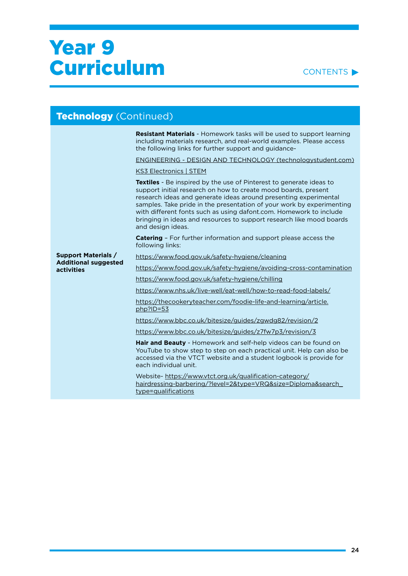#### CONTENTS<sup>></sup>

| Technology (Continued)                                    |                                                                                                                                                                                                                                                                                                                                                                                                                                                              |
|-----------------------------------------------------------|--------------------------------------------------------------------------------------------------------------------------------------------------------------------------------------------------------------------------------------------------------------------------------------------------------------------------------------------------------------------------------------------------------------------------------------------------------------|
|                                                           | <b>Resistant Materials</b> - Homework tasks will be used to support learning<br>including materials research, and real-world examples. Please access<br>the following links for further support and guidance-                                                                                                                                                                                                                                                |
|                                                           | ENGINEERING - DESIGN AND TECHNOLOGY (technologystudent.com)                                                                                                                                                                                                                                                                                                                                                                                                  |
|                                                           | <b>KS3 Electronics   STEM</b>                                                                                                                                                                                                                                                                                                                                                                                                                                |
|                                                           | <b>Textiles</b> - Be inspired by the use of Pinterest to generate ideas to<br>support initial research on how to create mood boards, present<br>research ideas and generate ideas around presenting experimental<br>samples. Take pride in the presentation of your work by experimenting<br>with different fonts such as using dafont.com. Homework to include<br>bringing in ideas and resources to support research like mood boards<br>and design ideas. |
|                                                           | <b>Catering</b> - For further information and support please access the<br>following links:                                                                                                                                                                                                                                                                                                                                                                  |
| <b>Support Materials /</b><br><b>Additional suggested</b> | https://www.food.gov.uk/safety-hygiene/cleaning                                                                                                                                                                                                                                                                                                                                                                                                              |
| activities                                                | https://www.food.gov.uk/safety-hygiene/avoiding-cross-contamination                                                                                                                                                                                                                                                                                                                                                                                          |
|                                                           | https://www.food.gov.uk/safety-hygiene/chilling                                                                                                                                                                                                                                                                                                                                                                                                              |
|                                                           | https://www.nhs.uk/live-well/eat-well/how-to-read-food-labels/                                                                                                                                                                                                                                                                                                                                                                                               |
|                                                           | https://thecookeryteacher.com/foodie-life-and-learning/article.<br>php?ID=53                                                                                                                                                                                                                                                                                                                                                                                 |
|                                                           | https://www.bbc.co.uk/bitesize/guides/zgwdg82/revision/2                                                                                                                                                                                                                                                                                                                                                                                                     |
|                                                           | https://www.bbc.co.uk/bitesize/guides/z7fw7p3/revision/3                                                                                                                                                                                                                                                                                                                                                                                                     |
|                                                           | <b>Hair and Beauty</b> - Homework and self-help videos can be found on<br>YouTube to show step to step on each practical unit. Help can also be<br>accessed via the VTCT website and a student logbook is provide for<br>each individual unit.                                                                                                                                                                                                               |
|                                                           | Website-https://www.vtct.org.uk/qualification-category/<br>hairdressing-barbering/?level=2&type=VRQ&size=Diploma&search<br>type=qualifications                                                                                                                                                                                                                                                                                                               |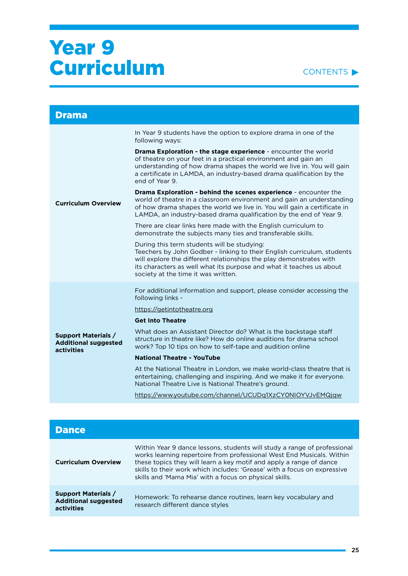

| <b>Drama</b>                                                                   |                                                                                                                                                                                                                                                                                                              |
|--------------------------------------------------------------------------------|--------------------------------------------------------------------------------------------------------------------------------------------------------------------------------------------------------------------------------------------------------------------------------------------------------------|
| <b>Curriculum Overview</b>                                                     | In Year 9 students have the option to explore drama in one of the<br>following ways:                                                                                                                                                                                                                         |
|                                                                                | Drama Exploration - the stage experience - encounter the world<br>of theatre on your feet in a practical environment and gain an<br>understanding of how drama shapes the world we live in. You will gain<br>a certificate in LAMDA, an industry-based drama qualification by the<br>end of Year 9.          |
|                                                                                | Drama Exploration - behind the scenes experience - encounter the<br>world of theatre in a classroom environment and gain an understanding<br>of how drama shapes the world we live in. You will gain a certificate in<br>LAMDA, an industry-based drama qualification by the end of Year 9.                  |
|                                                                                | There are clear links here made with the English curriculum to<br>demonstrate the subjects many ties and transferable skills.                                                                                                                                                                                |
|                                                                                | During this term students will be studying:<br>Teechers by John Godber - linking to their English curriculum, students<br>will explore the different relationships the play demonstrates with<br>its characters as well what its purpose and what it teaches us about<br>society at the time it was written. |
|                                                                                | For additional information and support, please consider accessing the<br>following links -                                                                                                                                                                                                                   |
| <b>Support Materials /</b><br><b>Additional suggested</b><br><b>activities</b> | https://getintotheatre.org                                                                                                                                                                                                                                                                                   |
|                                                                                | <b>Get Into Theatre</b>                                                                                                                                                                                                                                                                                      |
|                                                                                | What does an Assistant Director do? What is the backstage staff<br>structure in theatre like? How do online auditions for drama school<br>work? Top 10 tips on how to self-tape and audition online                                                                                                          |
|                                                                                | <b>National Theatre - YouTube</b>                                                                                                                                                                                                                                                                            |
|                                                                                | At the National Theatre in London, we make world-class theatre that is<br>entertaining, challenging and inspiring. And we make it for everyone.<br>National Theatre Live is National Theatre's ground.                                                                                                       |
|                                                                                | https://www.youtube.com/channel/UCUDq1XzCY0NIOYVJvEMQjqw                                                                                                                                                                                                                                                     |

| <b>Dance</b>                                                            |                                                                                                                                                                                                                                                                                                                                                                |
|-------------------------------------------------------------------------|----------------------------------------------------------------------------------------------------------------------------------------------------------------------------------------------------------------------------------------------------------------------------------------------------------------------------------------------------------------|
| <b>Curriculum Overview</b>                                              | Within Year 9 dance lessons, students will study a range of professional<br>works learning repertoire from professional West End Musicals. Within<br>these topics they will learn a key motif and apply a range of dance<br>skills to their work which includes: 'Grease' with a focus on expressive<br>skills and 'Mama Mia' with a focus on physical skills. |
| <b>Support Materials /</b><br><b>Additional suggested</b><br>activities | Homework: To rehearse dance routines, learn key vocabulary and<br>research different dance styles                                                                                                                                                                                                                                                              |

۰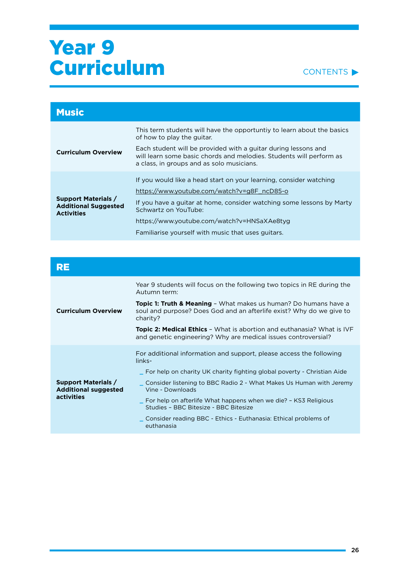

| <b>Music</b>                                                                   |                                                                                                                                                                                                                                                                                                                         |
|--------------------------------------------------------------------------------|-------------------------------------------------------------------------------------------------------------------------------------------------------------------------------------------------------------------------------------------------------------------------------------------------------------------------|
|                                                                                | This term students will have the opportuntly to learn about the basics<br>of how to play the guitar.                                                                                                                                                                                                                    |
| <b>Curriculum Overview</b>                                                     | Each student will be provided with a quitar during lessons and<br>will learn some basic chords and melodies. Students will perform as<br>a class, in groups and as solo musicians.                                                                                                                                      |
| <b>Support Materials /</b><br><b>Additional Suggested</b><br><b>Activities</b> | If you would like a head start on your learning, consider watching<br>https://www.youtube.com/watch?v=g8F_ncD85-o<br>If you have a guitar at home, consider watching some lessons by Marty<br>Schwartz on YouTube:<br>https://www.youtube.com/watch?v=HNSaXAe8tyg<br>Familiarise yourself with music that uses guitars. |

| RE                                                                      |                                                                                                                                                                 |
|-------------------------------------------------------------------------|-----------------------------------------------------------------------------------------------------------------------------------------------------------------|
| <b>Curriculum Overview</b>                                              | Year 9 students will focus on the following two topics in RE during the<br>Autumn term:                                                                         |
|                                                                         | <b>Topic 1: Truth &amp; Meaning -</b> What makes us human? Do humans have a<br>soul and purpose? Does God and an afterlife exist? Why do we give to<br>charity? |
|                                                                         | <b>Topic 2: Medical Ethics</b> - What is abortion and euthanasia? What is IVF<br>and genetic engineering? Why are medical issues controversial?                 |
|                                                                         | For additional information and support, please access the following<br>links-                                                                                   |
|                                                                         | _ For help on charity UK charity fighting global poverty - Christian Aide                                                                                       |
| <b>Support Materials /</b><br><b>Additional suggested</b><br>activities | ∟ Consider listening to BBC Radio 2 - What Makes Us Human with Jeremy<br>Vine - Downloads                                                                       |
|                                                                         | _ For help on afterlife What happens when we die? - KS3 Religious<br>Studies - BBC Bitesize - BBC Bitesize                                                      |
|                                                                         | _ Consider reading BBC - Ethics - Euthanasia: Ethical problems of<br>euthanasia                                                                                 |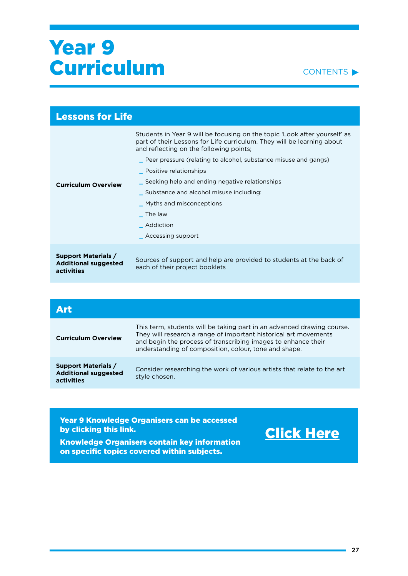#### CONTENTS<sup>></sup>

| <b>Lessons for Life</b>                                                 |                                                                                                                                                                                                                                                                                                                                                                                                                                                                         |
|-------------------------------------------------------------------------|-------------------------------------------------------------------------------------------------------------------------------------------------------------------------------------------------------------------------------------------------------------------------------------------------------------------------------------------------------------------------------------------------------------------------------------------------------------------------|
| <b>Curriculum Overview</b>                                              | Students in Year 9 will be focusing on the topic 'Look after yourself' as<br>part of their Lessons for Life curriculum. They will be learning about<br>and reflecting on the following points;<br>peer pressure (relating to alcohol, substance misuse and gangs)<br>_ Positive relationships<br>Seeking help and ending negative relationships<br>Substance and alcohol misuse including:<br>_ Myths and misconceptions<br>The law<br>Addiction<br>_ Accessing support |
| <b>Support Materials /</b><br><b>Additional suggested</b><br>activities | Sources of support and help are provided to students at the back of<br>each of their project booklets                                                                                                                                                                                                                                                                                                                                                                   |

| Δrt                                                                     |                                                                                                                                                                                                                                                                      |
|-------------------------------------------------------------------------|----------------------------------------------------------------------------------------------------------------------------------------------------------------------------------------------------------------------------------------------------------------------|
| <b>Curriculum Overview</b>                                              | This term, students will be taking part in an advanced drawing course.<br>They will research a range of important historical art movements<br>and begin the process of transcribing images to enhance their<br>understanding of composition, colour, tone and shape. |
| <b>Support Materials /</b><br><b>Additional suggested</b><br>activities | Consider researching the work of various artists that relate to the art<br>style chosen.                                                                                                                                                                             |
|                                                                         |                                                                                                                                                                                                                                                                      |

Year 9 Knowledge Organisers can be accessed by clicking this link.

### [Click Here](https://drive.google.com/drive/folders/1PwS38arOprZUmjKS_gUXGAH6xhuLG4Me?usp=sharing)

Knowledge Organisers contain key information on specific topics covered within subjects.

۰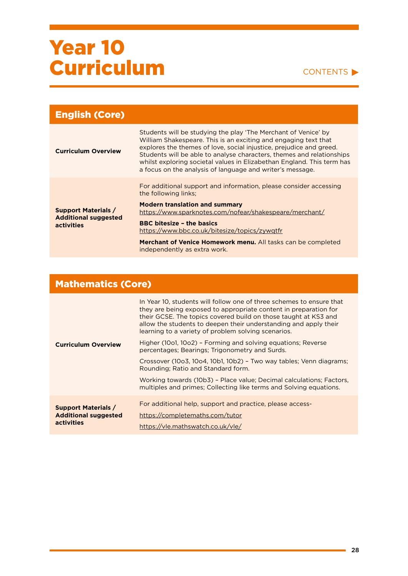#### CONTENTS

| <b>English (Core)</b>                                                   |                                                                                                                                                                                                                                                                                                                                                                                                                          |
|-------------------------------------------------------------------------|--------------------------------------------------------------------------------------------------------------------------------------------------------------------------------------------------------------------------------------------------------------------------------------------------------------------------------------------------------------------------------------------------------------------------|
| <b>Curriculum Overview</b>                                              | Students will be studying the play 'The Merchant of Venice' by<br>William Shakespeare. This is an exciting and engaging text that<br>explores the themes of love, social injustice, prejudice and greed.<br>Students will be able to analyse characters, themes and relationships<br>whilst exploring societal values in Elizabethan England. This term has<br>a focus on the analysis of language and writer's message. |
| <b>Support Materials /</b><br><b>Additional suggested</b><br>activities | For additional support and information, please consider accessing<br>the following links;                                                                                                                                                                                                                                                                                                                                |
|                                                                         | <b>Modern translation and summary</b><br>https://www.sparknotes.com/nofear/shakespeare/merchant/                                                                                                                                                                                                                                                                                                                         |
|                                                                         | <b>BBC bitesize - the basics</b><br>https://www.bbc.co.uk/bitesize/topics/zywgtfr                                                                                                                                                                                                                                                                                                                                        |
|                                                                         | Merchant of Venice Homework menu. All tasks can be completed<br>independently as extra work.                                                                                                                                                                                                                                                                                                                             |

### Mathematics (Core)

| <b>Curriculum Overview</b>  | In Year 10, students will follow one of three schemes to ensure that<br>they are being exposed to appropriate content in preparation for<br>their GCSE. The topics covered build on those taught at KS3 and<br>allow the students to deepen their understanding and apply their<br>learning to a variety of problem solving scenarios. |
|-----------------------------|----------------------------------------------------------------------------------------------------------------------------------------------------------------------------------------------------------------------------------------------------------------------------------------------------------------------------------------|
|                             | Higher (10o1, 10o2) - Forming and solving equations; Reverse<br>percentages; Bearings; Trigonometry and Surds.                                                                                                                                                                                                                         |
|                             | Crossover (10o3, 10o4, 10b1, 10b2) - Two way tables; Venn diagrams;<br>Rounding; Ratio and Standard form.                                                                                                                                                                                                                              |
|                             | Working towards (10b3) - Place value; Decimal calculations; Factors,<br>multiples and primes; Collecting like terms and Solving equations.                                                                                                                                                                                             |
| <b>Support Materials /</b>  | For additional help, support and practice, please access-                                                                                                                                                                                                                                                                              |
| <b>Additional suggested</b> | https://completemaths.com/tutor                                                                                                                                                                                                                                                                                                        |
| activities                  | https://vle.mathswatch.co.uk/vle/                                                                                                                                                                                                                                                                                                      |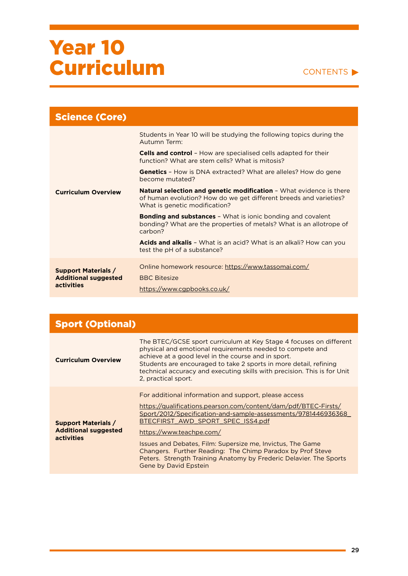| <b>Science (Core)</b>       |                                                                                                                                                                                  |
|-----------------------------|----------------------------------------------------------------------------------------------------------------------------------------------------------------------------------|
| <b>Curriculum Overview</b>  | Students in Year 10 will be studying the following topics during the<br>Autumn Term:                                                                                             |
|                             | <b>Cells and control</b> - How are specialised cells adapted for their<br>function? What are stem cells? What is mitosis?                                                        |
|                             | <b>Genetics</b> - How is DNA extracted? What are alleles? How do gene<br>become mutated?                                                                                         |
|                             | <b>Natural selection and genetic modification -</b> What evidence is there<br>of human evolution? How do we get different breeds and varieties?<br>What is genetic modification? |
|                             | <b>Bonding and substances -</b> What is ionic bonding and covalent<br>bonding? What are the properties of metals? What is an allotrope of<br>carbon?                             |
|                             | <b>Acids and alkalis</b> - What is an acid? What is an alkali? How can you<br>test the pH of a substance?                                                                        |
| <b>Support Materials /</b>  | Online homework resource: https://www.tassomai.com/                                                                                                                              |
| <b>Additional suggested</b> | <b>BBC Bitesize</b>                                                                                                                                                              |
| activities                  | https://www.cgpbooks.co.uk/                                                                                                                                                      |

| <b>Sport (Optional)</b>                                                        |                                                                                                                                                                                                                                                                                                                                                                                                                                                                                              |
|--------------------------------------------------------------------------------|----------------------------------------------------------------------------------------------------------------------------------------------------------------------------------------------------------------------------------------------------------------------------------------------------------------------------------------------------------------------------------------------------------------------------------------------------------------------------------------------|
| <b>Curriculum Overview</b>                                                     | The BTEC/GCSE sport curriculum at Key Stage 4 focuses on different<br>physical and emotional requirements needed to compete and<br>achieve at a good level in the course and in sport.<br>Students are encouraged to take 2 sports in more detail, refining<br>technical accuracy and executing skills with precision. This is for Unit<br>2, practical sport.                                                                                                                               |
| <b>Support Materials /</b><br><b>Additional suggested</b><br><b>activities</b> | For additional information and support, please access<br>https://qualifications.pearson.com/content/dam/pdf/BTEC-Firsts/<br>Sport/2012/Specification-and-sample-assessments/9781446936368<br>BTECFIRST AWD SPORT SPEC ISS4.pdf<br>https://www.teachpe.com/<br>Issues and Debates, Film: Supersize me, Invictus, The Game<br>Changers. Further Reading: The Chimp Paradox by Prof Steve<br>Peters. Strength Training Anatomy by Frederic Delavier. The Sports<br><b>Gene by David Epstein</b> |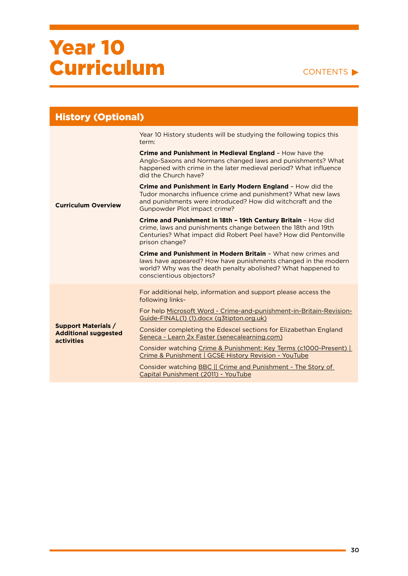| <b>History (Optional)</b>                                                      |                                                                                                                                                                                                                            |
|--------------------------------------------------------------------------------|----------------------------------------------------------------------------------------------------------------------------------------------------------------------------------------------------------------------------|
|                                                                                | Year 10 History students will be studying the following topics this<br>term:                                                                                                                                               |
|                                                                                | Crime and Punishment in Medieval England - How have the<br>Anglo-Saxons and Normans changed laws and punishments? What<br>happened with crime in the later medieval period? What influence<br>did the Church have?         |
| <b>Curriculum Overview</b>                                                     | Crime and Punishment in Early Modern England - How did the<br>Tudor monarchs influence crime and punishment? What new laws<br>and punishments were introduced? How did witchcraft and the<br>Gunpowder Plot impact crime?  |
|                                                                                | Crime and Punishment in 18th - 19th Century Britain - How did<br>crime, laws and punishments change between the 18th and 19th<br>Centuries? What impact did Robert Peel have? How did Pentonville<br>prison change?        |
|                                                                                | Crime and Punishment in Modern Britain - What new crimes and<br>laws have appeared? How have punishments changed in the modern<br>world? Why was the death penalty abolished? What happened to<br>conscientious objectors? |
|                                                                                | For additional help, information and support please access the<br>following links-                                                                                                                                         |
|                                                                                | For help Microsoft Word - Crime-and-punishment-in-Britain-Revision-<br>Guide-FINAL(1) (1).docx (q3tipton.org.uk)                                                                                                           |
| <b>Support Materials /</b><br><b>Additional suggested</b><br><b>activities</b> | Consider completing the Edexcel sections for Elizabethan England<br>Seneca - Learn 2x Faster (senecalearning.com)                                                                                                          |
|                                                                                | Consider watching Crime & Punishment: Key Terms (c1000-Present)<br>Crime & Punishment   GCSE History Revision - YouTube                                                                                                    |
|                                                                                | Consider watching BBC   Crime and Punishment - The Story of<br>Capital Punishment (2011) - YouTube                                                                                                                         |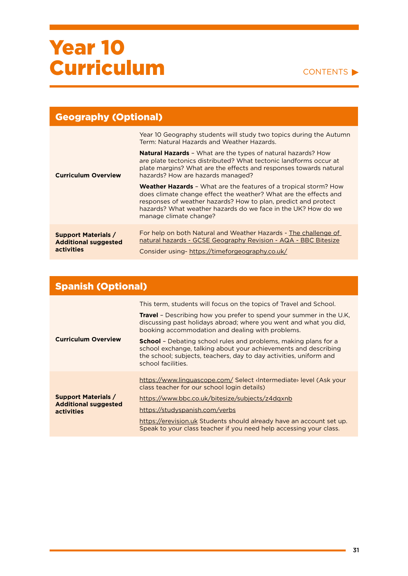#### CONTENTS

| <b>Geography (Optional)</b>                                             |                                                                                                                                                                                                                                                                                                          |
|-------------------------------------------------------------------------|----------------------------------------------------------------------------------------------------------------------------------------------------------------------------------------------------------------------------------------------------------------------------------------------------------|
| <b>Curriculum Overview</b>                                              | Year 10 Geography students will study two topics during the Autumn<br>Term: Natural Hazards and Weather Hazards.                                                                                                                                                                                         |
|                                                                         | <b>Natural Hazards -</b> What are the types of natural hazards? How<br>are plate tectonics distributed? What tectonic landforms occur at<br>plate margins? What are the effects and responses towards natural<br>hazards? How are hazards managed?                                                       |
|                                                                         | <b>Weather Hazards - What are the features of a tropical storm? How</b><br>does climate change effect the weather? What are the effects and<br>responses of weather hazards? How to plan, predict and protect<br>hazards? What weather hazards do we face in the UK? How do we<br>manage climate change? |
| <b>Support Materials /</b><br><b>Additional suggested</b><br>activities | For help on both Natural and Weather Hazards - The challenge of<br>natural hazards - GCSE Geography Revision - AQA - BBC Bitesize<br>Consider using-https://timeforgeography.co.uk/                                                                                                                      |

| <b>Spanish (Optional)</b>                                               |                                                                                                                                                                                                                                       |
|-------------------------------------------------------------------------|---------------------------------------------------------------------------------------------------------------------------------------------------------------------------------------------------------------------------------------|
|                                                                         | This term, students will focus on the topics of Travel and School.                                                                                                                                                                    |
| <b>Curriculum Overview</b>                                              | <b>Travel</b> – Describing how you prefer to spend your summer in the U.K.<br>discussing past holidays abroad; where you went and what you did,<br>booking accommodation and dealing with problems.                                   |
|                                                                         | <b>School</b> - Debating school rules and problems, making plans for a<br>school exchange, talking about your achievements and describing<br>the school; subjects, teachers, day to day activities, uniform and<br>school facilities. |
| <b>Support Materials /</b><br><b>Additional suggested</b><br>activities | https://www.linguascope.com/ Select dite> level (Ask your<br>class teacher for our school login details)                                                                                                                              |
|                                                                         | https://www.bbc.co.uk/bitesize/subjects/z4dgxnb                                                                                                                                                                                       |
|                                                                         | https://studyspanish.com/verbs                                                                                                                                                                                                        |
|                                                                         | https://erevision.uk Students should already have an account set up.<br>Speak to your class teacher if you need help accessing your class.                                                                                            |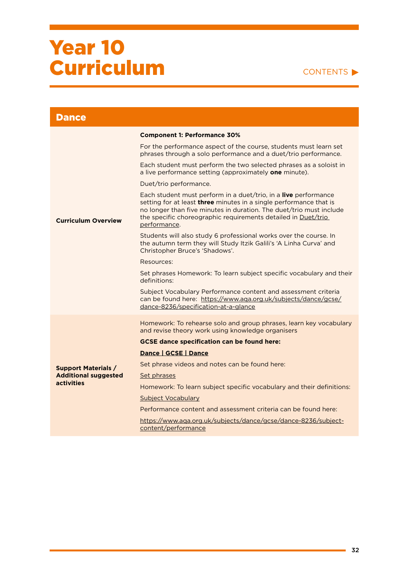| <b>Dance</b>                                     |                                                                                                                                                                                                                                                                                                             |
|--------------------------------------------------|-------------------------------------------------------------------------------------------------------------------------------------------------------------------------------------------------------------------------------------------------------------------------------------------------------------|
|                                                  | <b>Component 1: Performance 30%</b>                                                                                                                                                                                                                                                                         |
|                                                  | For the performance aspect of the course, students must learn set<br>phrases through a solo performance and a duet/trio performance.                                                                                                                                                                        |
|                                                  | Each student must perform the two selected phrases as a soloist in<br>a live performance setting (approximately one minute).                                                                                                                                                                                |
|                                                  | Duet/trio performance.                                                                                                                                                                                                                                                                                      |
| <b>Curriculum Overview</b>                       | Each student must perform in a duet/trio, in a <b>live</b> performance<br>setting for at least <b>three</b> minutes in a single performance that is<br>no longer than five minutes in duration. The duet/trio must include<br>the specific choreographic requirements detailed in Duet/trio<br>performance. |
|                                                  | Students will also study 6 professional works over the course. In<br>the autumn term they will Study Itzik Galili's 'A Linha Curva' and<br>Christopher Bruce's 'Shadows'.                                                                                                                                   |
|                                                  | Resources:                                                                                                                                                                                                                                                                                                  |
|                                                  | Set phrases Homework: To learn subject specific vocabulary and their<br>definitions:                                                                                                                                                                                                                        |
|                                                  | Subject Vocabulary Performance content and assessment criteria<br>can be found here: https://www.aqa.org.uk/subjects/dance/gcse/<br>dance-8236/specification-at-a-glance                                                                                                                                    |
|                                                  | Homework: To rehearse solo and group phrases, learn key vocabulary<br>and revise theory work using knowledge organisers                                                                                                                                                                                     |
|                                                  | <b>GCSE dance specification can be found here:</b>                                                                                                                                                                                                                                                          |
|                                                  | Dance   GCSE   Dance                                                                                                                                                                                                                                                                                        |
| <b>Support Materials /</b>                       | Set phrase videos and notes can be found here:                                                                                                                                                                                                                                                              |
| <b>Additional suggested</b><br><b>activities</b> | Set phrases                                                                                                                                                                                                                                                                                                 |
|                                                  | Homework: To learn subject specific vocabulary and their definitions:                                                                                                                                                                                                                                       |
|                                                  | Subject Vocabulary                                                                                                                                                                                                                                                                                          |
|                                                  | Performance content and assessment criteria can be found here:                                                                                                                                                                                                                                              |
|                                                  | https://www.aqa.org.uk/subjects/dance/gcse/dance-8236/subject-<br>content/performance                                                                                                                                                                                                                       |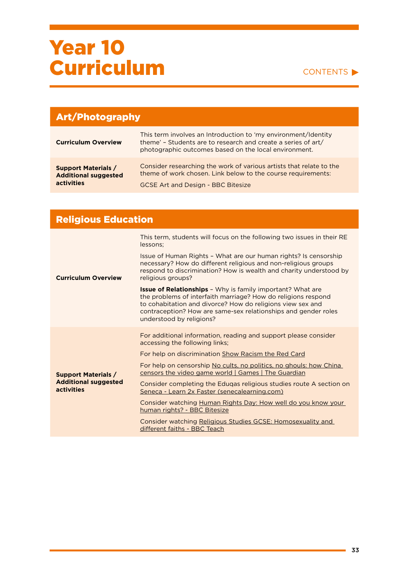#### CONTENTS

| <b>Art/Photography</b>                                                  |                                                                                                                                                                                          |
|-------------------------------------------------------------------------|------------------------------------------------------------------------------------------------------------------------------------------------------------------------------------------|
| <b>Curriculum Overview</b>                                              | This term involves an Introduction to 'my environment/Identity<br>theme' - Students are to research and create a series of art/<br>photographic outcomes based on the local environment. |
| <b>Support Materials /</b><br><b>Additional suggested</b><br>activities | Consider researching the work of various artists that relate to the<br>theme of work chosen. Link below to the course requirements:<br><b>GCSE Art and Design - BBC Bitesize</b>         |

### Religious Education

| <b>Curriculum Overview</b>                                              | This term, students will focus on the following two issues in their RE<br>lessons:                                                                                                                                                                                                             |
|-------------------------------------------------------------------------|------------------------------------------------------------------------------------------------------------------------------------------------------------------------------------------------------------------------------------------------------------------------------------------------|
|                                                                         | Issue of Human Rights - What are our human rights? Is censorship<br>necessary? How do different religious and non-religious groups<br>respond to discrimination? How is wealth and charity understood by<br>religious groups?                                                                  |
|                                                                         | <b>Issue of Relationships</b> - Why is family important? What are<br>the problems of interfaith marriage? How do religions respond<br>to cohabitation and divorce? How do religions view sex and<br>contraception? How are same-sex relationships and gender roles<br>understood by religions? |
|                                                                         | For additional information, reading and support please consider<br>accessing the following links;                                                                                                                                                                                              |
|                                                                         | For help on discrimination Show Racism the Red Card                                                                                                                                                                                                                                            |
| <b>Support Materials /</b><br><b>Additional suggested</b><br>activities | For help on censorship No cults, no politics, no ghouls: how China<br><u>censors the video game world   Games   The Guardian</u>                                                                                                                                                               |
|                                                                         | Consider completing the Eduqas religious studies route A section on<br>Seneca - Learn 2x Faster (senecalearning.com)                                                                                                                                                                           |
|                                                                         | Consider watching Human Rights Day: How well do you know your<br>human rights? - BBC Bitesize                                                                                                                                                                                                  |
|                                                                         | Consider watching Religious Studies GCSE: Homosexuality and<br>different faiths - BBC Teach                                                                                                                                                                                                    |

÷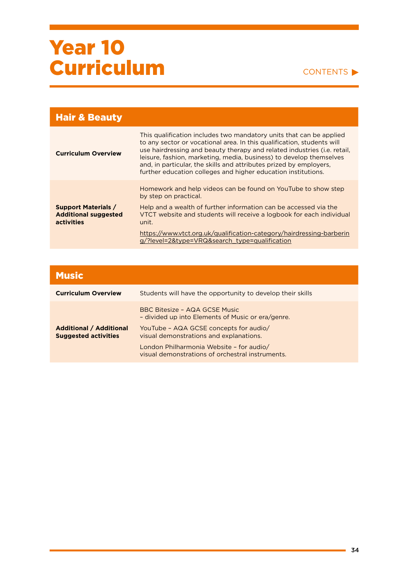| <b>Hair &amp; Beauty</b>                                                |                                                                                                                                                                                                                                                                                                                                                                                                                                                 |
|-------------------------------------------------------------------------|-------------------------------------------------------------------------------------------------------------------------------------------------------------------------------------------------------------------------------------------------------------------------------------------------------------------------------------------------------------------------------------------------------------------------------------------------|
| <b>Curriculum Overview</b>                                              | This qualification includes two mandatory units that can be applied<br>to any sector or vocational area. In this qualification, students will<br>use hairdressing and beauty therapy and related industries ( <i>i.e.</i> retail,<br>leisure, fashion, marketing, media, business) to develop themselves<br>and, in particular, the skills and attributes prized by employers.<br>further education colleges and higher education institutions. |
| <b>Support Materials /</b><br><b>Additional suggested</b><br>activities | Homework and help videos can be found on YouTube to show step<br>by step on practical.                                                                                                                                                                                                                                                                                                                                                          |
|                                                                         | Help and a wealth of further information can be accessed via the<br>VTCT website and students will receive a logbook for each individual<br>unit.                                                                                                                                                                                                                                                                                               |
|                                                                         | https://www.vtct.org.uk/qualification-category/hairdressing-barberin<br>g/?level=2&type=VRQ&search_type=qualification                                                                                                                                                                                                                                                                                                                           |

| <b>Music</b>                                                  |                                                                                              |
|---------------------------------------------------------------|----------------------------------------------------------------------------------------------|
| <b>Curriculum Overview</b>                                    | Students will have the opportunity to develop their skills                                   |
|                                                               | BBC Bitesize - AQA GCSE Music<br>- divided up into Elements of Music or era/genre.           |
| <b>Additional / Additional</b><br><b>Suggested activities</b> | YouTube - AQA GCSE concepts for audio/<br>visual demonstrations and explanations.            |
|                                                               | London Philharmonia Website - for audio/<br>visual demonstrations of orchestral instruments. |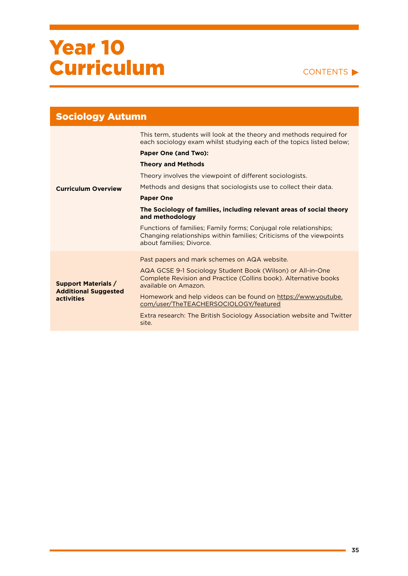| <b>Sociology Autumn</b>                                                 |                                                                                                                                                                       |
|-------------------------------------------------------------------------|-----------------------------------------------------------------------------------------------------------------------------------------------------------------------|
|                                                                         | This term, students will look at the theory and methods required for<br>each sociology exam whilst studying each of the topics listed below;                          |
|                                                                         | <b>Paper One (and Two):</b>                                                                                                                                           |
|                                                                         | <b>Theory and Methods</b>                                                                                                                                             |
|                                                                         | Theory involves the viewpoint of different sociologists.                                                                                                              |
| <b>Curriculum Overview</b>                                              | Methods and designs that sociologists use to collect their data.                                                                                                      |
|                                                                         | <b>Paper One</b>                                                                                                                                                      |
|                                                                         | The Sociology of families, including relevant areas of social theory<br>and methodology                                                                               |
|                                                                         | Functions of families; Family forms; Conjugal role relationships;<br>Changing relationships within families; Criticisms of the viewpoints<br>about families; Divorce. |
| <b>Support Materials /</b><br><b>Additional Suggested</b><br>activities | Past papers and mark schemes on AQA website.                                                                                                                          |
|                                                                         | AQA GCSE 9-1 Sociology Student Book (Wilson) or All-in-One<br>Complete Revision and Practice (Collins book). Alternative books<br>available on Amazon.                |
|                                                                         | Homework and help videos can be found on https://www.youtube.<br>com/user/TheTEACHERSOCIOLOGY/featured                                                                |
|                                                                         | Extra research: The British Sociology Association website and Twitter<br>site.                                                                                        |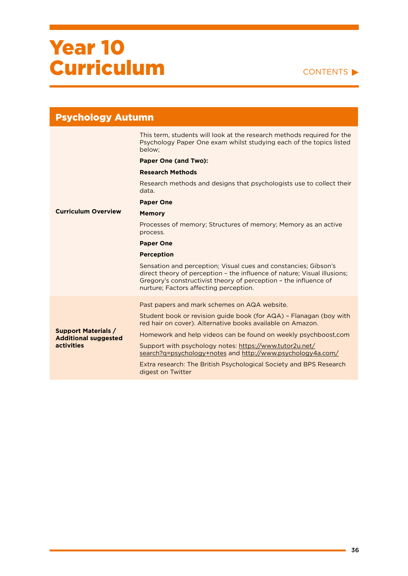| <b>Psychology Autumn</b>                                                       |                                                                                                                                                                                                                                                           |
|--------------------------------------------------------------------------------|-----------------------------------------------------------------------------------------------------------------------------------------------------------------------------------------------------------------------------------------------------------|
|                                                                                | This term, students will look at the research methods required for the<br>Psychology Paper One exam whilst studying each of the topics listed<br>below:                                                                                                   |
|                                                                                | <b>Paper One (and Two):</b>                                                                                                                                                                                                                               |
|                                                                                | <b>Research Methods</b>                                                                                                                                                                                                                                   |
|                                                                                | Research methods and designs that psychologists use to collect their<br>data.                                                                                                                                                                             |
|                                                                                | <b>Paper One</b>                                                                                                                                                                                                                                          |
| <b>Curriculum Overview</b>                                                     | <b>Memory</b>                                                                                                                                                                                                                                             |
|                                                                                | Processes of memory; Structures of memory; Memory as an active<br>process.                                                                                                                                                                                |
|                                                                                | <b>Paper One</b>                                                                                                                                                                                                                                          |
|                                                                                | <b>Perception</b>                                                                                                                                                                                                                                         |
|                                                                                | Sensation and perception; Visual cues and constancies; Gibson's<br>direct theory of perception - the influence of nature; Visual illusions;<br>Gregory's constructivist theory of perception - the influence of<br>nurture; Factors affecting perception. |
| <b>Support Materials /</b><br><b>Additional suggested</b><br><b>activities</b> | Past papers and mark schemes on AQA website.                                                                                                                                                                                                              |
|                                                                                | Student book or revision quide book (for AQA) - Flanagan (boy with<br>red hair on cover). Alternative books available on Amazon.                                                                                                                          |
|                                                                                | Homework and help videos can be found on weekly psychboost, com                                                                                                                                                                                           |
|                                                                                | Support with psychology notes: https://www.tutor2u.net/<br>search?q=psychology+notes and http://www.psychology4a.com/                                                                                                                                     |
|                                                                                | Extra research: The British Psychological Society and BPS Research<br>digest on Twitter                                                                                                                                                                   |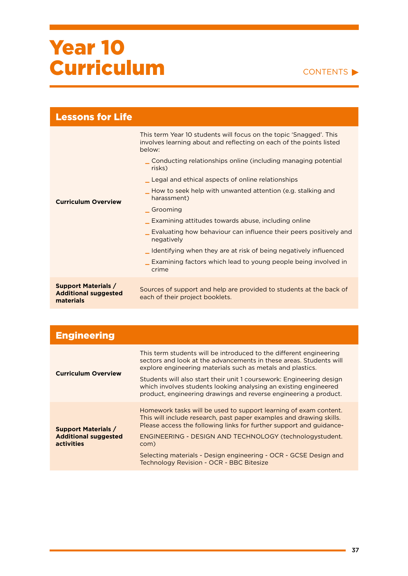#### CONTENTS<sup>></sup>

| <b>Lessons for Life</b>                                                |                                                                                                                                                     |
|------------------------------------------------------------------------|-----------------------------------------------------------------------------------------------------------------------------------------------------|
|                                                                        | This term Year 10 students will focus on the topic 'Snagged'. This<br>involves learning about and reflecting on each of the points listed<br>below: |
|                                                                        | Conducting relationships online (including managing potential<br>risks)                                                                             |
|                                                                        | Legal and ethical aspects of online relationships                                                                                                   |
| <b>Curriculum Overview</b>                                             | How to seek help with unwanted attention (e.g. stalking and<br>harassment)                                                                          |
|                                                                        | Grooming                                                                                                                                            |
|                                                                        | Examining attitudes towards abuse, including online                                                                                                 |
|                                                                        | Evaluating how behaviour can influence their peers positively and<br>negatively                                                                     |
|                                                                        | _ Identifying when they are at risk of being negatively influenced                                                                                  |
|                                                                        | Examining factors which lead to young people being involved in<br>crime                                                                             |
| <b>Support Materials /</b><br><b>Additional suggested</b><br>materials | Sources of support and help are provided to students at the back of<br>each of their project booklets.                                              |

| <b>Engineering</b>                                                             |                                                                                                                                                                                                                |
|--------------------------------------------------------------------------------|----------------------------------------------------------------------------------------------------------------------------------------------------------------------------------------------------------------|
| <b>Curriculum Overview</b>                                                     | This term students will be introduced to the different engineering<br>sectors and look at the advancements in these areas. Students will<br>explore engineering materials such as metals and plastics.         |
|                                                                                | Students will also start their unit 1 coursework: Engineering design<br>which involves students looking analysing an existing engineered<br>product, engineering drawings and reverse engineering a product.   |
| <b>Support Materials /</b><br><b>Additional suggested</b><br><b>activities</b> | Homework tasks will be used to support learning of exam content.<br>This will include research, past paper examples and drawing skills.<br>Please access the following links for further support and quidance- |
|                                                                                | <b>ENGINEERING - DESIGN AND TECHNOLOGY (technologystudent.</b><br>com)                                                                                                                                         |
|                                                                                | Selecting materials - Design engineering - OCR - GCSE Design and<br>Technology Revision - OCR - BBC Bitesize                                                                                                   |

۰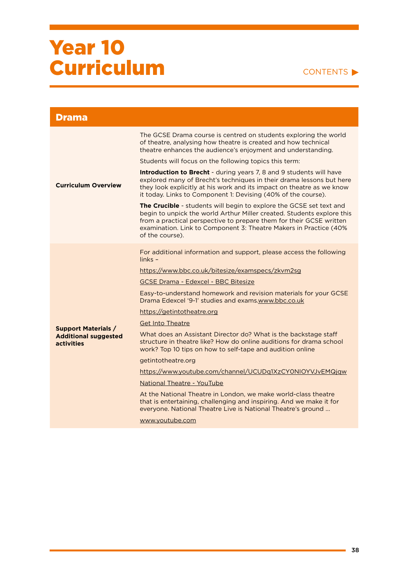| <b>Drama</b>                                     |                                                                                                                                                                                                                                                                                                                     |
|--------------------------------------------------|---------------------------------------------------------------------------------------------------------------------------------------------------------------------------------------------------------------------------------------------------------------------------------------------------------------------|
|                                                  | The GCSE Drama course is centred on students exploring the world<br>of theatre, analysing how theatre is created and how technical<br>theatre enhances the audience's enjoyment and understanding.                                                                                                                  |
|                                                  | Students will focus on the following topics this term:                                                                                                                                                                                                                                                              |
| <b>Curriculum Overview</b>                       | <b>Introduction to Brecht</b> - during years 7, 8 and 9 students will have<br>explored many of Brecht's techniques in their drama lessons but here<br>they look explicitly at his work and its impact on theatre as we know<br>it today. Links to Component 1: Devising (40% of the course).                        |
|                                                  | <b>The Crucible</b> - students will begin to explore the GCSE set text and<br>begin to unpick the world Arthur Miller created. Students explore this<br>from a practical perspective to prepare them for their GCSE written<br>examination. Link to Component 3: Theatre Makers in Practice (40%<br>of the course). |
|                                                  | For additional information and support, please access the following<br>$links -$                                                                                                                                                                                                                                    |
|                                                  | https://www.bbc.co.uk/bitesize/examspecs/zkvm2sg                                                                                                                                                                                                                                                                    |
|                                                  | <b>GCSE Drama - Edexcel - BBC Bitesize</b>                                                                                                                                                                                                                                                                          |
|                                                  | Easy-to-understand homework and revision materials for your GCSE<br>Drama Edexcel '9-1' studies and exams.www.bbc.co.uk                                                                                                                                                                                             |
|                                                  | https://getintotheatre.org                                                                                                                                                                                                                                                                                          |
| <b>Support Materials /</b>                       | <b>Get Into Theatre</b>                                                                                                                                                                                                                                                                                             |
| <b>Additional suggested</b><br><b>activities</b> | What does an Assistant Director do? What is the backstage staff<br>structure in theatre like? How do online auditions for drama school<br>work? Top 10 tips on how to self-tape and audition online                                                                                                                 |
|                                                  | getintotheatre.org                                                                                                                                                                                                                                                                                                  |
|                                                  | https://www.youtube.com/channel/UCUDq1XzCY0NIOYVJvEMQjqw                                                                                                                                                                                                                                                            |
|                                                  | <b>National Theatre - YouTube</b>                                                                                                                                                                                                                                                                                   |
|                                                  | At the National Theatre in London, we make world-class theatre<br>that is entertaining, challenging and inspiring. And we make it for<br>everyone. National Theatre Live is National Theatre's ground                                                                                                               |
|                                                  | www.youtube.com                                                                                                                                                                                                                                                                                                     |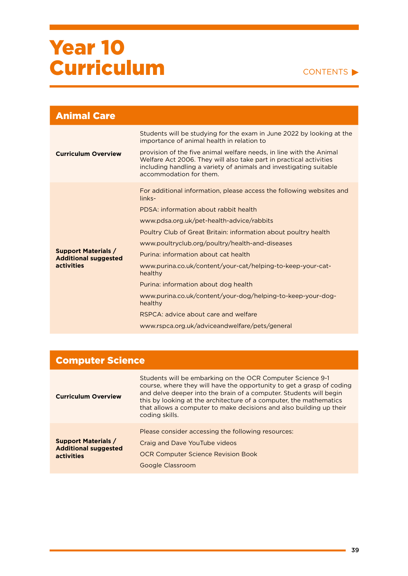#### CONTENTS

| Students will be studying for the exam in June 2022 by looking at the<br>importance of animal health in relation to<br>provision of the five animal welfare needs, in line with the Animal<br><b>Curriculum Overview</b><br>Welfare Act 2006. They will also take part in practical activities<br>including handling a variety of animals and investigating suitable<br>accommodation for them.<br>For additional information, please access the following websites and<br>links-<br>PDSA: information about rabbit health<br>www.pdsa.org.uk/pet-health-advice/rabbits<br>Poultry Club of Great Britain: information about poultry health<br>www.poultryclub.org/poultry/health-and-diseases<br><b>Support Materials /</b><br>Purina: information about cat health<br><b>Additional suggested</b><br>activities<br>www.purina.co.uk/content/your-cat/helping-to-keep-your-cat-<br>healthy<br>Purina: information about dog health<br>www.purina.co.uk/content/your-dog/helping-to-keep-your-dog-<br>healthy<br>RSPCA: advice about care and welfare | <b>Animal Care</b> |  |
|------------------------------------------------------------------------------------------------------------------------------------------------------------------------------------------------------------------------------------------------------------------------------------------------------------------------------------------------------------------------------------------------------------------------------------------------------------------------------------------------------------------------------------------------------------------------------------------------------------------------------------------------------------------------------------------------------------------------------------------------------------------------------------------------------------------------------------------------------------------------------------------------------------------------------------------------------------------------------------------------------------------------------------------------------|--------------------|--|
|                                                                                                                                                                                                                                                                                                                                                                                                                                                                                                                                                                                                                                                                                                                                                                                                                                                                                                                                                                                                                                                      |                    |  |
| www.rspca.org.uk/adviceandwelfare/pets/general                                                                                                                                                                                                                                                                                                                                                                                                                                                                                                                                                                                                                                                                                                                                                                                                                                                                                                                                                                                                       |                    |  |

| <b>Computer Science</b>                                                 |                                                                                                                                                                                                                                                                                                                                                                          |
|-------------------------------------------------------------------------|--------------------------------------------------------------------------------------------------------------------------------------------------------------------------------------------------------------------------------------------------------------------------------------------------------------------------------------------------------------------------|
| <b>Curriculum Overview</b>                                              | Students will be embarking on the OCR Computer Science 9-1<br>course, where they will have the opportunity to get a grasp of coding<br>and delve deeper into the brain of a computer. Students will begin<br>this by looking at the architecture of a computer, the mathematics<br>that allows a computer to make decisions and also building up their<br>coding skills. |
| <b>Support Materials /</b><br><b>Additional suggested</b><br>activities | Please consider accessing the following resources:<br>Craig and Dave YouTube videos<br><b>OCR Computer Science Revision Book</b><br><b>Google Classroom</b>                                                                                                                                                                                                              |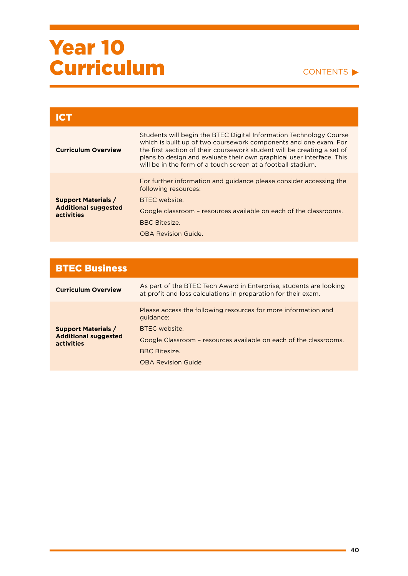#### CONTENTS<sup>></sup>

| Ісп                                                                     |                                                                                                                                                                                                                                                                                                                                                            |
|-------------------------------------------------------------------------|------------------------------------------------------------------------------------------------------------------------------------------------------------------------------------------------------------------------------------------------------------------------------------------------------------------------------------------------------------|
| <b>Curriculum Overview</b>                                              | Students will begin the BTEC Digital Information Technology Course<br>which is built up of two coursework components and one exam. For<br>the first section of their coursework student will be creating a set of<br>plans to design and evaluate their own graphical user interface. This<br>will be in the form of a touch screen at a football stadium. |
| <b>Support Materials /</b><br><b>Additional suggested</b><br>activities | For further information and guidance please consider accessing the<br>following resources:<br>BTEC website.                                                                                                                                                                                                                                                |
|                                                                         | Google classroom - resources available on each of the classrooms.                                                                                                                                                                                                                                                                                          |
|                                                                         | <b>BBC Bitesize.</b>                                                                                                                                                                                                                                                                                                                                       |
|                                                                         | <b>OBA Revision Guide.</b>                                                                                                                                                                                                                                                                                                                                 |

| <b>BTEC Business</b>                                                    |                                                                                                                                      |
|-------------------------------------------------------------------------|--------------------------------------------------------------------------------------------------------------------------------------|
| <b>Curriculum Overview</b>                                              | As part of the BTEC Tech Award in Enterprise, students are looking<br>at profit and loss calculations in preparation for their exam. |
| <b>Support Materials /</b><br><b>Additional suggested</b><br>activities | Please access the following resources for more information and<br>quidance:                                                          |
|                                                                         | BTFC website.<br>Google Classroom - resources available on each of the classrooms.                                                   |
|                                                                         | <b>BBC Bitesize.</b>                                                                                                                 |
|                                                                         | <b>OBA Revision Guide</b>                                                                                                            |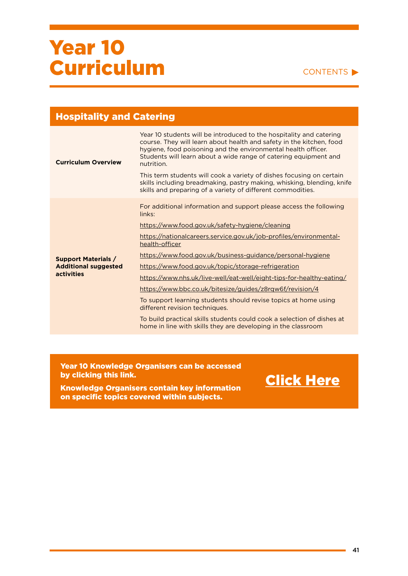#### CONTENTS

| <b>Hospitality and Catering</b> |                                                                                                                                                                                                                                                                                                                                                                                                                                                  |
|---------------------------------|--------------------------------------------------------------------------------------------------------------------------------------------------------------------------------------------------------------------------------------------------------------------------------------------------------------------------------------------------------------------------------------------------------------------------------------------------|
| <b>Curriculum Overview</b>      | Year 10 students will be introduced to the hospitality and catering<br>course. They will learn about health and safety in the kitchen, food<br>hygiene, food poisoning and the environmental health officer.<br>Students will learn about a wide range of catering equipment and<br>nutrition.<br>This term students will cook a variety of dishes focusing on certain<br>skills including breadmaking, pastry making, whisking, blending, knife |
|                                 | skills and preparing of a variety of different commodities.                                                                                                                                                                                                                                                                                                                                                                                      |
|                                 | For additional information and support please access the following<br>links:                                                                                                                                                                                                                                                                                                                                                                     |
|                                 | https://www.food.gov.uk/safety-hygiene/cleaning                                                                                                                                                                                                                                                                                                                                                                                                  |
|                                 | https://nationalcareers.service.gov.uk/job-profiles/environmental-<br>health-officer                                                                                                                                                                                                                                                                                                                                                             |
| <b>Support Materials /</b>      | https://www.food.gov.uk/business-guidance/personal-hygiene                                                                                                                                                                                                                                                                                                                                                                                       |
| <b>Additional suggested</b>     | https://www.food.gov.uk/topic/storage-refrigeration                                                                                                                                                                                                                                                                                                                                                                                              |
| <b>activities</b>               | https://www.nhs.uk/live-well/eat-well/eight-tips-for-healthy-eating/                                                                                                                                                                                                                                                                                                                                                                             |
|                                 | https://www.bbc.co.uk/bitesize/guides/z8rgw6f/revision/4                                                                                                                                                                                                                                                                                                                                                                                         |
|                                 | To support learning students should revise topics at home using<br>different revision techniques.                                                                                                                                                                                                                                                                                                                                                |
|                                 | To build practical skills students could cook a selection of dishes at<br>home in line with skills they are developing in the classroom                                                                                                                                                                                                                                                                                                          |
|                                 |                                                                                                                                                                                                                                                                                                                                                                                                                                                  |

Year 10 Knowledge Organisers can be accessed by clicking this link.

Knowledge Organisers contain key information on specific topics covered within subjects.

### [Click Here](https://drive.google.com/drive/folders/1Ac6WazasGY40VC4bZ32ZyEPtAf3678yk?usp=sharing)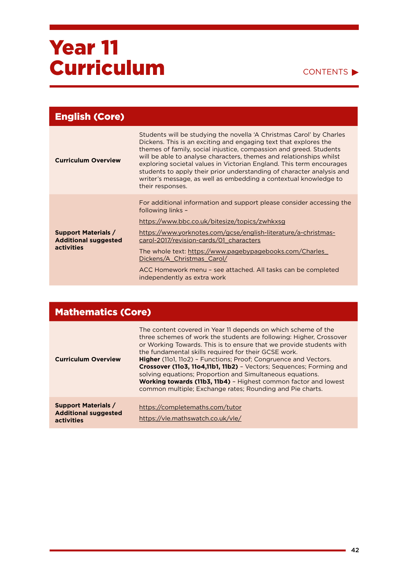#### CONTENTS<sup>></sup>

| <b>English (Core)</b>                                                          |                                                                                                                                                                                                                                                                                                                                                                                                                                                                                                                                |
|--------------------------------------------------------------------------------|--------------------------------------------------------------------------------------------------------------------------------------------------------------------------------------------------------------------------------------------------------------------------------------------------------------------------------------------------------------------------------------------------------------------------------------------------------------------------------------------------------------------------------|
| <b>Curriculum Overview</b>                                                     | Students will be studying the novella 'A Christmas Carol' by Charles<br>Dickens. This is an exciting and engaging text that explores the<br>themes of family, social injustice, compassion and greed. Students<br>will be able to analyse characters, themes and relationships whilst<br>exploring societal values in Victorian England. This term encourages<br>students to apply their prior understanding of character analysis and<br>writer's message, as well as embedding a contextual knowledge to<br>their responses. |
| <b>Support Materials /</b><br><b>Additional suggested</b><br><b>activities</b> | For additional information and support please consider accessing the<br>following links -<br>https://www.bbc.co.uk/bitesize/topics/zwhkxsg<br>https://www.yorknotes.com/gcse/english-literature/a-christmas-<br>carol-2017/revision-cards/01 characters<br>The whole text: https://www.pagebypagebooks.com/Charles<br>Dickens/A Christmas Carol/<br>ACC Homework menu – see attached. All tasks can be completed<br>independently as extra work                                                                                |

### Mathematics (Core)

| <b>Curriculum Overview</b>                                              | The content covered in Year 11 depends on which scheme of the<br>three schemes of work the students are following: Higher, Crossover<br>or Working Towards. This is to ensure that we provide students with<br>the fundamental skills required for their GCSE work.<br>Higher (1101, 1102) - Functions; Proof; Congruence and Vectors.<br>Crossover (1103, 1104, 11b1, 11b2) - Vectors; Sequences; Forming and<br>solving equations; Proportion and Simultaneous equations.<br>Working towards (11b3, 11b4) - Highest common factor and lowest<br>common multiple; Exchange rates; Rounding and Pie charts. |
|-------------------------------------------------------------------------|-------------------------------------------------------------------------------------------------------------------------------------------------------------------------------------------------------------------------------------------------------------------------------------------------------------------------------------------------------------------------------------------------------------------------------------------------------------------------------------------------------------------------------------------------------------------------------------------------------------|
| <b>Support Materials /</b><br><b>Additional suggested</b><br>activities | https://completemaths.com/tutor<br>https://vle.mathswatch.co.uk/vle/                                                                                                                                                                                                                                                                                                                                                                                                                                                                                                                                        |

ä,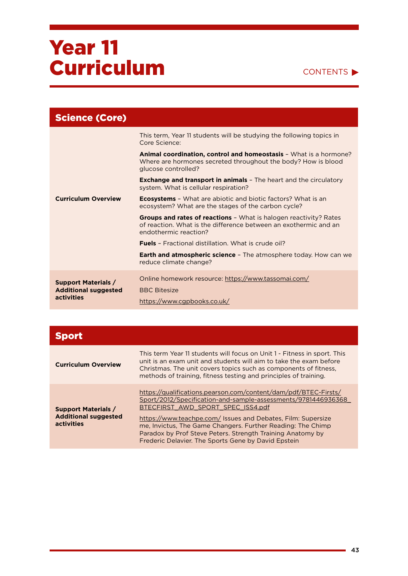### CONTENTS<sup>></sup>

| <b>Science (Core)</b>                                                   |                                                                                                                                                                       |
|-------------------------------------------------------------------------|-----------------------------------------------------------------------------------------------------------------------------------------------------------------------|
| <b>Curriculum Overview</b>                                              | This term, Year 11 students will be studying the following topics in<br>Core Science:                                                                                 |
|                                                                         | Animal coordination, control and homeostasis - What is a hormone?<br>Where are hormones secreted throughout the body? How is blood<br>glucose controlled?             |
|                                                                         | <b>Exchange and transport in animals</b> - The heart and the circulatory<br>system. What is cellular respiration?                                                     |
|                                                                         | <b>Ecosystems</b> - What are abiotic and biotic factors? What is an<br>ecosystem? What are the stages of the carbon cycle?                                            |
|                                                                         | <b>Groups and rates of reactions -</b> What is halogen reactivity? Rates<br>of reaction. What is the difference between an exothermic and an<br>endothermic reaction? |
|                                                                         | <b>Fuels</b> - Fractional distillation. What is crude oil?                                                                                                            |
|                                                                         | <b>Earth and atmospheric science - The atmosphere today. How can we</b><br>reduce climate change?                                                                     |
| <b>Support Materials /</b><br><b>Additional suggested</b><br>activities | Online homework resource: https://www.tassomai.com/                                                                                                                   |
|                                                                         | <b>BBC Bitesize</b><br>https://www.cgpbooks.co.uk/                                                                                                                    |

| <b>Sport</b>                                                            |                                                                                                                                                                                                                                                                                                                                                                                                                           |
|-------------------------------------------------------------------------|---------------------------------------------------------------------------------------------------------------------------------------------------------------------------------------------------------------------------------------------------------------------------------------------------------------------------------------------------------------------------------------------------------------------------|
| <b>Curriculum Overview</b>                                              | This term Year 11 students will focus on Unit 1 - Fitness in sport. This<br>unit is an exam unit and students will aim to take the exam before<br>Christmas. The unit covers topics such as components of fitness,<br>methods of training, fitness testing and principles of training.                                                                                                                                    |
| <b>Support Materials /</b><br><b>Additional suggested</b><br>activities | https://qualifications.pearson.com/content/dam/pdf/BTEC-Firsts/<br>Sport/2012/Specification-and-sample-assessments/9781446936368<br>BTECFIRST AWD SPORT SPEC ISS4.pdf<br>https://www.teachpe.com/ Issues and Debates, Film: Supersize<br>me, Invictus, The Game Changers. Further Reading: The Chimp<br>Paradox by Prof Steve Peters. Strength Training Anatomy by<br>Frederic Delavier. The Sports Gene by David Epstein |

ä,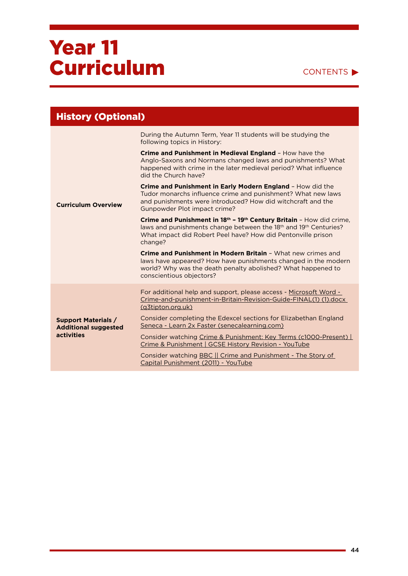### CONTENTS<sup>></sup>

| <b>History (Optional)</b>                                               |                                                                                                                                                                                                                                             |
|-------------------------------------------------------------------------|---------------------------------------------------------------------------------------------------------------------------------------------------------------------------------------------------------------------------------------------|
| <b>Curriculum Overview</b>                                              | During the Autumn Term, Year 11 students will be studying the<br>following topics in History:                                                                                                                                               |
|                                                                         | Crime and Punishment in Medieval England - How have the<br>Anglo-Saxons and Normans changed laws and punishments? What<br>happened with crime in the later medieval period? What influence<br>did the Church have?                          |
|                                                                         | Crime and Punishment in Early Modern England - How did the<br>Tudor monarchs influence crime and punishment? What new laws<br>and punishments were introduced? How did witchcraft and the<br>Gunpowder Plot impact crime?                   |
|                                                                         | Crime and Punishment in 18th - 19th Century Britain - How did crime,<br>laws and punishments change between the 18 <sup>th</sup> and 19 <sup>th</sup> Centuries?<br>What impact did Robert Peel have? How did Pentonville prison<br>change? |
|                                                                         | Crime and Punishment in Modern Britain - What new crimes and<br>laws have appeared? How have punishments changed in the modern<br>world? Why was the death penalty abolished? What happened to<br>conscientious objectors?                  |
| <b>Support Materials /</b><br><b>Additional suggested</b><br>activities | For additional help and support, please access - Microsoft Word -<br>Crime-and-punishment-in-Britain-Revision-Guide-FINAL(1) (1).docx<br>(g3tipton.org.uk)                                                                                  |
|                                                                         | Consider completing the Edexcel sections for Elizabethan England<br>Seneca - Learn 2x Faster (senecalearning.com)                                                                                                                           |
|                                                                         | Consider watching Crime & Punishment: Key Terms (c1000-Present)<br>Crime & Punishment   GCSE History Revision - YouTube                                                                                                                     |
|                                                                         | Consider watching BBC   Crime and Punishment - The Story of<br>Capital Punishment (2011) - YouTube                                                                                                                                          |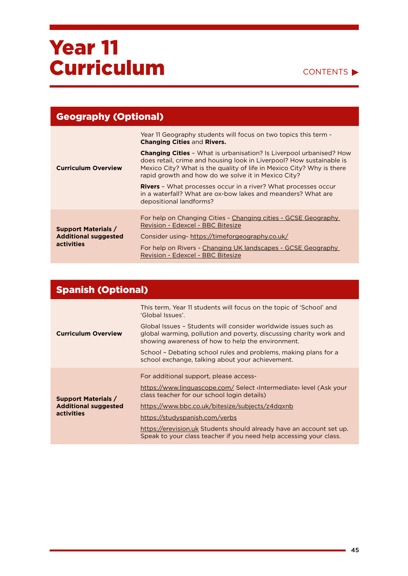

| <b>Geography (Optional)</b>                                             |                                                                                                                                                                                                                                                                                    |
|-------------------------------------------------------------------------|------------------------------------------------------------------------------------------------------------------------------------------------------------------------------------------------------------------------------------------------------------------------------------|
| <b>Curriculum Overview</b>                                              | Year 11 Geography students will focus on two topics this term -<br><b>Changing Cities and Rivers.</b>                                                                                                                                                                              |
|                                                                         | <b>Changing Cities -</b> What is urbanisation? Is Liverpool urbanised? How<br>does retail, crime and housing look in Liverpool? How sustainable is<br>Mexico City? What is the quality of life in Mexico City? Why is there<br>rapid growth and how do we solve it in Mexico City? |
|                                                                         | <b>Rivers -</b> What processes occur in a river? What processes occur<br>in a waterfall? What are ox-bow lakes and meanders? What are<br>depositional landforms?                                                                                                                   |
| <b>Support Materials /</b><br><b>Additional suggested</b><br>activities | For help on Changing Cities - Changing cities - GCSE Geography<br>Revision - Edexcel - BBC Bitesize                                                                                                                                                                                |
|                                                                         | Consider using-https://timeforgeography.co.uk/<br>For help on Rivers - Changing UK landscapes - GCSE Geography<br>Revision - Edexcel - BBC Bitesize                                                                                                                                |

| <b>Spanish (Optional)</b>                                                      |                                                                                                                                                                                            |
|--------------------------------------------------------------------------------|--------------------------------------------------------------------------------------------------------------------------------------------------------------------------------------------|
| <b>Curriculum Overview</b>                                                     | This term, Year 11 students will focus on the topic of 'School' and<br>'Global Issues'.                                                                                                    |
|                                                                                | Global Issues - Students will consider worldwide issues such as<br>global warming, pollution and poverty, discussing charity work and<br>showing awareness of how to help the environment. |
|                                                                                | School – Debating school rules and problems, making plans for a<br>school exchange, talking about your achievement.                                                                        |
|                                                                                | For additional support, please access-                                                                                                                                                     |
| <b>Support Materials /</b><br><b>Additional suggested</b><br><b>activities</b> | https://www.linguascope.com/ Select <lntermediate> level (Ask your<br/>class teacher for our school login details)</lntermediate>                                                          |
|                                                                                | https://www.bbc.co.uk/bitesize/subjects/z4dgxnb                                                                                                                                            |
|                                                                                | https://studyspanish.com/verbs                                                                                                                                                             |
|                                                                                | https://erevision.uk Students should already have an account set up.<br>Speak to your class teacher if you need help accessing your class.                                                 |

۰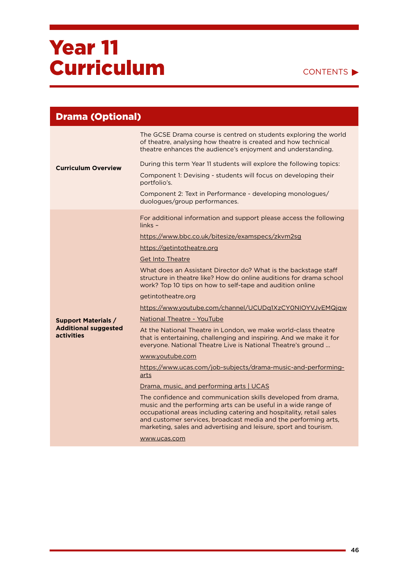### CONTENTS<sup>></sup>

| <b>Drama (Optional)</b>                          |                                                                                                                                                                                                                                                                                                                                               |
|--------------------------------------------------|-----------------------------------------------------------------------------------------------------------------------------------------------------------------------------------------------------------------------------------------------------------------------------------------------------------------------------------------------|
| <b>Curriculum Overview</b>                       | The GCSE Drama course is centred on students exploring the world<br>of theatre, analysing how theatre is created and how technical<br>theatre enhances the audience's enjoyment and understanding.                                                                                                                                            |
|                                                  | During this term Year 11 students will explore the following topics:<br>Component 1: Devising - students will focus on developing their<br>portfolio's.                                                                                                                                                                                       |
|                                                  | Component 2: Text in Performance - developing monologues/<br>duologues/group performances.                                                                                                                                                                                                                                                    |
|                                                  | For additional information and support please access the following<br>$links -$                                                                                                                                                                                                                                                               |
|                                                  | https://www.bbc.co.uk/bitesize/examspecs/zkvm2sg                                                                                                                                                                                                                                                                                              |
|                                                  | https://getintotheatre.org                                                                                                                                                                                                                                                                                                                    |
|                                                  | <b>Get Into Theatre</b>                                                                                                                                                                                                                                                                                                                       |
|                                                  | What does an Assistant Director do? What is the backstage staff<br>structure in theatre like? How do online auditions for drama school<br>work? Top 10 tips on how to self-tape and audition online                                                                                                                                           |
|                                                  | getintotheatre.org                                                                                                                                                                                                                                                                                                                            |
|                                                  | https://www.youtube.com/channel/UCUDq1XzCY0NIOYVJvEMQjqw                                                                                                                                                                                                                                                                                      |
| <b>Support Materials /</b>                       | National Theatre - YouTube                                                                                                                                                                                                                                                                                                                    |
| <b>Additional suggested</b><br><b>activities</b> | At the National Theatre in London, we make world-class theatre<br>that is entertaining, challenging and inspiring. And we make it for<br>everyone. National Theatre Live is National Theatre's ground                                                                                                                                         |
|                                                  | www.youtube.com                                                                                                                                                                                                                                                                                                                               |
|                                                  | https://www.ucas.com/job-subjects/drama-music-and-performing-<br>arts                                                                                                                                                                                                                                                                         |
|                                                  | Drama, music, and performing arts   UCAS                                                                                                                                                                                                                                                                                                      |
|                                                  | The confidence and communication skills developed from drama,<br>music and the performing arts can be useful in a wide range of<br>occupational areas including catering and hospitality, retail sales<br>and customer services, broadcast media and the performing arts,<br>marketing, sales and advertising and leisure, sport and tourism. |
|                                                  | www.ucas.com                                                                                                                                                                                                                                                                                                                                  |

ä,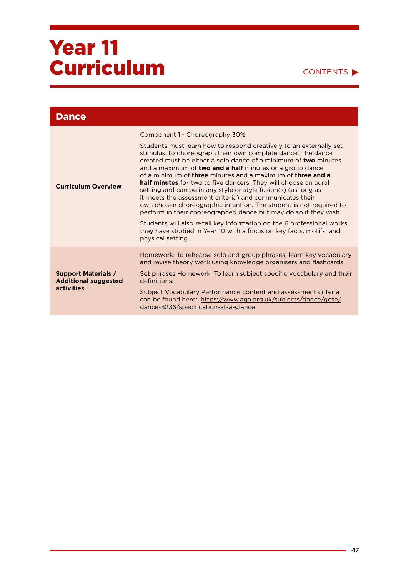### CONTENTS<sup>></sup>

| <b>Dance</b>                                                            |                                                                                                                                                                                                                                                                                                                                                                                                                                                                                                                                                                                                                                                                                                                                                                                                                                                                                                        |
|-------------------------------------------------------------------------|--------------------------------------------------------------------------------------------------------------------------------------------------------------------------------------------------------------------------------------------------------------------------------------------------------------------------------------------------------------------------------------------------------------------------------------------------------------------------------------------------------------------------------------------------------------------------------------------------------------------------------------------------------------------------------------------------------------------------------------------------------------------------------------------------------------------------------------------------------------------------------------------------------|
| <b>Curriculum Overview</b>                                              | Component 1 - Choreography 30%<br>Students must learn how to respond creatively to an externally set<br>stimulus, to choreograph their own complete dance. The dance<br>created must be either a solo dance of a minimum of <b>two</b> minutes<br>and a maximum of two and a half minutes or a group dance<br>of a minimum of <b>three</b> minutes and a maximum of <b>three and a</b><br>half minutes for two to five dancers. They will choose an aural<br>setting and can be in any style or style fusion(s) (as long as<br>it meets the assessment criteria) and communicates their<br>own chosen choreographic intention. The student is not required to<br>perform in their choreographed dance but may do so if they wish.<br>Students will also recall key information on the 6 professional works<br>they have studied in Year 10 with a focus on key facts, motifs, and<br>physical setting. |
| <b>Support Materials /</b><br><b>Additional suggested</b><br>activities | Homework: To rehearse solo and group phrases, learn key vocabulary<br>and revise theory work using knowledge organisers and flashcards<br>Set phrases Homework: To learn subject specific vocabulary and their<br>definitions:<br>Subject Vocabulary Performance content and assessment criteria<br>can be found here: https://www.aga.org.uk/subjects/dance/gcse/<br>dance-8236/specification-at-a-glance                                                                                                                                                                                                                                                                                                                                                                                                                                                                                             |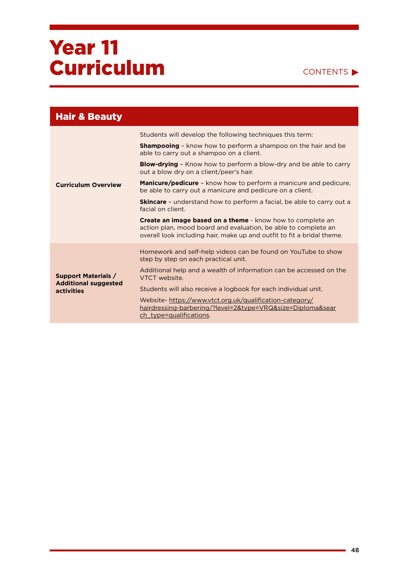#### CONTENTS<sup>></sup>

| <b>Hair &amp; Beauty</b>                                                |                                                                                                                                                                                                        |
|-------------------------------------------------------------------------|--------------------------------------------------------------------------------------------------------------------------------------------------------------------------------------------------------|
|                                                                         | Students will develop the following techniques this term:                                                                                                                                              |
|                                                                         | <b>Shampooing</b> - know how to perform a shampoo on the hair and be<br>able to carry out a shampoo on a client.                                                                                       |
|                                                                         | <b>Blow-drying</b> - Know how to perform a blow-dry and be able to carry<br>out a blow dry on a client/peer's hair.                                                                                    |
| <b>Curriculum Overview</b>                                              | <b>Manicure/pedicure</b> – know how to perform a manicure and pedicure.<br>be able to carry out a manicure and pedicure on a client.                                                                   |
|                                                                         | <b>Skincare</b> - understand how to perform a facial, be able to carry out a<br>facial on client.                                                                                                      |
|                                                                         | Create an image based on a theme - know how to complete an<br>action plan, mood board and evaluation, be able to complete an<br>overall look including hair, make up and outfit to fit a bridal theme. |
| <b>Support Materials /</b><br><b>Additional suggested</b><br>activities | Homework and self-help videos can be found on YouTube to show<br>step by step on each practical unit.                                                                                                  |
|                                                                         | Additional help and a wealth of information can be accessed on the<br>VTCT website.                                                                                                                    |
|                                                                         | Students will also receive a logbook for each individual unit.                                                                                                                                         |
|                                                                         | Website-https://www.vtct.org.uk/qualification-category/<br>hairdressing-barbering/?level=2&type=VRQ&size=Diploma&sear<br>ch_type=qualifications.                                                       |

÷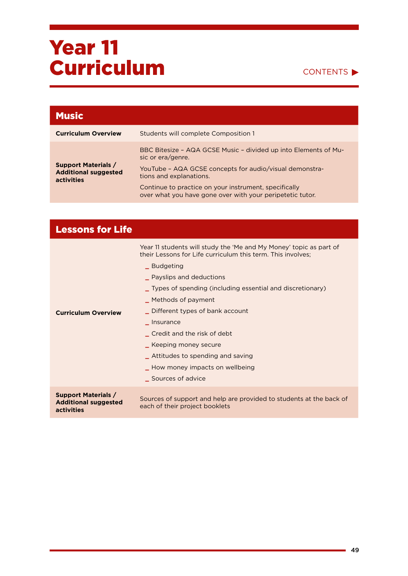

| <b>Music</b>                                                            |                                                                                                                    |
|-------------------------------------------------------------------------|--------------------------------------------------------------------------------------------------------------------|
| <b>Curriculum Overview</b>                                              | Students will complete Composition 1                                                                               |
| <b>Support Materials /</b><br><b>Additional suggested</b><br>activities | BBC Bitesize - AQA GCSE Music - divided up into Elements of Mu-<br>sic or era/genre.                               |
|                                                                         | YouTube - AQA GCSE concepts for audio/visual demonstra-<br>tions and explanations.                                 |
|                                                                         | Continue to practice on your instrument, specifically<br>over what you have gone over with your peripetetic tutor. |

| <b>Lessons for Life</b>                                                 |                                                                                                                                                                                                                                                                                                                                                                                                                                                                                     |
|-------------------------------------------------------------------------|-------------------------------------------------------------------------------------------------------------------------------------------------------------------------------------------------------------------------------------------------------------------------------------------------------------------------------------------------------------------------------------------------------------------------------------------------------------------------------------|
| <b>Curriculum Overview</b>                                              | Year 11 students will study the 'Me and My Money' topic as part of<br>their Lessons for Life curriculum this term. This involves:<br>_ Budgeting<br><u>L</u> Payslips and deductions<br>Types of spending (including essential and discretionary)<br>_ Methods of payment<br>Different types of bank account<br>Insurance<br>Credit and the risk of debt<br>_ Keeping money secure<br>_ Attitudes to spending and saving<br>_ How money impacts on wellbeing<br>_ Sources of advice |
| <b>Support Materials /</b><br><b>Additional suggested</b><br>activities | Sources of support and help are provided to students at the back of<br>each of their project booklets                                                                                                                                                                                                                                                                                                                                                                               |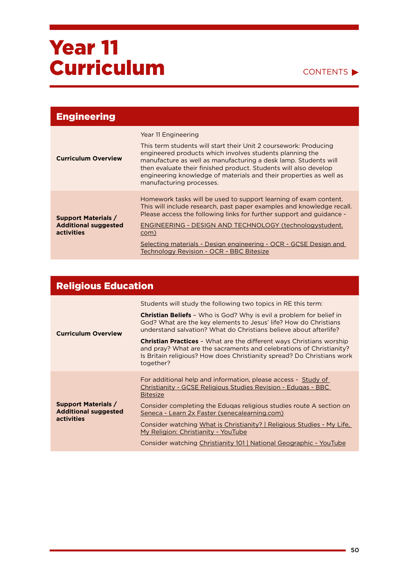#### CONTENTS  $\blacktriangleright$

| <b>Engineering</b>                                                             |                                                                                                                                                                                                                                                                                                                                                                                                      |
|--------------------------------------------------------------------------------|------------------------------------------------------------------------------------------------------------------------------------------------------------------------------------------------------------------------------------------------------------------------------------------------------------------------------------------------------------------------------------------------------|
| <b>Curriculum Overview</b>                                                     | Year 11 Engineering<br>This term students will start their Unit 2 coursework: Producing<br>engineered products which involves students planning the<br>manufacture as well as manufacturing a desk lamp. Students will<br>then evaluate their finished product. Students will also develop<br>engineering knowledge of materials and their properties as well as<br>manufacturing processes.         |
| <b>Support Materials /</b><br><b>Additional suggested</b><br><b>activities</b> | Homework tasks will be used to support learning of exam content.<br>This will include research, past paper examples and knowledge recall.<br>Please access the following links for further support and guidance -<br>ENGINEERING - DESIGN AND TECHNOLOGY (technologystudent.<br>com)<br>Selecting materials - Design engineering - OCR - GCSE Design and<br>Technology Revision - OCR - BBC Bitesize |

#### Religious Education **Curriculum Overview**  Students will study the following two topics in RE this term: **Christian Beliefs** – Who is God? Why is evil a problem for belief in God? What are the key elements to Jesus' life? How do Christians understand salvation? What do Christians believe about afterlife? **Christian Practices** – What are the different ways Christians worship and pray? What are the sacraments and celebrations of Christianity? Is Britain religious? How does Christianity spread? Do Christians work together? **Support Materials / Additional suggested activities**  For additional help and information, please access - [Study of](https://www.bbc.co.uk/bitesize/topics/zryqbdm)  [Christianity - GCSE Religious Studies Revision - Eduqas - BBC](https://www.bbc.co.uk/bitesize/topics/zryqbdm)  [Bitesize](https://www.bbc.co.uk/bitesize/topics/zryqbdm) Consider completing the Eduqas religious studies route A section on [Seneca - Learn 2x Faster \(senecalearning.com\)](https://app.senecalearning.com/classroom/course/e25138c0-e857-41d4-894c-3d9c3b18a914/section/9cfaa309-f7fd-4d8c-addd-94258e3076a7/session) Consider watching [What is Christianity? | Religious Studies - My Life,](https://www.youtube.com/watch?v=yEtR2ouw76c)  [My Religion: Christianity - YouTube](https://www.youtube.com/watch?v=yEtR2ouw76c) Consider watching [Christianity 101 | National Geographic - YouTube](https://www.youtube.com/watch?v=LvL3YXa0n2M)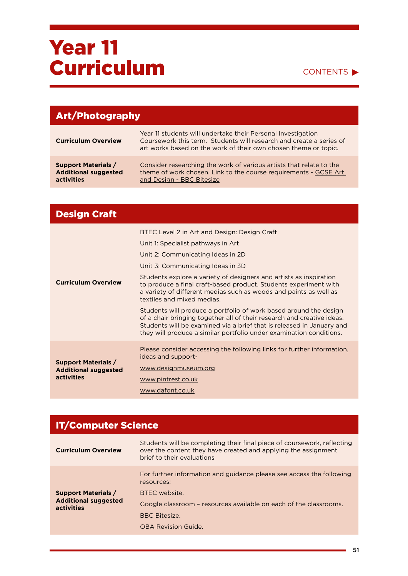#### CONTENTS<sup>></sup>

| <b>Art/Photography</b>                                                  |                                                                                                                                                                                                        |
|-------------------------------------------------------------------------|--------------------------------------------------------------------------------------------------------------------------------------------------------------------------------------------------------|
| <b>Curriculum Overview</b>                                              | Year 11 students will undertake their Personal Investigation<br>Coursework this term. Students will research and create a series of<br>art works based on the work of their own chosen theme or topic. |
| <b>Support Materials /</b><br><b>Additional suggested</b><br>activities | Consider researching the work of various artists that relate to the<br>theme of work chosen. Link to the course requirements - GCSE Art<br>and Design - BBC Bitesize                                   |

| <b>Design Craft</b>                                                     |                                                                                                                                                                                                                                                                                                                                                                                                                                                                                                                                                                                                                                                                                                          |
|-------------------------------------------------------------------------|----------------------------------------------------------------------------------------------------------------------------------------------------------------------------------------------------------------------------------------------------------------------------------------------------------------------------------------------------------------------------------------------------------------------------------------------------------------------------------------------------------------------------------------------------------------------------------------------------------------------------------------------------------------------------------------------------------|
| <b>Curriculum Overview</b>                                              | BTEC Level 2 in Art and Design: Design Craft<br>Unit 1: Specialist pathways in Art<br>Unit 2: Communicating Ideas in 2D<br>Unit 3: Communicating Ideas in 3D<br>Students explore a variety of designers and artists as inspiration<br>to produce a final craft-based product. Students experiment with<br>a variety of different medias such as woods and paints as well as<br>textiles and mixed medias.<br>Students will produce a portfolio of work based around the design<br>of a chair bringing together all of their research and creative ideas.<br>Students will be examined via a brief that is released in January and<br>they will produce a similar portfolio under examination conditions. |
| <b>Support Materials /</b><br><b>Additional suggested</b><br>activities | Please consider accessing the following links for further information,<br>ideas and support-<br>www.designmuseum.org<br>www.pintrest.co.uk<br>www.dafont.co.uk                                                                                                                                                                                                                                                                                                                                                                                                                                                                                                                                           |

| <b>IT/Computer Science</b>                                                                                                                                                                       |  |
|--------------------------------------------------------------------------------------------------------------------------------------------------------------------------------------------------|--|
| Students will be completing their final piece of coursework, reflecting<br>over the content they have created and applying the assignment<br>brief to their evaluations                          |  |
| For further information and guidance please see access the following<br>resources:<br>BTFC website.<br>Google classroom - resources available on each of the classrooms.<br><b>BBC Bitesize.</b> |  |
| <b>OBA Revision Guide.</b>                                                                                                                                                                       |  |
|                                                                                                                                                                                                  |  |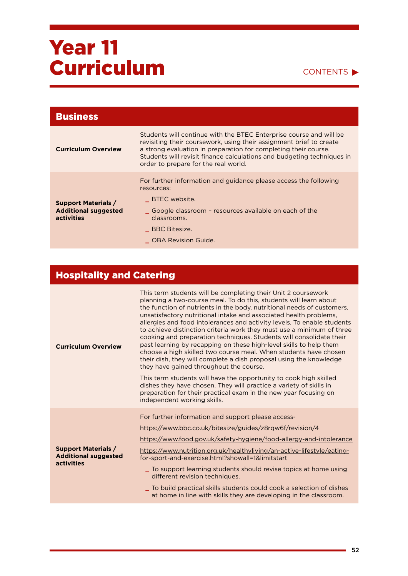CONTENTS

| <b>Business</b>                                                                |                                                                                                                                                                                                                                                                                                                                |
|--------------------------------------------------------------------------------|--------------------------------------------------------------------------------------------------------------------------------------------------------------------------------------------------------------------------------------------------------------------------------------------------------------------------------|
| <b>Curriculum Overview</b>                                                     | Students will continue with the BTEC Enterprise course and will be<br>revisiting their coursework, using their assignment brief to create<br>a strong evaluation in preparation for completing their course.<br>Students will revisit finance calculations and budgeting techniques in<br>order to prepare for the real world. |
| <b>Support Materials /</b><br><b>Additional suggested</b><br><b>activities</b> | For further information and guidance please access the following<br>resources:<br>BTEC website.<br>Google classroom – resources available on each of the<br>classrooms.<br><b>BBC Bitesize.</b><br><b>OBA Revision Guide.</b>                                                                                                  |

### Hospitality and Catering

| <b>Curriculum Overview</b>                                              | This term students will be completing their Unit 2 coursework<br>planning a two-course meal. To do this, students will learn about<br>the function of nutrients in the body, nutritional needs of customers,<br>unsatisfactory nutritional intake and associated health problems,<br>allergies and food intolerances and activity levels. To enable students<br>to achieve distinction criteria work they must use a minimum of three<br>cooking and preparation techniques. Students will consolidate their<br>past learning by recapping on these high-level skills to help them<br>choose a high skilled two course meal. When students have chosen<br>their dish, they will complete a dish proposal using the knowledge<br>they have gained throughout the course.<br>This term students will have the opportunity to cook high skilled<br>dishes they have chosen. They will practice a variety of skills in<br>preparation for their practical exam in the new year focusing on<br>independent working skills. |
|-------------------------------------------------------------------------|-----------------------------------------------------------------------------------------------------------------------------------------------------------------------------------------------------------------------------------------------------------------------------------------------------------------------------------------------------------------------------------------------------------------------------------------------------------------------------------------------------------------------------------------------------------------------------------------------------------------------------------------------------------------------------------------------------------------------------------------------------------------------------------------------------------------------------------------------------------------------------------------------------------------------------------------------------------------------------------------------------------------------|
| <b>Support Materials /</b><br><b>Additional suggested</b><br>activities | For further information and support please access-<br>https://www.bbc.co.uk/bitesize/guides/z8rqw6f/revision/4<br>https://www.food.gov.uk/safety-hygiene/food-allergy-and-intolerance<br>https://www.nutrition.org.uk/healthyliving/an-active-lifestyle/eating-<br>for-sport-and-exercise.html?showall=1&limitstart<br>To support learning students should revise topics at home using<br>different revision techniques.<br>$\_$ To build practical skills students could cook a selection of dishes $\,$<br>at home in line with skills they are developing in the classroom.                                                                                                                                                                                                                                                                                                                                                                                                                                        |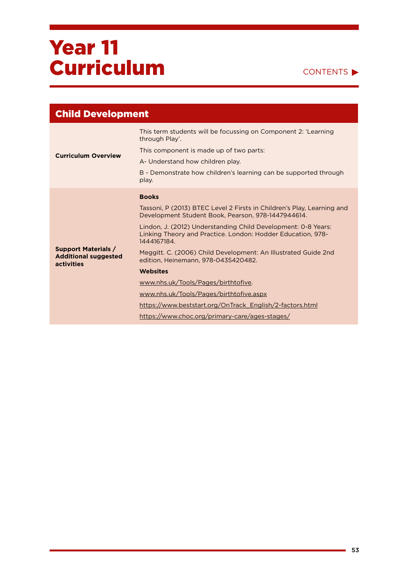

| <b>Child Development</b>                                                |                                                                                                                                             |
|-------------------------------------------------------------------------|---------------------------------------------------------------------------------------------------------------------------------------------|
|                                                                         | This term students will be focussing on Component 2: 'Learning<br>through Play'.                                                            |
| <b>Curriculum Overview</b>                                              | This component is made up of two parts:                                                                                                     |
|                                                                         | A- Understand how children play.                                                                                                            |
|                                                                         | B - Demonstrate how children's learning can be supported through<br>play.                                                                   |
|                                                                         | <b>Books</b>                                                                                                                                |
|                                                                         | Tassoni, P (2013) BTEC Level 2 Firsts in Children's Play, Learning and<br>Development Student Book, Pearson, 978-1447944614.                |
|                                                                         | Lindon, J. (2012) Understanding Child Development: 0-8 Years:<br>Linking Theory and Practice. London: Hodder Education, 978-<br>1444167184. |
| <b>Support Materials /</b><br><b>Additional suggested</b><br>activities | Meggitt. C. (2006) Child Development: An Illustrated Guide 2nd<br>edition, Heinemann, 978-0435420482.                                       |
|                                                                         | <b>Websites</b>                                                                                                                             |
|                                                                         | www.nhs.uk/Tools/Pages/birthtofive.                                                                                                         |
|                                                                         | www.nhs.uk/Tools/Pages/birthtofive.aspx                                                                                                     |
|                                                                         | https://www.beststart.org/OnTrack English/2-factors.html                                                                                    |
|                                                                         | https://www.choc.org/primary-care/ages-stages/                                                                                              |
|                                                                         |                                                                                                                                             |

ä,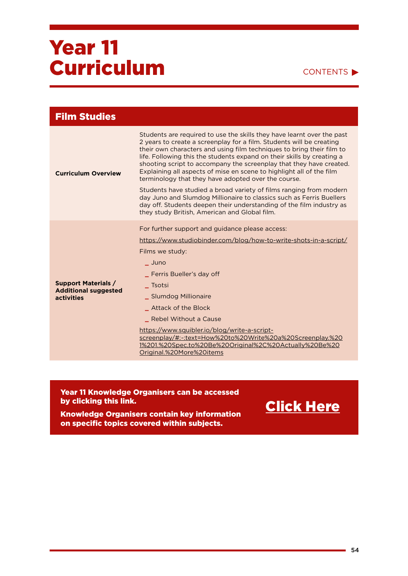#### CONTENTS

| <b>Film Studies</b>                                                            |                                                                                                                                                                                                                                                                                                                                                                                                                                                                                                                                                                                                                                                                                                                                                                                |
|--------------------------------------------------------------------------------|--------------------------------------------------------------------------------------------------------------------------------------------------------------------------------------------------------------------------------------------------------------------------------------------------------------------------------------------------------------------------------------------------------------------------------------------------------------------------------------------------------------------------------------------------------------------------------------------------------------------------------------------------------------------------------------------------------------------------------------------------------------------------------|
| <b>Curriculum Overview</b>                                                     | Students are required to use the skills they have learnt over the past<br>2 years to create a screenplay for a film. Students will be creating<br>their own characters and using film techniques to bring their film to<br>life. Following this the students expand on their skills by creating a<br>shooting script to accompany the screenplay that they have created.<br>Explaining all aspects of mise en scene to highlight all of the film<br>terminology that they have adopted over the course.<br>Students have studied a broad variety of films ranging from modern<br>day Juno and Slumdog Millionaire to classics such as Ferris Buellers<br>day off. Students deepen their understanding of the film industry as<br>they study British, American and Global film. |
| <b>Support Materials /</b><br><b>Additional suggested</b><br><b>activities</b> | For further support and guidance please access:<br>https://www.studiobinder.com/blog/how-to-write-shots-in-a-script/<br>Films we study:<br>- Juno<br>_ Ferris Bueller's day off<br><b>Tsotsi</b><br>_ Slumdog Millionaire<br><b>Attack of the Block</b><br>Rebel Without a Cause<br>https://www.squibler.io/blog/write-a-script-<br>screenplay/#:~:text=How%20to%20Write%20a%20Screenplay.%20<br>1%201.%20Spec,to%20Be%20Original%2C%20Actually%20Be%20<br>Original.%20More%20items                                                                                                                                                                                                                                                                                            |

Year 11 Knowledge Organisers can be accessed by clicking this link.

Knowledge Organisers contain key information on specific topics covered within subjects.

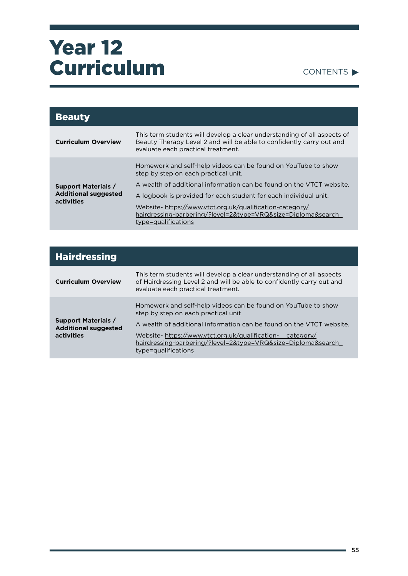#### CONTENTS

| <b>Beauty</b>                                                           |                                                                                                                                                                                       |
|-------------------------------------------------------------------------|---------------------------------------------------------------------------------------------------------------------------------------------------------------------------------------|
| <b>Curriculum Overview</b>                                              | This term students will develop a clear understanding of all aspects of<br>Beauty Therapy Level 2 and will be able to confidently carry out and<br>evaluate each practical treatment. |
| <b>Support Materials /</b><br><b>Additional suggested</b><br>activities | Homework and self-help videos can be found on YouTube to show<br>step by step on each practical unit.                                                                                 |
|                                                                         | A wealth of additional information can be found on the VTCT website.                                                                                                                  |
|                                                                         | A logbook is provided for each student for each individual unit.                                                                                                                      |
|                                                                         | Website-https://www.vtct.org.uk/qualification-category/<br>hairdressing-barbering/?level=2&type=VRQ&size=Diploma&search<br>type=qualifications                                        |

| <b>Hairdressing</b>                                                     |                                                                                                                                                                                                                                                                                                                                    |
|-------------------------------------------------------------------------|------------------------------------------------------------------------------------------------------------------------------------------------------------------------------------------------------------------------------------------------------------------------------------------------------------------------------------|
| <b>Curriculum Overview</b>                                              | This term students will develop a clear understanding of all aspects<br>of Hairdressing Level 2 and will be able to confidently carry out and<br>evaluate each practical treatment.                                                                                                                                                |
| <b>Support Materials /</b><br><b>Additional suggested</b><br>activities | Homework and self-help videos can be found on YouTube to show<br>step by step on each practical unit<br>A wealth of additional information can be found on the VTCT website.<br>Website-https://www.vtct.org.uk/qualification-<br>category/<br>hairdressing-barbering/?level=2&type=VRQ&size=Diploma&search<br>type=qualifications |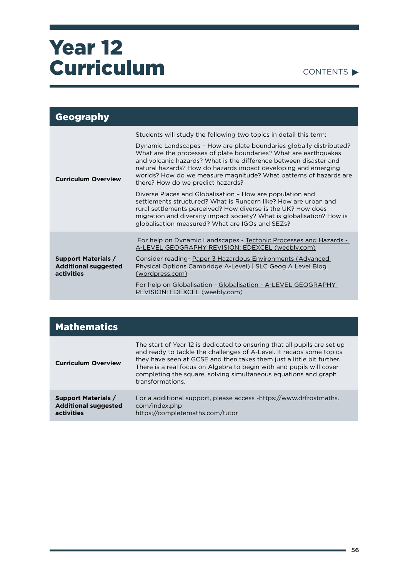CONTENTS

| Geography                                                               |                                                                                                                                                                                                                                                                                                                                                                                          |
|-------------------------------------------------------------------------|------------------------------------------------------------------------------------------------------------------------------------------------------------------------------------------------------------------------------------------------------------------------------------------------------------------------------------------------------------------------------------------|
| <b>Curriculum Overview</b>                                              | Students will study the following two topics in detail this term:                                                                                                                                                                                                                                                                                                                        |
|                                                                         | Dynamic Landscapes - How are plate boundaries globally distributed?<br>What are the processes of plate boundaries? What are earthquakes<br>and volcanic hazards? What is the difference between disaster and<br>natural hazards? How do hazards impact developing and emerging<br>worlds? How do we measure magnitude? What patterns of hazards are<br>there? How do we predict hazards? |
|                                                                         | Diverse Places and Globalisation - How are population and<br>settlements structured? What is Runcorn like? How are urban and<br>rural settlements perceived? How diverse is the UK? How does<br>migration and diversity impact society? What is globalisation? How is<br>globalisation measured? What are IGOs and SEZs?                                                                 |
| <b>Support Materials /</b><br><b>Additional suggested</b><br>activities | For help on Dynamic Landscapes - Tectonic Processes and Hazards -<br>A-LEVEL GEOGRAPHY REVISION: EDEXCEL (weebly.com)                                                                                                                                                                                                                                                                    |
|                                                                         | Consider reading- Paper 3 Hazardous Environments (Advanced<br>Physical Options Cambridge A-Level)   SLC Geog A Level Blog<br>(wordpress.com)                                                                                                                                                                                                                                             |
|                                                                         | For help on Globalisation - Globalisation - A-LEVEL GEOGRAPHY<br>REVISION: EDEXCEL (weebly.com)                                                                                                                                                                                                                                                                                          |

| <b>Mathematics</b>                                                      |                                                                                                                                                                                                                                                                                                                                                                                          |
|-------------------------------------------------------------------------|------------------------------------------------------------------------------------------------------------------------------------------------------------------------------------------------------------------------------------------------------------------------------------------------------------------------------------------------------------------------------------------|
| <b>Curriculum Overview</b>                                              | The start of Year 12 is dedicated to ensuring that all pupils are set up<br>and ready to tackle the challenges of A-Level. It recaps some topics<br>they have seen at GCSE and then takes them just a little bit further.<br>There is a real focus on Algebra to begin with and pupils will cover<br>completing the square, solving simultaneous equations and graph<br>transformations. |
| <b>Support Materials /</b><br><b>Additional suggested</b><br>activities | For a additional support, please access -https://www.drfrostmaths.<br>com/index.php<br>https://completemaths.com/tutor                                                                                                                                                                                                                                                                   |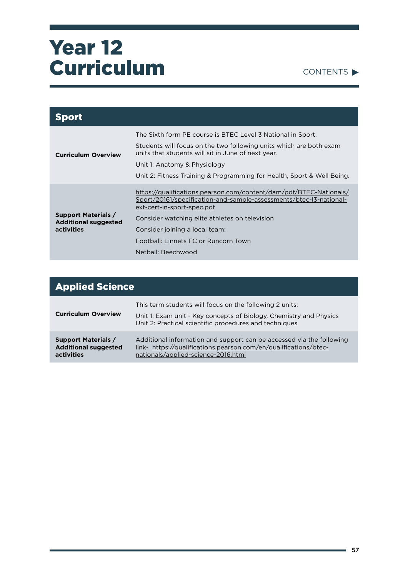CONTENTS

| <b>Sport</b>                                                            |                                                                                                                                                                                                                                                                                                                          |
|-------------------------------------------------------------------------|--------------------------------------------------------------------------------------------------------------------------------------------------------------------------------------------------------------------------------------------------------------------------------------------------------------------------|
| <b>Curriculum Overview</b>                                              | The Sixth form PE course is BTEC Level 3 National in Sport.<br>Students will focus on the two following units which are both exam<br>units that students will sit in June of next year.<br>Unit 1: Anatomy & Physiology<br>Unit 2: Fitness Training & Programming for Health, Sport & Well Being.                        |
| <b>Support Materials /</b><br><b>Additional suggested</b><br>activities | https://qualifications.pearson.com/content/dam/pdf/BTEC-Nationals/<br>Sport/20161/specification-and-sample-assessments/btec-13-national-<br>ext-cert-in-sport-spec.pdf<br>Consider watching elite athletes on television<br>Consider joining a local team:<br>Football: Linnets FC or Runcorn Town<br>Netball: Beechwood |

| <b>Applied Science</b>                                                  |                                                                                                                                                                                         |
|-------------------------------------------------------------------------|-----------------------------------------------------------------------------------------------------------------------------------------------------------------------------------------|
| <b>Curriculum Overview</b>                                              | This term students will focus on the following 2 units:<br>Unit 1: Exam unit - Key concepts of Biology, Chemistry and Physics<br>Unit 2: Practical scientific procedures and techniques |
| <b>Support Materials /</b><br><b>Additional suggested</b><br>activities | Additional information and support can be accessed via the following<br>link- https://qualifications.pearson.com/en/qualifications/btec-<br>nationals/applied-science-2016.html         |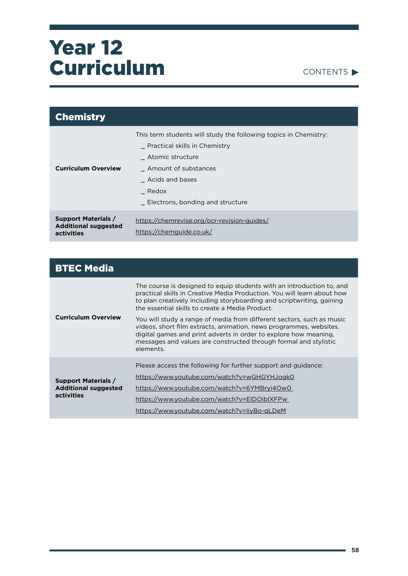

| <b>Chemistry</b>                                                        |                                                                                                                                                                                                               |
|-------------------------------------------------------------------------|---------------------------------------------------------------------------------------------------------------------------------------------------------------------------------------------------------------|
| <b>Curriculum Overview</b>                                              | This term students will study the following topics in Chemistry:<br>Practical skills in Chemistry<br>Atomic structure<br>Amount of substances<br>Acids and bases<br>Redox<br>Electrons, bonding and structure |
| <b>Support Materials /</b><br><b>Additional suggested</b><br>activities | https://chemrevise.org/ocr-revision-guides/<br>https://chemguide.co.uk/                                                                                                                                       |

| <b>BTEC Media</b>                                                       |                                                                                                                                                                                                                                                                                                  |
|-------------------------------------------------------------------------|--------------------------------------------------------------------------------------------------------------------------------------------------------------------------------------------------------------------------------------------------------------------------------------------------|
| <b>Curriculum Overview</b>                                              | The course is designed to equip students with an introduction to, and<br>practical skills in Creative Media Production. You will learn about how<br>to plan creatively including storyboarding and scriptwriting, gaining<br>the essential skills to create a Media Product.                     |
|                                                                         | You will study a range of media from different sectors, such as music<br>videos, short film extracts, animation, news programmes, websites,<br>digital games and print adverts in order to explore how meaning.<br>messages and values are constructed through formal and stylistic<br>elements. |
| <b>Support Materials /</b><br><b>Additional suggested</b><br>activities | Please access the following for further support and guidance:<br>https://www.youtube.com/watch?v=wGHGYHJogk0<br>https://www.youtube.com/watch?v=6YMBryi4Ow0<br>https://www.youtube.com/watch?v=ElDOiblXFPw                                                                                       |
|                                                                         | https://www.youtube.com/watch?v=liyBo-gLDeM                                                                                                                                                                                                                                                      |

÷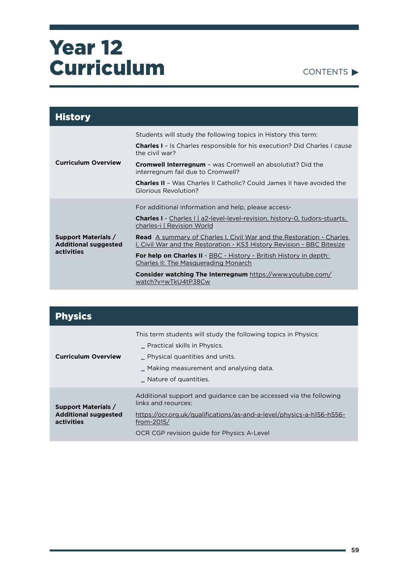

| <b>History</b>                                                          |                                                                                                                                                       |
|-------------------------------------------------------------------------|-------------------------------------------------------------------------------------------------------------------------------------------------------|
|                                                                         | Students will study the following topics in History this term:                                                                                        |
|                                                                         | <b>Charles I</b> - Is Charles responsible for his execution? Did Charles I cause<br>the civil war?                                                    |
| <b>Curriculum Overview</b>                                              | <b>Cromwell Interregnum</b> - was Cromwell an absolutist? Did the<br>interregnum fail due to Cromwell?                                                |
|                                                                         | <b>Charles II - Was Charles II Catholic? Could James II have avoided the</b><br>Glorious Revolution?                                                  |
|                                                                         | For additional information and help, please access-                                                                                                   |
| <b>Support Materials /</b><br><b>Additional suggested</b><br>activities | Charles I - Charles I   a2-level-level-revision, history-0, tudors-stuarts,<br>charles-i   Revision World                                             |
|                                                                         | <b>Read</b> A summary of Charles I, Civil War and the Restoration - Charles<br>I, Civil War and the Restoration - KS3 History Revision - BBC Bitesize |
|                                                                         | For help on Charles II - BBC - History - British History in depth:<br><b>Charles II: The Masquerading Monarch</b>                                     |
|                                                                         | <b>Consider watching The Interregnum</b> https://www.youtube.com/<br>watch?v=wTkU4tP38Cw                                                              |

| <b>Physics</b>                                                          |                                                                                                                                                                                                                               |
|-------------------------------------------------------------------------|-------------------------------------------------------------------------------------------------------------------------------------------------------------------------------------------------------------------------------|
| <b>Curriculum Overview</b>                                              | This term students will study the following topics in Physics:<br>Practical skills in Physics.<br>- Physical quantities and units.<br>_ Making measurement and analysing data.<br>Nature of quantities.                       |
| <b>Support Materials /</b><br><b>Additional suggested</b><br>activities | Additional support and guidance can be accessed via the following<br>links and requires:<br>https://ocr.org.uk/qualifications/as-and-a-level/physics-a-h156-h556-<br>from-2015/<br>OCR CGP revision guide for Physics A-Level |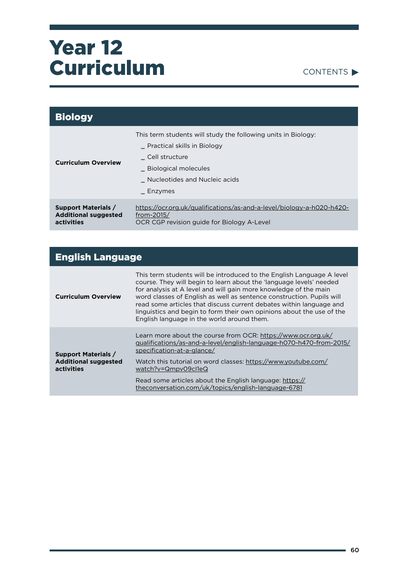

| <b>Biology</b>                                                          |                                                                                                                                                                                      |
|-------------------------------------------------------------------------|--------------------------------------------------------------------------------------------------------------------------------------------------------------------------------------|
| <b>Curriculum Overview</b>                                              | This term students will study the following units in Biology:<br>Practical skills in Biology<br>Cell structure<br>_ Biological molecules<br>Nucleotides and Nucleic acids<br>Enzymes |
| <b>Support Materials /</b><br><b>Additional suggested</b><br>activities | https://ocr.org.uk/qualifications/as-and-a-level/biology-a-h020-h420-<br>from-2015/<br>OCR CGP revision guide for Biology A-Level                                                    |

| <b>English Language</b>                                                 |                                                                                                                                                                                                                                                                                                                                                                                                                                                                                         |
|-------------------------------------------------------------------------|-----------------------------------------------------------------------------------------------------------------------------------------------------------------------------------------------------------------------------------------------------------------------------------------------------------------------------------------------------------------------------------------------------------------------------------------------------------------------------------------|
| <b>Curriculum Overview</b>                                              | This term students will be introduced to the English Language A level<br>course. They will begin to learn about the 'language levels' needed<br>for analysis at A level and will gain more knowledge of the main<br>word classes of English as well as sentence construction. Pupils will<br>read some articles that discuss current debates within language and<br>linguistics and begin to form their own opinions about the use of the<br>English language in the world around them. |
| <b>Support Materials /</b><br><b>Additional suggested</b><br>activities | Learn more about the course from OCR: https://www.ocr.org.uk/<br>gualifications/as-and-a-level/english-language-h070-h470-from-2015/<br>specification-at-a-glance/                                                                                                                                                                                                                                                                                                                      |
|                                                                         | Watch this tutorial on word classes: https://www.youtube.com/<br>watch?v=Qmpv09cl1eQ                                                                                                                                                                                                                                                                                                                                                                                                    |
|                                                                         | Read some articles about the English language: https://<br>theconversation.com/uk/topics/english-language-6781                                                                                                                                                                                                                                                                                                                                                                          |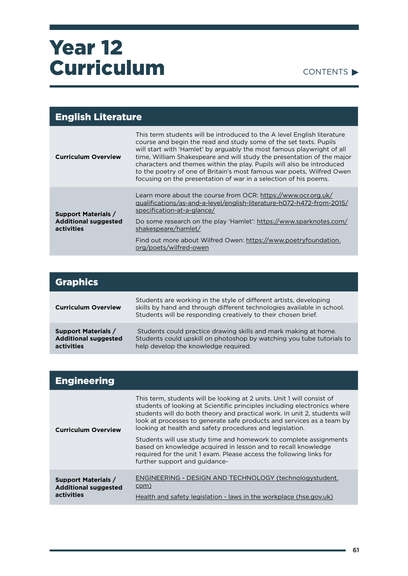#### CONTENTS

| <b>English Literature</b>                                               |                                                                                                                                                                                                                                                                                                                                                                                                                                                                                                                        |
|-------------------------------------------------------------------------|------------------------------------------------------------------------------------------------------------------------------------------------------------------------------------------------------------------------------------------------------------------------------------------------------------------------------------------------------------------------------------------------------------------------------------------------------------------------------------------------------------------------|
| <b>Curriculum Overview</b>                                              | This term students will be introduced to the A level English literature<br>course and begin the read and study some of the set texts. Pupils<br>will start with 'Hamlet' by arguably the most famous playwright of all<br>time, William Shakespeare and will study the presentation of the major<br>characters and themes within the play. Pupils will also be introduced<br>to the poetry of one of Britain's most famous war poets, Wilfred Owen<br>focusing on the presentation of war in a selection of his poems. |
| <b>Support Materials /</b><br><b>Additional suggested</b><br>activities | Learn more about the course from OCR: https://www.ocr.org.uk/<br>gualifications/as-and-a-level/english-literature-h072-h472-from-2015/<br>specification-at-a-glance/                                                                                                                                                                                                                                                                                                                                                   |
|                                                                         | Do some research on the play 'Hamlet': https://www.sparknotes.com/<br>shakespeare/hamlet/                                                                                                                                                                                                                                                                                                                                                                                                                              |
|                                                                         | Find out more about Wilfred Owen: https://www.poetryfoundation.<br>org/poets/wilfred-owen                                                                                                                                                                                                                                                                                                                                                                                                                              |

| <b>Graphics</b>                                                         |                                                                                                                                                                                                               |
|-------------------------------------------------------------------------|---------------------------------------------------------------------------------------------------------------------------------------------------------------------------------------------------------------|
| <b>Curriculum Overview</b>                                              | Students are working in the style of different artists, developing<br>skills by hand and through different technologies available in school.<br>Students will be responding creatively to their chosen brief. |
| <b>Support Materials /</b><br><b>Additional suggested</b><br>activities | Students could practice drawing skills and mark making at home.<br>Students could upskill on photoshop by watching you tube tutorials to<br>help develop the knowledge required.                              |

| <b>Engineering</b>                                                      |                                                                                                                                                                                                                                                                                                                                                                                                                                           |
|-------------------------------------------------------------------------|-------------------------------------------------------------------------------------------------------------------------------------------------------------------------------------------------------------------------------------------------------------------------------------------------------------------------------------------------------------------------------------------------------------------------------------------|
| <b>Curriculum Overview</b>                                              | This term, students will be looking at 2 units. Unit 1 will consist of<br>students of looking at Scientific principles including electronics where<br>students will do both theory and practical work. In unit 2, students will<br>look at processes to generate safe products and services as a team by<br>looking at health and safety procedures and legislation.<br>Students will use study time and homework to complete assignments |
|                                                                         | based on knowledge acquired in lesson and to recall knowledge<br>required for the unit 1 exam. Please access the following links for<br>further support and guidance-                                                                                                                                                                                                                                                                     |
| <b>Support Materials /</b><br><b>Additional suggested</b><br>activities | ENGINEERING - DESIGN AND TECHNOLOGY (technologystudent.<br>com)<br>Health and safety legislation - laws in the workplace (hse.gov.uk)                                                                                                                                                                                                                                                                                                     |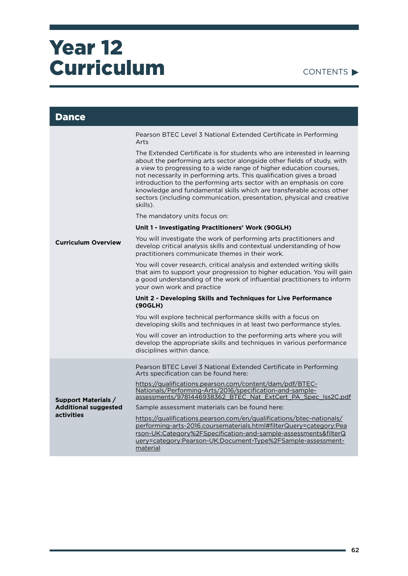| <b>Dance</b>                                                            |                                                                                                                                                                                                                                                                                                                                                                                                                                                                                                                                     |
|-------------------------------------------------------------------------|-------------------------------------------------------------------------------------------------------------------------------------------------------------------------------------------------------------------------------------------------------------------------------------------------------------------------------------------------------------------------------------------------------------------------------------------------------------------------------------------------------------------------------------|
|                                                                         | Pearson BTEC Level 3 National Extended Certificate in Performing<br>Arts                                                                                                                                                                                                                                                                                                                                                                                                                                                            |
|                                                                         | The Extended Certificate is for students who are interested in learning<br>about the performing arts sector alongside other fields of study, with<br>a view to progressing to a wide range of higher education courses,<br>not necessarily in performing arts. This qualification gives a broad<br>introduction to the performing arts sector with an emphasis on core<br>knowledge and fundamental skills which are transferable across other<br>sectors (including communication, presentation, physical and creative<br>skills). |
|                                                                         | The mandatory units focus on:                                                                                                                                                                                                                                                                                                                                                                                                                                                                                                       |
|                                                                         | Unit 1 - Investigating Practitioners' Work (90GLH)                                                                                                                                                                                                                                                                                                                                                                                                                                                                                  |
| <b>Curriculum Overview</b>                                              | You will investigate the work of performing arts practitioners and<br>develop critical analysis skills and contextual understanding of how<br>practitioners communicate themes in their work.                                                                                                                                                                                                                                                                                                                                       |
|                                                                         | You will cover research, critical analysis and extended writing skills<br>that aim to support your progression to higher education. You will gain<br>a good understanding of the work of influential practitioners to inform<br>your own work and practice                                                                                                                                                                                                                                                                          |
|                                                                         | Unit 2 - Developing Skills and Techniques for Live Performance<br>(90GLH)                                                                                                                                                                                                                                                                                                                                                                                                                                                           |
|                                                                         | You will explore technical performance skills with a focus on<br>developing skills and techniques in at least two performance styles.                                                                                                                                                                                                                                                                                                                                                                                               |
|                                                                         | You will cover an introduction to the performing arts where you will<br>develop the appropriate skills and techniques in various performance<br>disciplines within dance.                                                                                                                                                                                                                                                                                                                                                           |
|                                                                         | Pearson BTEC Level 3 National Extended Certificate in Performing<br>Arts specification can be found here:                                                                                                                                                                                                                                                                                                                                                                                                                           |
| <b>Support Materials /</b><br><b>Additional suggested</b><br>activities | https://qualifications.pearson.com/content/dam/pdf/BTEC-<br>Nationals/Performing-Arts/2016/specification-and-sample-<br>assessments/9781446938362 BTEC Nat ExtCert PA Spec Iss2C.pdf                                                                                                                                                                                                                                                                                                                                                |
|                                                                         | Sample assessment materials can be found here:                                                                                                                                                                                                                                                                                                                                                                                                                                                                                      |
|                                                                         | https://qualifications.pearson.com/en/qualifications/btec-nationals/<br>performing-arts-2016.coursematerials.html#filterQuery=category:Pea<br>rson-UK:Category%2FSpecification-and-sample-assessments&filterQ<br>uery=category:Pearson-UK:Document-Type%2FSample-assessment-<br>material                                                                                                                                                                                                                                            |

÷.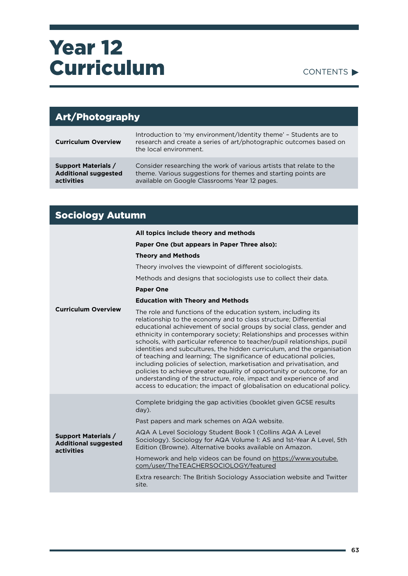#### CONTENTS

| <b>Art/Photography</b>                                                  |                                                                                                                                                                                       |
|-------------------------------------------------------------------------|---------------------------------------------------------------------------------------------------------------------------------------------------------------------------------------|
| <b>Curriculum Overview</b>                                              | Introduction to 'my environment/Identity theme' - Students are to<br>research and create a series of art/photographic outcomes based on<br>the local environment.                     |
| <b>Support Materials /</b><br><b>Additional suggested</b><br>activities | Consider researching the work of various artists that relate to the<br>theme. Various suggestions for themes and starting points are<br>available on Google Classrooms Year 12 pages. |

### Sociology Autumn

|                                                                         | All topics include theory and methods                                                                                                                                                                                                                                                                                                                                                                                                                                                                                                                                                                                                                                                                                                                                                                                |
|-------------------------------------------------------------------------|----------------------------------------------------------------------------------------------------------------------------------------------------------------------------------------------------------------------------------------------------------------------------------------------------------------------------------------------------------------------------------------------------------------------------------------------------------------------------------------------------------------------------------------------------------------------------------------------------------------------------------------------------------------------------------------------------------------------------------------------------------------------------------------------------------------------|
|                                                                         | Paper One (but appears in Paper Three also):                                                                                                                                                                                                                                                                                                                                                                                                                                                                                                                                                                                                                                                                                                                                                                         |
|                                                                         | <b>Theory and Methods</b>                                                                                                                                                                                                                                                                                                                                                                                                                                                                                                                                                                                                                                                                                                                                                                                            |
|                                                                         | Theory involves the viewpoint of different sociologists.                                                                                                                                                                                                                                                                                                                                                                                                                                                                                                                                                                                                                                                                                                                                                             |
|                                                                         | Methods and designs that sociologists use to collect their data.                                                                                                                                                                                                                                                                                                                                                                                                                                                                                                                                                                                                                                                                                                                                                     |
|                                                                         | <b>Paper One</b>                                                                                                                                                                                                                                                                                                                                                                                                                                                                                                                                                                                                                                                                                                                                                                                                     |
|                                                                         | <b>Education with Theory and Methods</b>                                                                                                                                                                                                                                                                                                                                                                                                                                                                                                                                                                                                                                                                                                                                                                             |
| <b>Curriculum Overview</b>                                              | The role and functions of the education system, including its<br>relationship to the economy and to class structure; Differential<br>educational achievement of social groups by social class, gender and<br>ethnicity in contemporary society; Relationships and processes within<br>schools, with particular reference to teacher/pupil relationships, pupil<br>identities and subcultures, the hidden curriculum, and the organisation<br>of teaching and learning; The significance of educational policies,<br>including policies of selection, marketisation and privatisation, and<br>policies to achieve greater equality of opportunity or outcome, for an<br>understanding of the structure, role, impact and experience of and<br>access to education; the impact of globalisation on educational policy. |
|                                                                         | Complete bridging the gap activities (booklet given GCSE results<br>day).                                                                                                                                                                                                                                                                                                                                                                                                                                                                                                                                                                                                                                                                                                                                            |
|                                                                         | Past papers and mark schemes on AQA website.                                                                                                                                                                                                                                                                                                                                                                                                                                                                                                                                                                                                                                                                                                                                                                         |
| <b>Support Materials /</b><br><b>Additional suggested</b><br>activities | AQA A Level Sociology Student Book 1 (Collins AQA A Level<br>Sociology). Sociology for AQA Volume 1: AS and 1st-Year A Level, 5th<br>Edition (Browne). Alternative books available on Amazon.                                                                                                                                                                                                                                                                                                                                                                                                                                                                                                                                                                                                                        |
|                                                                         | Homework and help videos can be found on https://www.youtube.<br>com/user/TheTEACHERSOCIOLOGY/featured                                                                                                                                                                                                                                                                                                                                                                                                                                                                                                                                                                                                                                                                                                               |
|                                                                         | Extra research: The British Sociology Association website and Twitter<br>site.                                                                                                                                                                                                                                                                                                                                                                                                                                                                                                                                                                                                                                                                                                                                       |
|                                                                         |                                                                                                                                                                                                                                                                                                                                                                                                                                                                                                                                                                                                                                                                                                                                                                                                                      |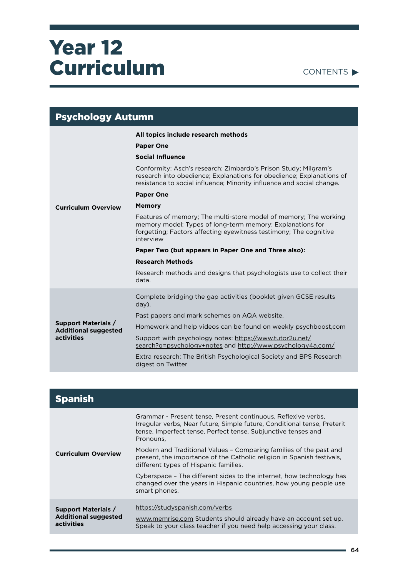

| <b>Psychology Autumn</b>                                                |                                                                                                                                                                                                                  |
|-------------------------------------------------------------------------|------------------------------------------------------------------------------------------------------------------------------------------------------------------------------------------------------------------|
|                                                                         | All topics include research methods                                                                                                                                                                              |
|                                                                         | <b>Paper One</b>                                                                                                                                                                                                 |
|                                                                         | <b>Social Influence</b>                                                                                                                                                                                          |
|                                                                         | Conformity; Asch's research; Zimbardo's Prison Study; Milgram's<br>research into obedience; Explanations for obedience; Explanations of<br>resistance to social influence; Minority influence and social change. |
|                                                                         | <b>Paper One</b>                                                                                                                                                                                                 |
| <b>Curriculum Overview</b>                                              | <b>Memory</b>                                                                                                                                                                                                    |
|                                                                         | Features of memory; The multi-store model of memory; The working<br>memory model; Types of long-term memory; Explanations for<br>forgetting; Factors affecting eyewitness testimony; The cognitive<br>interview  |
|                                                                         | Paper Two (but appears in Paper One and Three also):                                                                                                                                                             |
|                                                                         | <b>Research Methods</b>                                                                                                                                                                                          |
|                                                                         | Research methods and designs that psychologists use to collect their<br>data.                                                                                                                                    |
| <b>Support Materials /</b><br><b>Additional suggested</b><br>activities | Complete bridging the gap activities (booklet given GCSE results<br>$day)$ .                                                                                                                                     |
|                                                                         | Past papers and mark schemes on AQA website.                                                                                                                                                                     |
|                                                                         | Homework and help videos can be found on weekly psychboost, com                                                                                                                                                  |
|                                                                         | Support with psychology notes: https://www.tutor2u.net/<br>search?q=psychology+notes and http://www.psychology4a.com/                                                                                            |
|                                                                         | Extra research: The British Psychological Society and BPS Research<br>digest on Twitter                                                                                                                          |

| <b>Spanish</b>                                                          |                                                                                                                                                                                                                         |
|-------------------------------------------------------------------------|-------------------------------------------------------------------------------------------------------------------------------------------------------------------------------------------------------------------------|
| <b>Curriculum Overview</b>                                              | Grammar - Present tense, Present continuous, Reflexive verbs,<br>Irregular verbs, Near future, Simple future, Conditional tense, Preterit<br>tense, Imperfect tense, Perfect tense, Subjunctive tenses and<br>Pronouns, |
|                                                                         | Modern and Traditional Values - Comparing families of the past and<br>present, the importance of the Catholic religion in Spanish festivals,<br>different types of Hispanic families.                                   |
|                                                                         | Cyberspace - The different sides to the internet, how technology has<br>changed over the years in Hispanic countries, how young people use<br>smart phones.                                                             |
| <b>Support Materials /</b><br><b>Additional suggested</b><br>activities | https://studyspanish.com/verbs<br>www.memrise.com Students should already have an account set up.<br>Speak to your class teacher if you need help accessing your class.                                                 |

 $\overline{\phantom{0}}$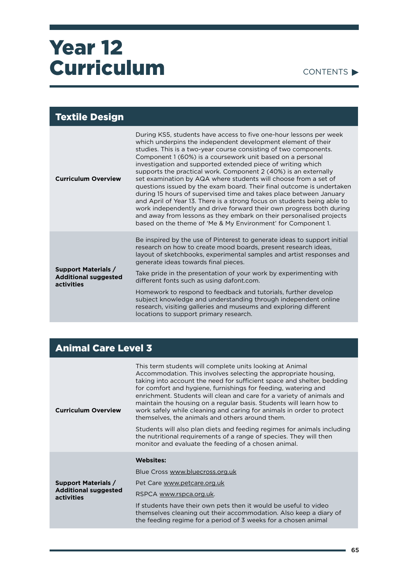#### CONTENTS  $\blacktriangleright$

#### Textile Design **Curriculum Overview**  During KS5, students have access to five one-hour lessons per week which underpins the independent development element of their studies. This is a two-year course consisting of two components. Component 1 (60%) is a coursework unit based on a personal investigation and supported extended piece of writing which supports the practical work. Component 2 (40%) is an externally set examination by AQA where students will choose from a set of questions issued by the exam board. Their final outcome is undertaken during 15 hours of supervised time and takes place between January and April of Year 13. There is a strong focus on students being able to work independently and drive forward their own progress both during and away from lessons as they embark on their personalised projects based on the theme of 'Me & My Environment' for Component 1. **Support Materials / Additional suggested activities**  Be inspired by the use of Pinterest to generate ideas to support initial research on how to create mood boards, present research ideas, layout of sketchbooks, experimental samples and artist responses and generate ideas towards final pieces. Take pride in the presentation of your work by experimenting with different fonts such as using dafont.com. Homework to respond to feedback and tutorials, further develop subject knowledge and understanding through independent online research, visiting galleries and museums and exploring different locations to support primary research.

### Animal Care Level 3

| <b>Curriculum Overview</b>                                              | This term students will complete units looking at Animal<br>Accommodation. This involves selecting the appropriate housing,<br>taking into account the need for sufficient space and shelter, bedding<br>for comfort and hygiene, furnishings for feeding, watering and<br>enrichment. Students will clean and care for a variety of animals and<br>maintain the housing on a regular basis. Students will learn how to<br>work safely while cleaning and caring for animals in order to protect<br>themselves, the animals and others around them. |
|-------------------------------------------------------------------------|-----------------------------------------------------------------------------------------------------------------------------------------------------------------------------------------------------------------------------------------------------------------------------------------------------------------------------------------------------------------------------------------------------------------------------------------------------------------------------------------------------------------------------------------------------|
|                                                                         | Students will also plan diets and feeding regimes for animals including<br>the nutritional requirements of a range of species. They will then<br>monitor and evaluate the feeding of a chosen animal.                                                                                                                                                                                                                                                                                                                                               |
| <b>Support Materials /</b><br><b>Additional suggested</b><br>activities | <b>Websites:</b>                                                                                                                                                                                                                                                                                                                                                                                                                                                                                                                                    |
|                                                                         | Blue Cross www.bluecross.org.uk                                                                                                                                                                                                                                                                                                                                                                                                                                                                                                                     |
|                                                                         | Pet Care www.petcare.org.uk                                                                                                                                                                                                                                                                                                                                                                                                                                                                                                                         |
|                                                                         | RSPCA www.rspca.org.uk.                                                                                                                                                                                                                                                                                                                                                                                                                                                                                                                             |
|                                                                         | If students have their own pets then it would be useful to video<br>themselves cleaning out their accommodation. Also keep a diary of<br>the feeding regime for a period of 3 weeks for a chosen animal                                                                                                                                                                                                                                                                                                                                             |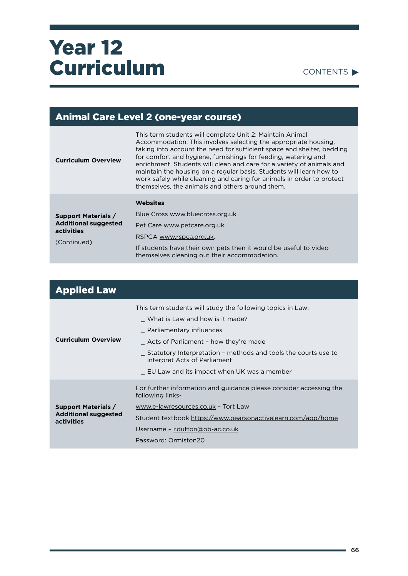|                                                                                        | <b>Animal Care Level 2 (one-year course)</b>                                                                                                                                                                                                                                                                                                                                                                                                                                                                                                        |
|----------------------------------------------------------------------------------------|-----------------------------------------------------------------------------------------------------------------------------------------------------------------------------------------------------------------------------------------------------------------------------------------------------------------------------------------------------------------------------------------------------------------------------------------------------------------------------------------------------------------------------------------------------|
| <b>Curriculum Overview</b>                                                             | This term students will complete Unit 2: Maintain Animal<br>Accommodation. This involves selecting the appropriate housing.<br>taking into account the need for sufficient space and shelter, bedding<br>for comfort and hygiene, furnishings for feeding, watering and<br>enrichment. Students will clean and care for a variety of animals and<br>maintain the housing on a regular basis. Students will learn how to<br>work safely while cleaning and caring for animals in order to protect<br>themselves, the animals and others around them. |
|                                                                                        | Websites                                                                                                                                                                                                                                                                                                                                                                                                                                                                                                                                            |
| <b>Support Materials /</b><br><b>Additional suggested</b><br>activities<br>(Continued) | Blue Cross www.bluecross.org.uk                                                                                                                                                                                                                                                                                                                                                                                                                                                                                                                     |
|                                                                                        | Pet Care www.petcare.org.uk                                                                                                                                                                                                                                                                                                                                                                                                                                                                                                                         |
|                                                                                        | RSPCA www.rspca.org.uk.                                                                                                                                                                                                                                                                                                                                                                                                                                                                                                                             |
|                                                                                        | If students have their own pets then it would be useful to video<br>themselves cleaning out their accommodation.                                                                                                                                                                                                                                                                                                                                                                                                                                    |

| <b>Applied Law</b>                                                      |                                                                                                                                                                                                                                                                                                                          |
|-------------------------------------------------------------------------|--------------------------------------------------------------------------------------------------------------------------------------------------------------------------------------------------------------------------------------------------------------------------------------------------------------------------|
| <b>Curriculum Overview</b>                                              | This term students will study the following topics in Law:<br>What is Law and how is it made?<br>_ Parliamentary influences<br>_ Acts of Parliament - how they're made<br>Statutory Interpretation – methods and tools the courts use to<br>interpret Acts of Parliament<br>L EU Law and its impact when UK was a member |
| <b>Support Materials /</b><br><b>Additional suggested</b><br>activities | For further information and guidance please consider accessing the<br>following links-<br>www.e-lawresources.co.uk - Tort Law<br>Student textbook https://www.pearsonactivelearn.com/app/home<br>Username - r.dutton@ob-ac.co.uk<br>Password: Ormiston20                                                                 |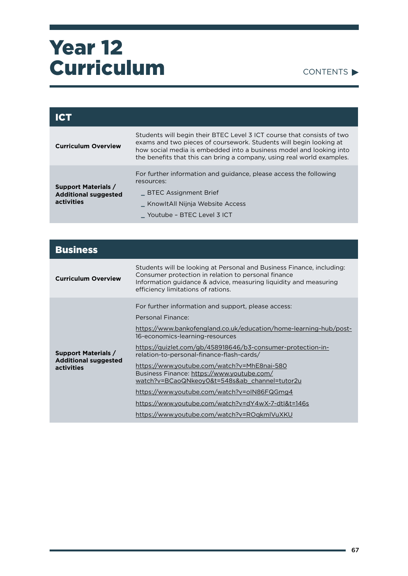#### CONTENTS

| ICT                                                                     |                                                                                                                                                                                                                                                                                               |
|-------------------------------------------------------------------------|-----------------------------------------------------------------------------------------------------------------------------------------------------------------------------------------------------------------------------------------------------------------------------------------------|
| <b>Curriculum Overview</b>                                              | Students will begin their BTEC Level 3 ICT course that consists of two<br>exams and two pieces of coursework. Students will begin looking at<br>how social media is embedded into a business model and looking into<br>the benefits that this can bring a company, using real world examples. |
| <b>Support Materials /</b><br><b>Additional suggested</b><br>activities | For further information and guidance, please access the following<br>resources:                                                                                                                                                                                                               |
|                                                                         | <b>BTEC Assignment Brief</b>                                                                                                                                                                                                                                                                  |
|                                                                         | KnowltAll Nijnja Website Access                                                                                                                                                                                                                                                               |
|                                                                         | Youtube - BTEC Level 3 ICT                                                                                                                                                                                                                                                                    |

| <b>Business</b>                                                         |                                                                                                                                                                                                                                                                                                                                                                                                                                            |
|-------------------------------------------------------------------------|--------------------------------------------------------------------------------------------------------------------------------------------------------------------------------------------------------------------------------------------------------------------------------------------------------------------------------------------------------------------------------------------------------------------------------------------|
| <b>Curriculum Overview</b>                                              | Students will be looking at Personal and Business Finance, including:<br>Consumer protection in relation to personal finance<br>Information guidance & advice, measuring liquidity and measuring<br>efficiency limitations of rations.                                                                                                                                                                                                     |
| <b>Support Materials /</b><br><b>Additional suggested</b><br>activities | For further information and support, please access:<br>Personal Finance:<br>https://www.bankofengland.co.uk/education/home-learning-hub/post-<br>16-economics-learning-resources<br>https://quizlet.com/gb/458918646/b3-consumer-protection-in-<br>relation-to-personal-finance-flash-cards/<br>https://www.youtube.com/watch?v=MhE8nai-580<br>Business Finance: https://www.youtube.com/<br>watch?v=BCaoQNkeoy0&t=548s&ab channel=tutor2u |
|                                                                         | https://www.youtube.com/watch?v=oIN86FQGmg4<br>https://www.youtube.com/watch?v=dY4wX-7-dtl&t=146s<br>https://www.youtube.com/watch?v=ROqkmIVuXKU                                                                                                                                                                                                                                                                                           |

۰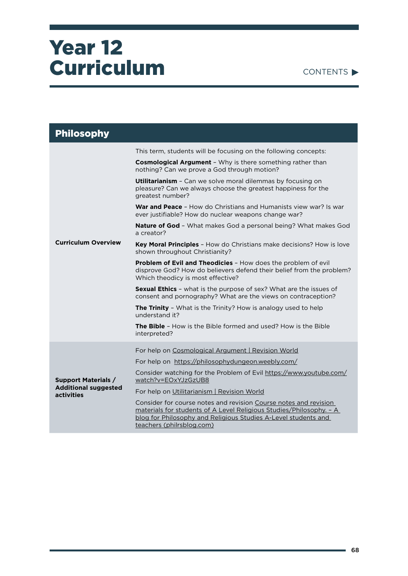| <b>CONTENTS</b> |
|-----------------|
|-----------------|

| <b>Philosophy</b>                                                       |                                                                                                                                                                                                                                        |
|-------------------------------------------------------------------------|----------------------------------------------------------------------------------------------------------------------------------------------------------------------------------------------------------------------------------------|
|                                                                         | This term, students will be focusing on the following concepts:                                                                                                                                                                        |
|                                                                         | <b>Cosmological Argument</b> - Why is there something rather than<br>nothing? Can we prove a God through motion?                                                                                                                       |
|                                                                         | <b>Utilitarianism</b> - Can we solve moral dilemmas by focusing on<br>pleasure? Can we always choose the greatest happiness for the<br>greatest number?                                                                                |
|                                                                         | <b>War and Peace</b> - How do Christians and Humanists view war? Is war<br>ever justifiable? How do nuclear weapons change war?                                                                                                        |
|                                                                         | <b>Nature of God</b> - What makes God a personal being? What makes God<br>a creator?                                                                                                                                                   |
| <b>Curriculum Overview</b>                                              | <b>Key Moral Principles</b> - How do Christians make decisions? How is love<br>shown throughout Christianity?                                                                                                                          |
|                                                                         | <b>Problem of Evil and Theodicies - How does the problem of evil</b><br>disprove God? How do believers defend their belief from the problem?<br>Which theodicy is most effective?                                                      |
|                                                                         | <b>Sexual Ethics</b> - what is the purpose of sex? What are the issues of<br>consent and pornography? What are the views on contraception?                                                                                             |
|                                                                         | <b>The Trinity</b> - What is the Trinity? How is analogy used to help<br>understand it?                                                                                                                                                |
|                                                                         | <b>The Bible</b> - How is the Bible formed and used? How is the Bible<br>interpreted?                                                                                                                                                  |
| <b>Support Materials /</b><br><b>Additional suggested</b><br>activities | For help on Cosmological Argument   Revision World                                                                                                                                                                                     |
|                                                                         | For help on https://philosophydungeon.weebly.com/                                                                                                                                                                                      |
|                                                                         | Consider watching for the Problem of Evil https://www.youtube.com/<br>watch?v=EOxYJzGzUB8                                                                                                                                              |
|                                                                         | For help on Utilitarianism   Revision World                                                                                                                                                                                            |
|                                                                         | Consider for course notes and revision Course notes and revision<br>materials for students of A Level Religious Studies/Philosophy. - A<br>blog for Philosophy and Religious Studies A-Level students and<br>teachers (philrsblog.com) |

۰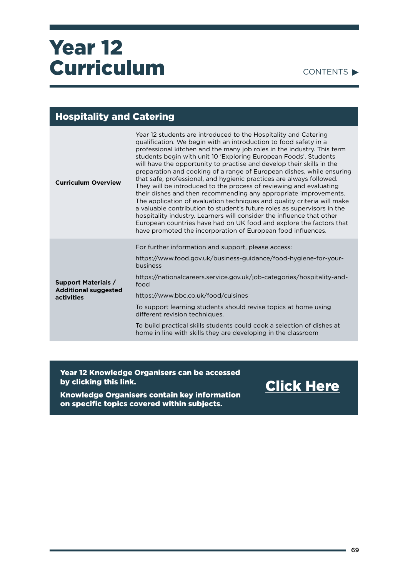CONTENTS

### Hospitality and Catering

| <b>Curriculum Overview</b>                                              | Year 12 students are introduced to the Hospitality and Catering<br>qualification. We begin with an introduction to food safety in a<br>professional kitchen and the many job roles in the industry. This term<br>students begin with unit 10 'Exploring European Foods'. Students<br>will have the opportunity to practise and develop their skills in the<br>preparation and cooking of a range of European dishes, while ensuring<br>that safe, professional, and hygienic practices are always followed.<br>They will be introduced to the process of reviewing and evaluating<br>their dishes and then recommending any appropriate improvements.<br>The application of evaluation techniques and quality criteria will make<br>a valuable contribution to student's future roles as supervisors in the<br>hospitality industry. Learners will consider the influence that other<br>European countries have had on UK food and explore the factors that<br>have promoted the incorporation of European food influences. |
|-------------------------------------------------------------------------|-----------------------------------------------------------------------------------------------------------------------------------------------------------------------------------------------------------------------------------------------------------------------------------------------------------------------------------------------------------------------------------------------------------------------------------------------------------------------------------------------------------------------------------------------------------------------------------------------------------------------------------------------------------------------------------------------------------------------------------------------------------------------------------------------------------------------------------------------------------------------------------------------------------------------------------------------------------------------------------------------------------------------------|
| <b>Support Materials /</b><br><b>Additional suggested</b><br>activities | For further information and support, please access:                                                                                                                                                                                                                                                                                                                                                                                                                                                                                                                                                                                                                                                                                                                                                                                                                                                                                                                                                                         |
|                                                                         | https://www.food.gov.uk/business-guidance/food-hygiene-for-your-<br>business                                                                                                                                                                                                                                                                                                                                                                                                                                                                                                                                                                                                                                                                                                                                                                                                                                                                                                                                                |
|                                                                         | https://nationalcareers.service.gov.uk/job-categories/hospitality-and-<br>food                                                                                                                                                                                                                                                                                                                                                                                                                                                                                                                                                                                                                                                                                                                                                                                                                                                                                                                                              |
|                                                                         | https://www.bbc.co.uk/food/cuisines                                                                                                                                                                                                                                                                                                                                                                                                                                                                                                                                                                                                                                                                                                                                                                                                                                                                                                                                                                                         |
|                                                                         | To support learning students should revise topics at home using<br>different revision techniques.                                                                                                                                                                                                                                                                                                                                                                                                                                                                                                                                                                                                                                                                                                                                                                                                                                                                                                                           |
|                                                                         | To build practical skills students could cook a selection of dishes at<br>home in line with skills they are developing in the classroom                                                                                                                                                                                                                                                                                                                                                                                                                                                                                                                                                                                                                                                                                                                                                                                                                                                                                     |

Year 12 Knowledge Organisers can be accessed by clicking this link.

Knowledge Organisers contain key information on specific topics covered within subjects.

[Click Here](https://drive.google.com/drive/folders/1Kc6aF24kVSLi3eoA1vUOB2ZX9WN4ZbhA?usp=sharing)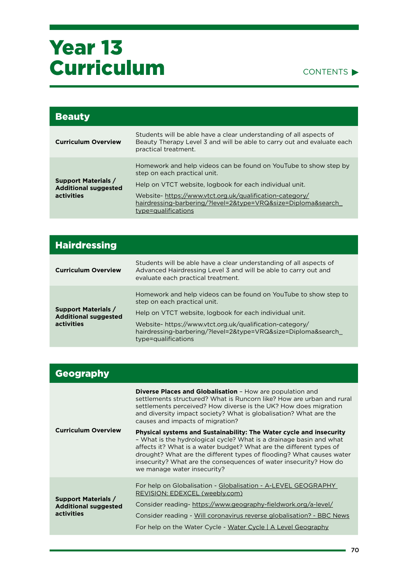

| <b>Beauty</b>                                                           |                                                                                                                                                                                                                                                                                                               |
|-------------------------------------------------------------------------|---------------------------------------------------------------------------------------------------------------------------------------------------------------------------------------------------------------------------------------------------------------------------------------------------------------|
| <b>Curriculum Overview</b>                                              | Students will be able have a clear understanding of all aspects of<br>Beauty Therapy Level 3 and will be able to carry out and evaluate each<br>practical treatment.                                                                                                                                          |
| <b>Support Materials /</b><br><b>Additional suggested</b><br>activities | Homework and help videos can be found on YouTube to show step by<br>step on each practical unit.<br>Help on VTCT website, logbook for each individual unit.<br>Website-https://www.vtct.org.uk/qualification-category/<br>hairdressing-barbering/?level=2&type=VRQ&size=Diploma&search<br>type=qualifications |

| <b>Hairdressing</b>                                                     |                                                                                                                                                                             |
|-------------------------------------------------------------------------|-----------------------------------------------------------------------------------------------------------------------------------------------------------------------------|
| <b>Curriculum Overview</b>                                              | Students will be able have a clear understanding of all aspects of<br>Advanced Hairdressing Level 3 and will be able to carry out and<br>evaluate each practical treatment. |
| <b>Support Materials /</b><br><b>Additional suggested</b><br>activities | Homework and help videos can be found on YouTube to show step to<br>step on each practical unit.                                                                            |
|                                                                         | Help on VTCT website, logbook for each individual unit.                                                                                                                     |
|                                                                         | Website- https://www.vtct.org.uk/qualification-category/<br>hairdressing-barbering/?level=2&type=VRQ&size=Diploma&search<br>type=qualifications                             |

| <b>Geography</b>                                                        |                                                                                                                                                                                                                                                                                                                                                                                               |
|-------------------------------------------------------------------------|-----------------------------------------------------------------------------------------------------------------------------------------------------------------------------------------------------------------------------------------------------------------------------------------------------------------------------------------------------------------------------------------------|
| <b>Curriculum Overview</b>                                              | <b>Diverse Places and Globalisation - How are population and</b><br>settlements structured? What is Runcorn like? How are urban and rural<br>settlements perceived? How diverse is the UK? How does migration<br>and diversity impact society? What is globalisation? What are the<br>causes and impacts of migration?                                                                        |
|                                                                         | Physical systems and Sustainability: The Water cycle and insecurity<br>- What is the hydrological cycle? What is a drainage basin and what<br>affects it? What is a water budget? What are the different types of<br>drought? What are the different types of flooding? What causes water<br>insecurity? What are the consequences of water insecurity? How do<br>we manage water insecurity? |
| <b>Support Materials /</b><br><b>Additional suggested</b><br>activities | For help on Globalisation - Globalisation - A-LEVEL GEOGRAPHY<br>REVISION: EDEXCEL (weebly.com)<br>Consider reading- https://www.geography-fieldwork.org/a-level/<br>Consider reading - Will coronavirus reverse globalisation? - BBC News<br>For help on the Water Cycle - Water Cycle   A Level Geography                                                                                   |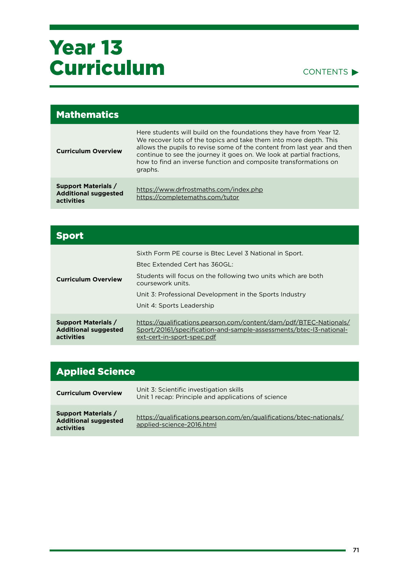#### CONTENTS<sup>></sup>

| <b>Mathematics</b>                                                      |                                                                                                                                                                                                                                                                                                                                                                             |
|-------------------------------------------------------------------------|-----------------------------------------------------------------------------------------------------------------------------------------------------------------------------------------------------------------------------------------------------------------------------------------------------------------------------------------------------------------------------|
| <b>Curriculum Overview</b>                                              | Here students will build on the foundations they have from Year 12.<br>We recover lots of the topics and take them into more depth. This<br>allows the pupils to revise some of the content from last year and then<br>continue to see the journey it goes on. We look at partial fractions,<br>how to find an inverse function and composite transformations on<br>graphs. |
| <b>Support Materials /</b><br><b>Additional suggested</b><br>activities | https://www.drfrostmaths.com/index.php<br>https://completemaths.com/tutor                                                                                                                                                                                                                                                                                                   |

| <b>Sport</b>                                                            |                                                                                                                                                                                                                                                                        |
|-------------------------------------------------------------------------|------------------------------------------------------------------------------------------------------------------------------------------------------------------------------------------------------------------------------------------------------------------------|
| <b>Curriculum Overview</b>                                              | Sixth Form PE course is Btec Level 3 National in Sport.<br>Brec Extended Cert has 360GL:<br>Students will focus on the following two units which are both<br>coursework units.<br>Unit 3: Professional Development in the Sports Industry<br>Unit 4: Sports Leadership |
| <b>Support Materials /</b><br><b>Additional suggested</b><br>activities | https://qualifications.pearson.com/content/dam/pdf/BTEC-Nationals/<br>Sport/20161/specification-and-sample-assessments/btec-I3-national-<br>ext-cert-in-sport-spec.pdf                                                                                                 |

### Applied Science

| <b>Curriculum Overview</b>                                                     | Unit 3: Scientific investigation skills<br>Unit 1 recap: Principle and applications of science    |
|--------------------------------------------------------------------------------|---------------------------------------------------------------------------------------------------|
| <b>Support Materials /</b><br><b>Additional suggested</b><br><b>activities</b> | https://qualifications.pearson.com/en/qualifications/btec-nationals/<br>applied-science-2016.html |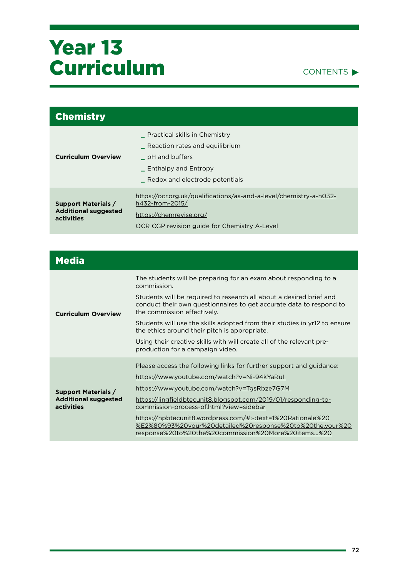

| <b>Chemistry</b>                                                        |                                                                                                                                                                  |
|-------------------------------------------------------------------------|------------------------------------------------------------------------------------------------------------------------------------------------------------------|
| <b>Curriculum Overview</b>                                              | <b>Practical skills in Chemistry</b><br>Reaction rates and equilibrium<br>pH and buffers<br>_ Enthalpy and Entropy<br>Redox and electrode potentials             |
| <b>Support Materials /</b><br><b>Additional suggested</b><br>activities | https://ocr.org.uk/qualifications/as-and-a-level/chemistry-a-h032-<br>h432-from-2015/<br>https://chemrevise.org/<br>OCR CGP revision quide for Chemistry A-Level |

| <b>Media</b>                                                            |                                                                                                                                                                                        |
|-------------------------------------------------------------------------|----------------------------------------------------------------------------------------------------------------------------------------------------------------------------------------|
| <b>Curriculum Overview</b>                                              | The students will be preparing for an exam about responding to a<br>commission.                                                                                                        |
|                                                                         | Students will be required to research all about a desired brief and<br>conduct their own questionnaires to get accurate data to respond to<br>the commission effectively.              |
|                                                                         | Students will use the skills adopted from their studies in yr12 to ensure<br>the ethics around their pitch is appropriate.                                                             |
|                                                                         | Using their creative skills with will create all of the relevant pre-<br>production for a campaign video.                                                                              |
| <b>Support Materials /</b><br><b>Additional suggested</b><br>activities | Please access the following links for further support and guidance:                                                                                                                    |
|                                                                         | https://www.youtube.com/watch?v=Ni-94kYaRul                                                                                                                                            |
|                                                                         | <u> https://www.youtube.com/watch?v=TgsRbze7G7M</u>                                                                                                                                    |
|                                                                         | https://lingfieldbtecunit8.blogspot.com/2019/01/responding-to-<br>commission-process-of.html?view=sidebar                                                                              |
|                                                                         | <u> https://hpbtecunit8.wordpress.com/#:~:text=1%20Rationale%20</u><br>%E2%80%93%20your%20detailed%20response%20to%20the,your%20<br>response%20to%20the%20commission%20More%20items%20 |

÷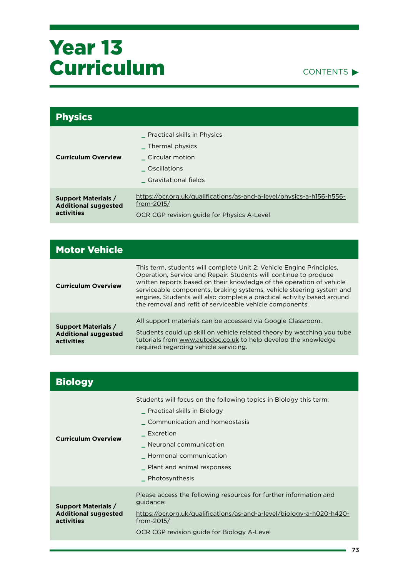

| <b>Physics</b>                                                          |                                                                                                                                   |
|-------------------------------------------------------------------------|-----------------------------------------------------------------------------------------------------------------------------------|
| <b>Curriculum Overview</b>                                              | Practical skills in Physics<br>Thermal physics<br>Circular motion<br><b>Oscillations</b><br><b>Gravitational fields</b>           |
| <b>Support Materials /</b><br><b>Additional suggested</b><br>activities | https://ocr.org.uk/qualifications/as-and-a-level/physics-a-h156-h556-<br>from-2015/<br>OCR CGP revision guide for Physics A-Level |

| <b>Motor Vehicle</b>                                                    |                                                                                                                                                                                                                                                                                                                                                                                                                                |
|-------------------------------------------------------------------------|--------------------------------------------------------------------------------------------------------------------------------------------------------------------------------------------------------------------------------------------------------------------------------------------------------------------------------------------------------------------------------------------------------------------------------|
| <b>Curriculum Overview</b>                                              | This term, students will complete Unit 2: Vehicle Engine Principles,<br>Operation, Service and Repair. Students will continue to produce<br>written reports based on their knowledge of the operation of vehicle<br>serviceable components, braking systems, vehicle steering system and<br>engines. Students will also complete a practical activity based around<br>the removal and refit of serviceable vehicle components. |
| <b>Support Materials /</b><br><b>Additional suggested</b><br>activities | All support materials can be accessed via Google Classroom.<br>Students could up skill on vehicle related theory by watching you tube<br>tutorials from www.autodoc.co.uk to help develop the knowledge<br>required regarding vehicle servicing.                                                                                                                                                                               |

| <b>Biology</b>                                                          |                                                                                                                                                                                                                                                      |
|-------------------------------------------------------------------------|------------------------------------------------------------------------------------------------------------------------------------------------------------------------------------------------------------------------------------------------------|
| <b>Curriculum Overview</b>                                              | Students will focus on the following topics in Biology this term:<br>Practical skills in Biology<br>Communication and homeostasis<br>Excretion<br>Neuronal communication<br>Hormonal communication<br>Plant and animal responses<br>_ Photosynthesis |
| <b>Support Materials /</b><br><b>Additional suggested</b><br>activities | Please access the following resources for further information and<br>quidance:<br>https://ocr.org.uk/qualifications/as-and-a-level/biology-a-h020-h420-<br>from-2015/<br>OCR CGP revision guide for Biology A-Level                                  |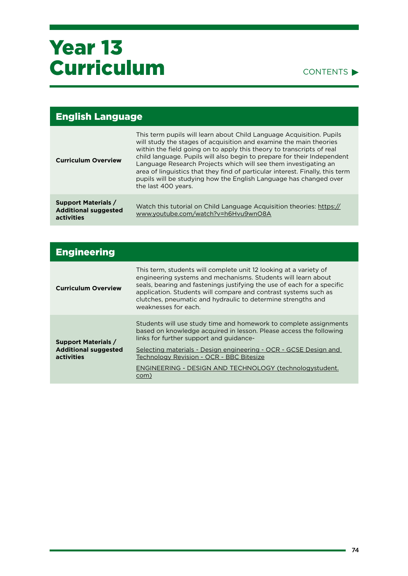| <b>English Language</b>                                                 |                                                                                                                                                                                                                                                                                                                                                                                                                                                                                                                                                |  |
|-------------------------------------------------------------------------|------------------------------------------------------------------------------------------------------------------------------------------------------------------------------------------------------------------------------------------------------------------------------------------------------------------------------------------------------------------------------------------------------------------------------------------------------------------------------------------------------------------------------------------------|--|
| <b>Curriculum Overview</b>                                              | This term pupils will learn about Child Language Acquisition. Pupils<br>will study the stages of acquisition and examine the main theories<br>within the field going on to apply this theory to transcripts of real<br>child language. Pupils will also begin to prepare for their Independent<br>Language Research Projects which will see them investigating an<br>area of linguistics that they find of particular interest. Finally, this term<br>pupils will be studying how the English Language has changed over<br>the last 400 years. |  |
| <b>Support Materials /</b><br><b>Additional suggested</b><br>activities | Watch this tutorial on Child Language Acquisition theories: https://<br>www.youtube.com/watch?v=h6Hvu9wnO8A                                                                                                                                                                                                                                                                                                                                                                                                                                    |  |

| <b>Engineering</b>                                                      |                                                                                                                                                                                                                                                                                                                                                                          |
|-------------------------------------------------------------------------|--------------------------------------------------------------------------------------------------------------------------------------------------------------------------------------------------------------------------------------------------------------------------------------------------------------------------------------------------------------------------|
| <b>Curriculum Overview</b>                                              | This term, students will complete unit 12 looking at a variety of<br>engineering systems and mechanisms. Students will learn about<br>seals, bearing and fastenings justifying the use of each for a specific<br>application. Students will compare and contrast systems such as<br>clutches, pneumatic and hydraulic to determine strengths and<br>weaknesses for each. |
| <b>Support Materials /</b><br><b>Additional suggested</b><br>activities | Students will use study time and homework to complete assignments<br>based on knowledge acquired in lesson. Please access the following<br>links for further support and guidance-                                                                                                                                                                                       |
|                                                                         | Selecting materials - Design engineering - OCR - GCSE Design and<br>Technology Revision - OCR - BBC Bitesize                                                                                                                                                                                                                                                             |
|                                                                         | ENGINEERING - DESIGN AND TECHNOLOGY (technologystudent.<br>com)                                                                                                                                                                                                                                                                                                          |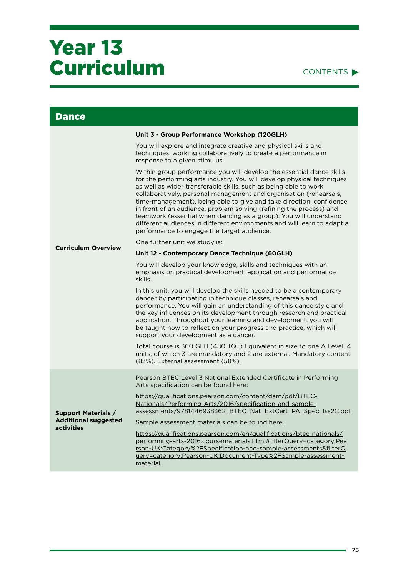### CONTENTS<sup>></sup>

| <b>Dance</b>                              |                                                                                                                                                                                                                                                                                                                                                                                                                                                                                                                                                                                                                                      |
|-------------------------------------------|--------------------------------------------------------------------------------------------------------------------------------------------------------------------------------------------------------------------------------------------------------------------------------------------------------------------------------------------------------------------------------------------------------------------------------------------------------------------------------------------------------------------------------------------------------------------------------------------------------------------------------------|
|                                           | Unit 3 - Group Performance Workshop (120GLH)                                                                                                                                                                                                                                                                                                                                                                                                                                                                                                                                                                                         |
|                                           | You will explore and integrate creative and physical skills and<br>techniques, working collaboratively to create a performance in<br>response to a given stimulus.                                                                                                                                                                                                                                                                                                                                                                                                                                                                   |
|                                           | Within group performance you will develop the essential dance skills<br>for the performing arts industry. You will develop physical techniques<br>as well as wider transferable skills, such as being able to work<br>collaboratively, personal management and organisation (rehearsals,<br>time-management), being able to give and take direction, confidence<br>in front of an audience, problem solving (refining the process) and<br>teamwork (essential when dancing as a group). You will understand<br>different audiences in different environments and will learn to adapt a<br>performance to engage the target audience. |
| <b>Curriculum Overview</b>                | One further unit we study is:                                                                                                                                                                                                                                                                                                                                                                                                                                                                                                                                                                                                        |
|                                           | Unit 12 - Contemporary Dance Technique (60GLH)                                                                                                                                                                                                                                                                                                                                                                                                                                                                                                                                                                                       |
|                                           | You will develop your knowledge, skills and techniques with an<br>emphasis on practical development, application and performance<br>skills.                                                                                                                                                                                                                                                                                                                                                                                                                                                                                          |
|                                           | In this unit, you will develop the skills needed to be a contemporary<br>dancer by participating in technique classes, rehearsals and<br>performance. You will gain an understanding of this dance style and<br>the key influences on its development through research and practical<br>application. Throughout your learning and development, you will<br>be taught how to reflect on your progress and practice, which will<br>support your development as a dancer.                                                                                                                                                               |
|                                           | Total course is 360 GLH (480 TQT) Equivalent in size to one A Level. 4<br>units, of which 3 are mandatory and 2 are external. Mandatory content<br>(83%). External assessment (58%).                                                                                                                                                                                                                                                                                                                                                                                                                                                 |
|                                           | Pearson BTEC Level 3 National Extended Certificate in Performing<br>Arts specification can be found here:                                                                                                                                                                                                                                                                                                                                                                                                                                                                                                                            |
| <b>Support Materials /</b>                | https://qualifications.pearson.com/content/dam/pdf/BTEC-<br>Nationals/Performing-Arts/2016/specification-and-sample-<br>assessments/9781446938362_BTEC_Nat_ExtCert_PA_Spec_Iss2C.pdf                                                                                                                                                                                                                                                                                                                                                                                                                                                 |
| <b>Additional suggested</b><br>activities | Sample assessment materials can be found here:                                                                                                                                                                                                                                                                                                                                                                                                                                                                                                                                                                                       |
|                                           | https://qualifications.pearson.com/en/qualifications/btec-nationals/<br>performing-arts-2016.coursematerials.html#filterQuery=category:Pea<br>rson-UK:Category%2FSpecification-and-sample-assessments&filterQ<br>uery=category:Pearson-UK:Document-Type%2FSample-assessment-<br>material                                                                                                                                                                                                                                                                                                                                             |

۰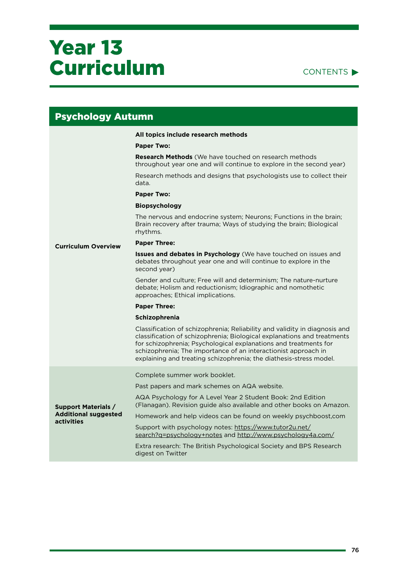| <b>Psychology Autumn</b>                                                |                                                                                                                                                                                                                                                                                                                                                                   |  |
|-------------------------------------------------------------------------|-------------------------------------------------------------------------------------------------------------------------------------------------------------------------------------------------------------------------------------------------------------------------------------------------------------------------------------------------------------------|--|
|                                                                         | All topics include research methods                                                                                                                                                                                                                                                                                                                               |  |
|                                                                         | <b>Paper Two:</b>                                                                                                                                                                                                                                                                                                                                                 |  |
|                                                                         | <b>Research Methods</b> (We have touched on research methods<br>throughout year one and will continue to explore in the second year)                                                                                                                                                                                                                              |  |
|                                                                         | Research methods and designs that psychologists use to collect their<br>data.                                                                                                                                                                                                                                                                                     |  |
|                                                                         | <b>Paper Two:</b>                                                                                                                                                                                                                                                                                                                                                 |  |
|                                                                         | <b>Biopsychology</b>                                                                                                                                                                                                                                                                                                                                              |  |
|                                                                         | The nervous and endocrine system; Neurons; Functions in the brain;<br>Brain recovery after trauma; Ways of studying the brain; Biological<br>rhythms.                                                                                                                                                                                                             |  |
| <b>Curriculum Overview</b>                                              | <b>Paper Three:</b>                                                                                                                                                                                                                                                                                                                                               |  |
|                                                                         | <b>Issues and debates in Psychology</b> (We have touched on issues and<br>debates throughout year one and will continue to explore in the<br>second year)                                                                                                                                                                                                         |  |
|                                                                         | Gender and culture; Free will and determinism; The nature-nurture<br>debate; Holism and reductionism; Idiographic and nomothetic<br>approaches; Ethical implications.                                                                                                                                                                                             |  |
|                                                                         | <b>Paper Three:</b>                                                                                                                                                                                                                                                                                                                                               |  |
|                                                                         | Schizophrenia                                                                                                                                                                                                                                                                                                                                                     |  |
|                                                                         | Classification of schizophrenia; Reliability and validity in diagnosis and<br>classification of schizophrenia; Biological explanations and treatments<br>for schizophrenia; Psychological explanations and treatments for<br>schizophrenia; The importance of an interactionist approach in<br>explaining and treating schizophrenia; the diathesis-stress model. |  |
|                                                                         | Complete summer work booklet.                                                                                                                                                                                                                                                                                                                                     |  |
|                                                                         | Past papers and mark schemes on AQA website.                                                                                                                                                                                                                                                                                                                      |  |
| <b>Support Materials /</b><br><b>Additional suggested</b><br>activities | AQA Psychology for A Level Year 2 Student Book: 2nd Edition<br>(Flanagan). Revision guide also available and other books on Amazon.                                                                                                                                                                                                                               |  |
|                                                                         | Homework and help videos can be found on weekly psychboost,com                                                                                                                                                                                                                                                                                                    |  |
|                                                                         | Support with psychology notes: https://www.tutor2u.net/<br>search?q=psychology+notes and http://www.psychology4a.com/                                                                                                                                                                                                                                             |  |
|                                                                         | Extra research: The British Psychological Society and BPS Research<br>digest on Twitter                                                                                                                                                                                                                                                                           |  |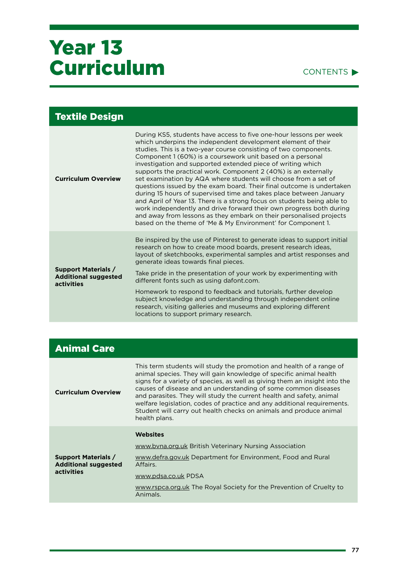| Textile Design                                                                 |                                                                                                                                                                                                                                                                                                                                                                                                                                                                                                                                                                                                                                                                                                                                                                                                                                                                                                                   |
|--------------------------------------------------------------------------------|-------------------------------------------------------------------------------------------------------------------------------------------------------------------------------------------------------------------------------------------------------------------------------------------------------------------------------------------------------------------------------------------------------------------------------------------------------------------------------------------------------------------------------------------------------------------------------------------------------------------------------------------------------------------------------------------------------------------------------------------------------------------------------------------------------------------------------------------------------------------------------------------------------------------|
| <b>Curriculum Overview</b>                                                     | During KS5, students have access to five one-hour lessons per week<br>which underpins the independent development element of their<br>studies. This is a two-year course consisting of two components.<br>Component 1 (60%) is a coursework unit based on a personal<br>investigation and supported extended piece of writing which<br>supports the practical work. Component 2 (40%) is an externally<br>set examination by AQA where students will choose from a set of<br>questions issued by the exam board. Their final outcome is undertaken<br>during 15 hours of supervised time and takes place between January<br>and April of Year 13. There is a strong focus on students being able to<br>work independently and drive forward their own progress both during<br>and away from lessons as they embark on their personalised projects<br>based on the theme of 'Me & My Environment' for Component 1. |
| <b>Support Materials /</b><br><b>Additional suggested</b><br><b>activities</b> | Be inspired by the use of Pinterest to generate ideas to support initial<br>research on how to create mood boards, present research ideas,<br>layout of sketchbooks, experimental samples and artist responses and<br>generate ideas towards final pieces.<br>Take pride in the presentation of your work by experimenting with<br>different fonts such as using dafont.com.                                                                                                                                                                                                                                                                                                                                                                                                                                                                                                                                      |
|                                                                                | Homework to respond to feedback and tutorials, further develop<br>subject knowledge and understanding through independent online<br>research, visiting galleries and museums and exploring different<br>locations to support primary research.                                                                                                                                                                                                                                                                                                                                                                                                                                                                                                                                                                                                                                                                    |

|  | <b>Animal Care</b> |  |
|--|--------------------|--|
|  |                    |  |
|  |                    |  |

| <b>Curriculum Overview</b>                                              | This term students will study the promotion and health of a range of<br>animal species. They will gain knowledge of specific animal health<br>signs for a variety of species, as well as giving them an insight into the<br>causes of disease and an understanding of some common diseases<br>and parasites. They will study the current health and safety, animal<br>welfare legislation, codes of practice and any additional requirements.<br>Student will carry out health checks on animals and produce animal<br>health plans. |
|-------------------------------------------------------------------------|--------------------------------------------------------------------------------------------------------------------------------------------------------------------------------------------------------------------------------------------------------------------------------------------------------------------------------------------------------------------------------------------------------------------------------------------------------------------------------------------------------------------------------------|
| <b>Support Materials /</b><br><b>Additional suggested</b><br>activities | <b>Websites</b><br>www.byna.org.uk British Veterinary Nursing Association<br>www.defra.gov.uk Department for Environment, Food and Rural<br>Affairs.<br>www.pdsa.co.uk PDSA                                                                                                                                                                                                                                                                                                                                                          |
|                                                                         | www.rspca.org.uk The Royal Society for the Prevention of Cruelty to<br>Animals.                                                                                                                                                                                                                                                                                                                                                                                                                                                      |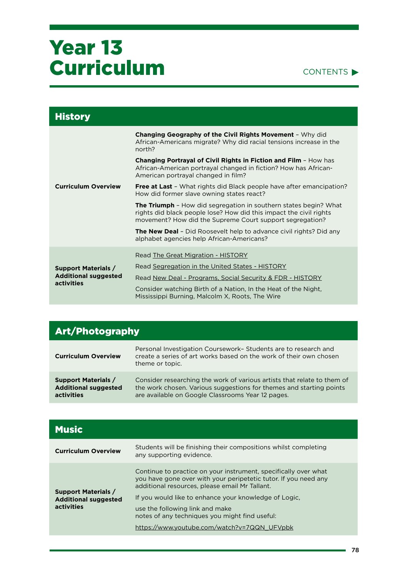| <b>History</b>                                                          |                                                                                                                                                                                                           |
|-------------------------------------------------------------------------|-----------------------------------------------------------------------------------------------------------------------------------------------------------------------------------------------------------|
|                                                                         | Changing Geography of the Civil Rights Movement - Why did<br>African-Americans migrate? Why did racial tensions increase in the<br>north?                                                                 |
|                                                                         | <b>Changing Portrayal of Civil Rights in Fiction and Film - How has</b><br>African-American portrayal changed in fiction? How has African-<br>American portrayal changed in film?                         |
| <b>Curriculum Overview</b>                                              | <b>Free at Last</b> - What rights did Black people have after emancipation?<br>How did former slave owning states react?                                                                                  |
|                                                                         | <b>The Triumph</b> - How did segregation in southern states begin? What<br>rights did black people lose? How did this impact the civil rights<br>movement? How did the Supreme Court support segregation? |
|                                                                         | <b>The New Deal</b> - Did Roosevelt help to advance civil rights? Did any<br>alphabet agencies help African-Americans?                                                                                    |
|                                                                         | Read The Great Migration - HISTORY                                                                                                                                                                        |
| <b>Support Materials /</b><br><b>Additional suggested</b><br>activities | Read Segregation in the United States - HISTORY                                                                                                                                                           |
|                                                                         | Read New Deal - Programs, Social Security & FDR - HISTORY                                                                                                                                                 |
|                                                                         | Consider watching Birth of a Nation, In the Heat of the Night,<br>Mississippi Burning, Malcolm X, Roots, The Wire                                                                                         |

| <b>Art/Photography</b>                                                  |                                                                                                                                                                                                     |
|-------------------------------------------------------------------------|-----------------------------------------------------------------------------------------------------------------------------------------------------------------------------------------------------|
| <b>Curriculum Overview</b>                                              | Personal Investigation Coursework-Students are to research and<br>create a series of art works based on the work of their own chosen<br>theme or topic.                                             |
| <b>Support Materials /</b><br><b>Additional suggested</b><br>activities | Consider researching the work of various artists that relate to them of<br>the work chosen. Various suggestions for themes and starting points<br>are available on Google Classrooms Year 12 pages. |

| <b>Music</b>                                                            |                                                                                                                                                                                                                                                                                                                                                                                   |
|-------------------------------------------------------------------------|-----------------------------------------------------------------------------------------------------------------------------------------------------------------------------------------------------------------------------------------------------------------------------------------------------------------------------------------------------------------------------------|
| <b>Curriculum Overview</b>                                              | Students will be finishing their compositions whilst completing<br>any supporting evidence.                                                                                                                                                                                                                                                                                       |
| <b>Support Materials /</b><br><b>Additional suggested</b><br>activities | Continue to practice on your instrument, specifically over what<br>you have gone over with your peripetetic tutor. If you need any<br>additional resources, please email Mr Tallant.<br>If you would like to enhance your knowledge of Logic.<br>use the following link and make<br>notes of any techniques you might find useful:<br>https://www.youtube.com/watch?v=7QQN_UFVpbk |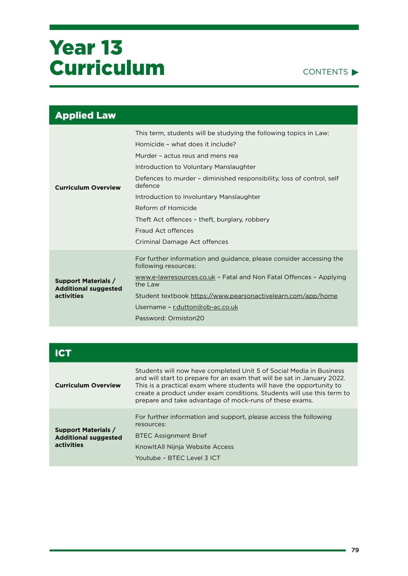

| <b>Applied Law</b>                                                      |                                                                                                                                                                                                                                                                                                                                                                                                                                                  |
|-------------------------------------------------------------------------|--------------------------------------------------------------------------------------------------------------------------------------------------------------------------------------------------------------------------------------------------------------------------------------------------------------------------------------------------------------------------------------------------------------------------------------------------|
| <b>Curriculum Overview</b>                                              | This term, students will be studying the following topics in Law:<br>Homicide - what does it include?<br>Murder - actus reus and mens rea<br>Introduction to Voluntary Manslaughter<br>Defences to murder - diminished responsibility, loss of control, self<br>defence<br>Introduction to Involuntary Manslaughter<br>Reform of Homicide<br>Theft Act offences - theft, burglary, robbery<br>Fraud Act offences<br>Criminal Damage Act offences |
| <b>Support Materials /</b><br><b>Additional suggested</b><br>activities | For further information and guidance, please consider accessing the<br>following resources:<br>www.e-lawresources.co.uk - Fatal and Non Fatal Offences - Applying<br>the Law<br>Student textbook https://www.pearsonactivelearn.com/app/home<br>Username - r.dutton@ob-ac.co.uk<br>Password: Ormiston20                                                                                                                                          |

| <b>Curriculum Overview</b>                                              | Students will now have completed Unit 5 of Social Media in Business<br>and will start to prepare for an exam that will be sat in January 2022.<br>This is a practical exam where students will have the opportunity to<br>create a product under exam conditions. Students will use this term to<br>prepare and take advantage of mock-runs of these exams. |
|-------------------------------------------------------------------------|-------------------------------------------------------------------------------------------------------------------------------------------------------------------------------------------------------------------------------------------------------------------------------------------------------------------------------------------------------------|
| <b>Support Materials /</b><br><b>Additional suggested</b><br>activities | For further information and support, please access the following<br>resources:                                                                                                                                                                                                                                                                              |
|                                                                         | <b>BTEC Assignment Brief</b>                                                                                                                                                                                                                                                                                                                                |
|                                                                         | KnowltAll Nijnja Website Access                                                                                                                                                                                                                                                                                                                             |
|                                                                         | Youtube – BTFC Level 3 ICT                                                                                                                                                                                                                                                                                                                                  |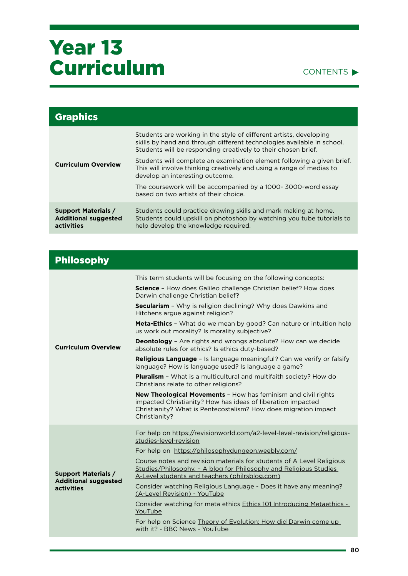

| <b>Graphics</b>                                                         |                                                                                                                                                                                                               |
|-------------------------------------------------------------------------|---------------------------------------------------------------------------------------------------------------------------------------------------------------------------------------------------------------|
| <b>Curriculum Overview</b>                                              | Students are working in the style of different artists, developing<br>skills by hand and through different technologies available in school.<br>Students will be responding creatively to their chosen brief. |
|                                                                         | Students will complete an examination element following a given brief.<br>This will involve thinking creatively and using a range of medias to<br>develop an interesting outcome.                             |
|                                                                         | The coursework will be accompanied by a 1000- 3000-word essay<br>based on two artists of their choice.                                                                                                        |
| <b>Support Materials /</b><br><b>Additional suggested</b><br>activities | Students could practice drawing skills and mark making at home.<br>Students could upskill on photoshop by watching you tube tutorials to<br>help develop the knowledge required.                              |

| <b>Philosophy</b>                                                       |                                                                                                                                                                                                                         |
|-------------------------------------------------------------------------|-------------------------------------------------------------------------------------------------------------------------------------------------------------------------------------------------------------------------|
| <b>Curriculum Overview</b>                                              | This term students will be focusing on the following concepts:                                                                                                                                                          |
|                                                                         | <b>Science</b> - How does Galileo challenge Christian belief? How does<br>Darwin challenge Christian belief?                                                                                                            |
|                                                                         | Secularism - Why is religion declining? Why does Dawkins and<br>Hitchens argue against religion?                                                                                                                        |
|                                                                         | <b>Meta-Ethics</b> - What do we mean by good? Can nature or intuition help<br>us work out morality? Is morality subjective?                                                                                             |
|                                                                         | <b>Deontology</b> - Are rights and wrongs absolute? How can we decide<br>absolute rules for ethics? Is ethics duty-based?                                                                                               |
|                                                                         | <b>Religious Language</b> - Is language meaningful? Can we verify or falsify<br>language? How is language used? Is language a game?                                                                                     |
|                                                                         | <b>Pluralism</b> - What is a multicultural and multifaith society? How do<br>Christians relate to other religions?                                                                                                      |
|                                                                         | <b>New Theological Movements - How has feminism and civil rights</b><br>impacted Christianity? How has ideas of liberation impacted<br>Christianity? What is Pentecostalism? How does migration impact<br>Christianity? |
| <b>Support Materials /</b><br><b>Additional suggested</b><br>activities | For help on https://revisionworld.com/a2-level-level-revision/religious-<br>studies-level-revision                                                                                                                      |
|                                                                         | For help on https://philosophydungeon.weebly.com/                                                                                                                                                                       |
|                                                                         | Course notes and revision materials for students of A Level Religious<br>Studies/Philosophy. - A blog for Philosophy and Religious Studies<br>A-Level students and teachers (philrsblog.com)                            |
|                                                                         | Consider watching Religious Language - Does it have any meaning?<br>(A-Level Revision) - YouTube                                                                                                                        |
|                                                                         | Consider watching for meta ethics Ethics 101 Introducing Metaethics -<br>YouTube                                                                                                                                        |
|                                                                         | For help on Science Theory of Evolution: How did Darwin come up<br>with it? - BBC News - YouTube                                                                                                                        |
|                                                                         |                                                                                                                                                                                                                         |